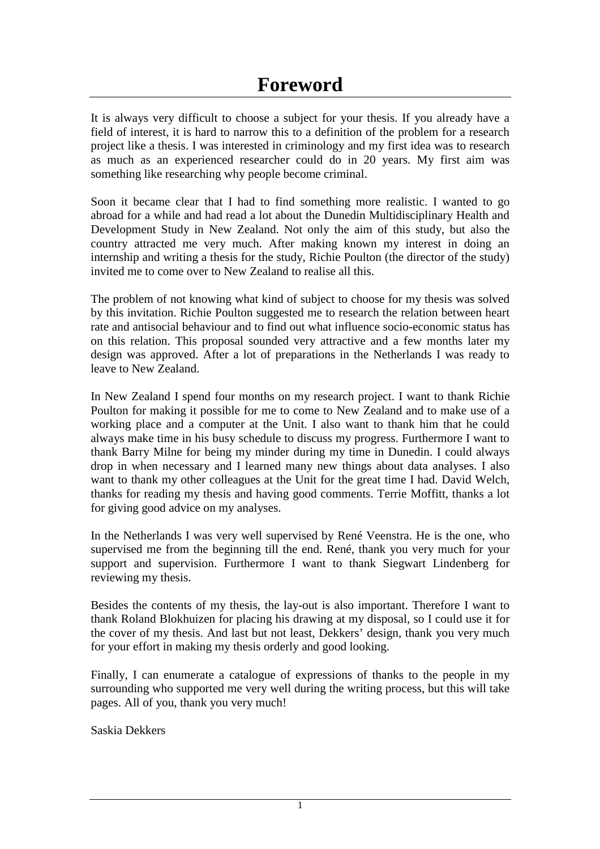It is always very difficult to choose a subject for your thesis. If you already have a field of interest, it is hard to narrow this to a definition of the problem for a research project like a thesis. I was interested in criminology and my first idea was to research as much as an experienced researcher could do in 20 years. My first aim was something like researching why people become criminal.

Soon it became clear that I had to find something more realistic. I wanted to go abroad for a while and had read a lot about the Dunedin Multidisciplinary Health and Development Study in New Zealand. Not only the aim of this study, but also the country attracted me very much. After making known my interest in doing an internship and writing a thesis for the study, Richie Poulton (the director of the study) invited me to come over to New Zealand to realise all this.

The problem of not knowing what kind of subject to choose for my thesis was solved by this invitation. Richie Poulton suggested me to research the relation between heart rate and antisocial behaviour and to find out what influence socio-economic status has on this relation. This proposal sounded very attractive and a few months later my design was approved. After a lot of preparations in the Netherlands I was ready to leave to New Zealand.

In New Zealand I spend four months on my research project. I want to thank Richie Poulton for making it possible for me to come to New Zealand and to make use of a working place and a computer at the Unit. I also want to thank him that he could always make time in his busy schedule to discuss my progress. Furthermore I want to thank Barry Milne for being my minder during my time in Dunedin. I could always drop in when necessary and I learned many new things about data analyses. I also want to thank my other colleagues at the Unit for the great time I had. David Welch, thanks for reading my thesis and having good comments. Terrie Moffitt, thanks a lot for giving good advice on my analyses.

In the Netherlands I was very well supervised by René Veenstra. He is the one, who supervised me from the beginning till the end. René, thank you very much for your support and supervision. Furthermore I want to thank Siegwart Lindenberg for reviewing my thesis.

Besides the contents of my thesis, the lay-out is also important. Therefore I want to thank Roland Blokhuizen for placing his drawing at my disposal, so I could use it for the cover of my thesis. And last but not least, Dekkers' design, thank you very much for your effort in making my thesis orderly and good looking.

Finally, I can enumerate a catalogue of expressions of thanks to the people in my surrounding who supported me very well during the writing process, but this will take pages. All of you, thank you very much!

Saskia Dekkers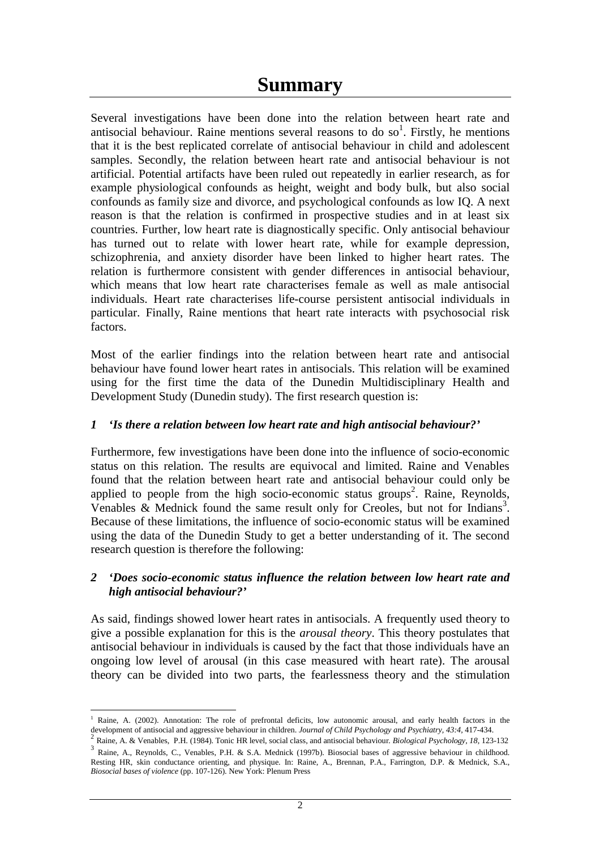Several investigations have been done into the relation between heart rate and antisocial behaviour. Raine mentions several reasons to do so<sup>1</sup>. Firstly, he mentions that it is the best replicated correlate of antisocial behaviour in child and adolescent samples. Secondly, the relation between heart rate and antisocial behaviour is not artificial. Potential artifacts have been ruled out repeatedly in earlier research, as for example physiological confounds as height, weight and body bulk, but also social confounds as family size and divorce, and psychological confounds as low IQ. A next reason is that the relation is confirmed in prospective studies and in at least six countries. Further, low heart rate is diagnostically specific. Only antisocial behaviour has turned out to relate with lower heart rate, while for example depression, schizophrenia, and anxiety disorder have been linked to higher heart rates. The relation is furthermore consistent with gender differences in antisocial behaviour, which means that low heart rate characterises female as well as male antisocial individuals. Heart rate characterises life-course persistent antisocial individuals in particular. Finally, Raine mentions that heart rate interacts with psychosocial risk factors.

Most of the earlier findings into the relation between heart rate and antisocial behaviour have found lower heart rates in antisocials. This relation will be examined using for the first time the data of the Dunedin Multidisciplinary Health and Development Study (Dunedin study). The first research question is:

#### *1 'Is there a relation between low heart rate and high antisocial behaviour?'*

Furthermore, few investigations have been done into the influence of socio-economic status on this relation. The results are equivocal and limited. Raine and Venables found that the relation between heart rate and antisocial behaviour could only be applied to people from the high socio-economic status groups<sup>2</sup>. Raine, Reynolds, Venables & Mednick found the same result only for Creoles, but not for Indians<sup>3</sup>. Because of these limitations, the influence of socio-economic status will be examined using the data of the Dunedin Study to get a better understanding of it. The second research question is therefore the following:

#### *2 'Does socio-economic status influence the relation between low heart rate and high antisocial behaviour?'*

As said, findings showed lower heart rates in antisocials. A frequently used theory to give a possible explanation for this is the *arousal theory*. This theory postulates that antisocial behaviour in individuals is caused by the fact that those individuals have an ongoing low level of arousal (in this case measured with heart rate). The arousal theory can be divided into two parts, the fearlessness theory and the stimulation

 $\overline{a}$ <sup>1</sup> Raine, A. (2002). Annotation: The role of prefrontal deficits, low autonomic arousal, and early health factors in the

development of antisocial and aggressive behaviour in children. Journal of Child Psychology and Psychiatry, 43:4, 417-434.<br><sup>2</sup> Raine, A. & Venables, P.H. (1984). Tonic HR level, social class, and antisocial behaviour. *Bio* Resting HR, skin conductance orienting, and physique. In: Raine, A., Brennan, P.A., Farrington, D.P. & Mednick, S.A., *Biosocial bases of violence* (pp. 107-126). New York: Plenum Press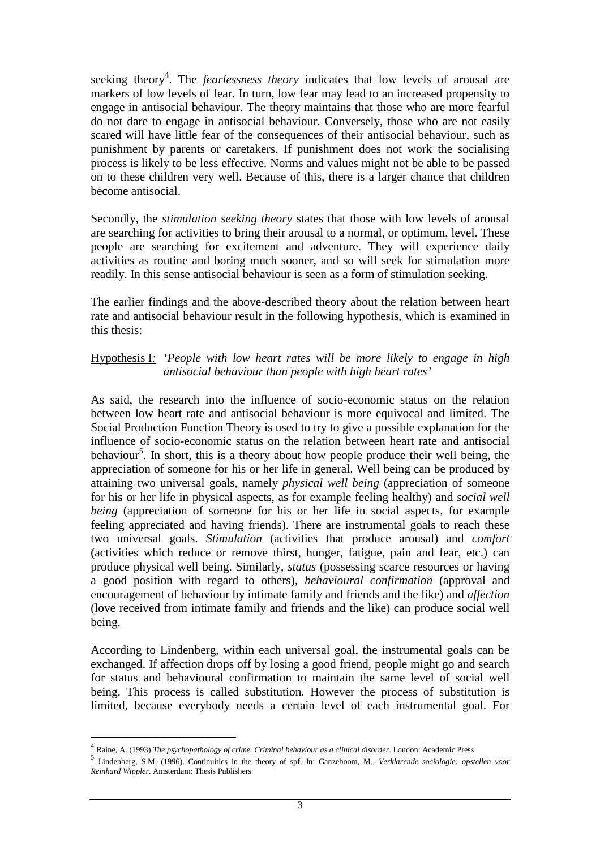seeking theory<sup>4</sup>. The *fearlessness theory* indicates that low levels of arousal are markers of low levels of fear. In turn, low fear may lead to an increased propensity to engage in antisocial behaviour. The theory maintains that those who are more fearful do not dare to engage in antisocial behaviour. Conversely, those who are not easily scared will have little fear of the consequences of their antisocial behaviour, such as punishment by parents or caretakers. If punishment does not work the socialising process is likely to be less effective. Norms and values might not be able to be passed on to these children very well. Because of this, there is a larger chance that children become antisocial.

Secondly, the *stimulation seeking theory* states that those with low levels of arousal are searching for activities to bring their arousal to a normal, or optimum, level. These people are searching for excitement and adventure. They will experience daily activities as routine and boring much sooner, and so will seek for stimulation more readily. In this sense antisocial behaviour is seen as a form of stimulation seeking.

The earlier findings and the above-described theory about the relation between heart rate and antisocial behaviour result in the following hypothesis, which is examined in this thesis:

#### Hypothesis I*: 'People with low heart rates will be more likely to engage in high antisocial behaviour than people with high heart rates'*

As said, the research into the influence of socio-economic status on the relation between low heart rate and antisocial behaviour is more equivocal and limited. The Social Production Function Theory is used to try to give a possible explanation for the influence of socio-economic status on the relation between heart rate and antisocial behaviour<sup>5</sup>. In short, this is a theory about how people produce their well being, the appreciation of someone for his or her life in general. Well being can be produced by attaining two universal goals, namely *physical well being* (appreciation of someone for his or her life in physical aspects, as for example feeling healthy) and *social well being* (appreciation of someone for his or her life in social aspects, for example feeling appreciated and having friends). There are instrumental goals to reach these two universal goals. *Stimulation* (activities that produce arousal) and *comfort* (activities which reduce or remove thirst, hunger, fatigue, pain and fear, etc.) can produce physical well being. Similarly, *status* (possessing scarce resources or having a good position with regard to others)*, behavioural confirmation* (approval and encouragement of behaviour by intimate family and friends and the like) and *affection*  (love received from intimate family and friends and the like) can produce social well being.

According to Lindenberg, within each universal goal, the instrumental goals can be exchanged. If affection drops off by losing a good friend, people might go and search for status and behavioural confirmation to maintain the same level of social well being. This process is called substitution. However the process of substitution is limited, because everybody needs a certain level of each instrumental goal. For

 $\overline{a}$ 

 $^{4}$  Raine, A. (1993) The psychopathology of crime. Criminal behaviour as a clinical disorder. London: Academic Press  $^{5}$  Lindenberg, S.M. (1996). Continuities in the theory of spf. In: Ganzeboom, M., Verklarende socio *Reinhard Wippler*. Amsterdam: Thesis Publishers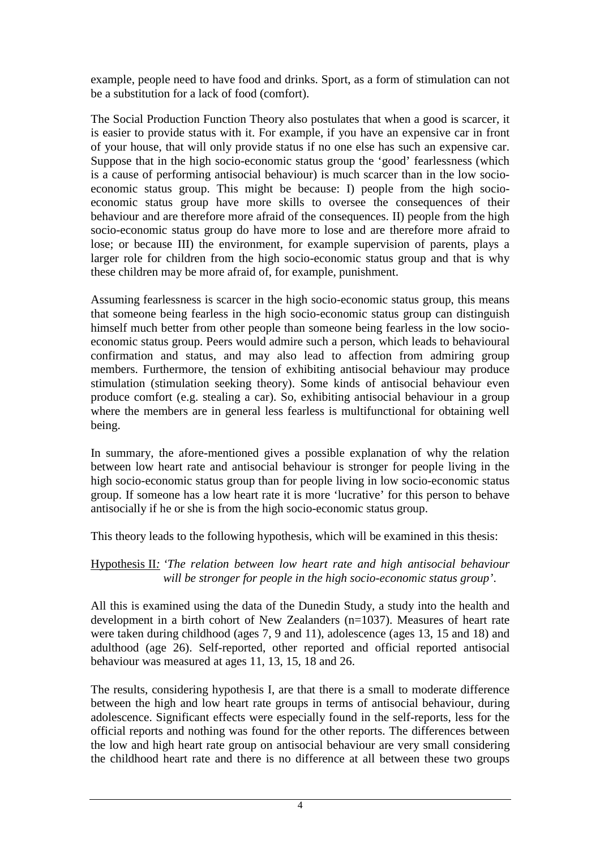example, people need to have food and drinks. Sport, as a form of stimulation can not be a substitution for a lack of food (comfort).

The Social Production Function Theory also postulates that when a good is scarcer, it is easier to provide status with it. For example, if you have an expensive car in front of your house, that will only provide status if no one else has such an expensive car. Suppose that in the high socio-economic status group the 'good' fearlessness (which is a cause of performing antisocial behaviour) is much scarcer than in the low socioeconomic status group. This might be because: I) people from the high socioeconomic status group have more skills to oversee the consequences of their behaviour and are therefore more afraid of the consequences. II) people from the high socio-economic status group do have more to lose and are therefore more afraid to lose; or because III) the environment, for example supervision of parents, plays a larger role for children from the high socio-economic status group and that is why these children may be more afraid of, for example, punishment.

Assuming fearlessness is scarcer in the high socio-economic status group, this means that someone being fearless in the high socio-economic status group can distinguish himself much better from other people than someone being fearless in the low socioeconomic status group. Peers would admire such a person, which leads to behavioural confirmation and status, and may also lead to affection from admiring group members. Furthermore, the tension of exhibiting antisocial behaviour may produce stimulation (stimulation seeking theory). Some kinds of antisocial behaviour even produce comfort (e.g. stealing a car). So, exhibiting antisocial behaviour in a group where the members are in general less fearless is multifunctional for obtaining well being.

In summary, the afore-mentioned gives a possible explanation of why the relation between low heart rate and antisocial behaviour is stronger for people living in the high socio-economic status group than for people living in low socio-economic status group. If someone has a low heart rate it is more 'lucrative' for this person to behave antisocially if he or she is from the high socio-economic status group.

This theory leads to the following hypothesis, which will be examined in this thesis:

#### Hypothesis II*: 'The relation between low heart rate and high antisocial behaviour will be stronger for people in the high socio-economic status group'*.

All this is examined using the data of the Dunedin Study, a study into the health and development in a birth cohort of New Zealanders (n=1037). Measures of heart rate were taken during childhood (ages 7, 9 and 11), adolescence (ages 13, 15 and 18) and adulthood (age 26). Self-reported, other reported and official reported antisocial behaviour was measured at ages 11, 13, 15, 18 and 26.

The results, considering hypothesis I, are that there is a small to moderate difference between the high and low heart rate groups in terms of antisocial behaviour, during adolescence. Significant effects were especially found in the self-reports, less for the official reports and nothing was found for the other reports. The differences between the low and high heart rate group on antisocial behaviour are very small considering the childhood heart rate and there is no difference at all between these two groups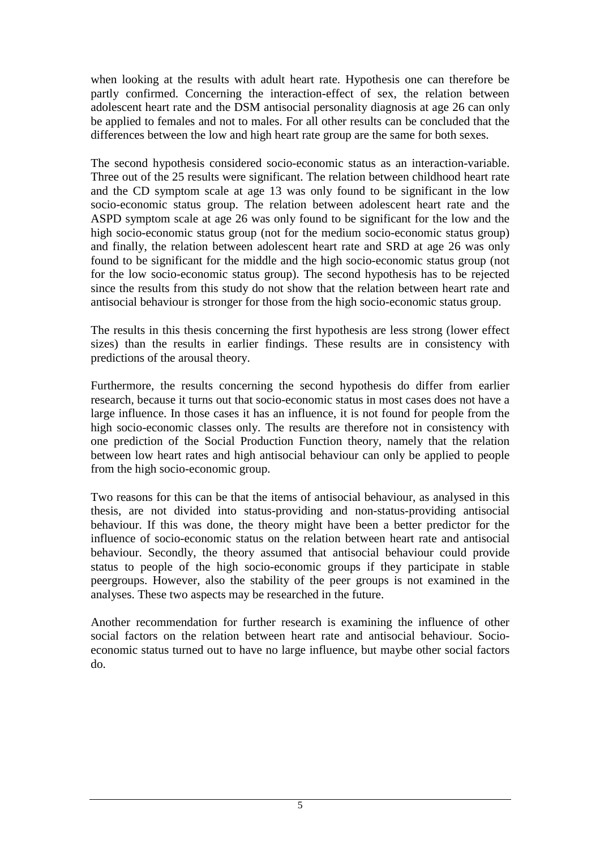when looking at the results with adult heart rate. Hypothesis one can therefore be partly confirmed. Concerning the interaction-effect of sex, the relation between adolescent heart rate and the DSM antisocial personality diagnosis at age 26 can only be applied to females and not to males. For all other results can be concluded that the differences between the low and high heart rate group are the same for both sexes.

The second hypothesis considered socio-economic status as an interaction-variable. Three out of the 25 results were significant. The relation between childhood heart rate and the CD symptom scale at age 13 was only found to be significant in the low socio-economic status group. The relation between adolescent heart rate and the ASPD symptom scale at age 26 was only found to be significant for the low and the high socio-economic status group (not for the medium socio-economic status group) and finally, the relation between adolescent heart rate and SRD at age 26 was only found to be significant for the middle and the high socio-economic status group (not for the low socio-economic status group). The second hypothesis has to be rejected since the results from this study do not show that the relation between heart rate and antisocial behaviour is stronger for those from the high socio-economic status group.

The results in this thesis concerning the first hypothesis are less strong (lower effect sizes) than the results in earlier findings. These results are in consistency with predictions of the arousal theory.

Furthermore, the results concerning the second hypothesis do differ from earlier research, because it turns out that socio-economic status in most cases does not have a large influence. In those cases it has an influence, it is not found for people from the high socio-economic classes only. The results are therefore not in consistency with one prediction of the Social Production Function theory, namely that the relation between low heart rates and high antisocial behaviour can only be applied to people from the high socio-economic group.

Two reasons for this can be that the items of antisocial behaviour, as analysed in this thesis, are not divided into status-providing and non-status-providing antisocial behaviour. If this was done, the theory might have been a better predictor for the influence of socio-economic status on the relation between heart rate and antisocial behaviour. Secondly, the theory assumed that antisocial behaviour could provide status to people of the high socio-economic groups if they participate in stable peergroups. However, also the stability of the peer groups is not examined in the analyses. These two aspects may be researched in the future.

Another recommendation for further research is examining the influence of other social factors on the relation between heart rate and antisocial behaviour. Socioeconomic status turned out to have no large influence, but maybe other social factors do.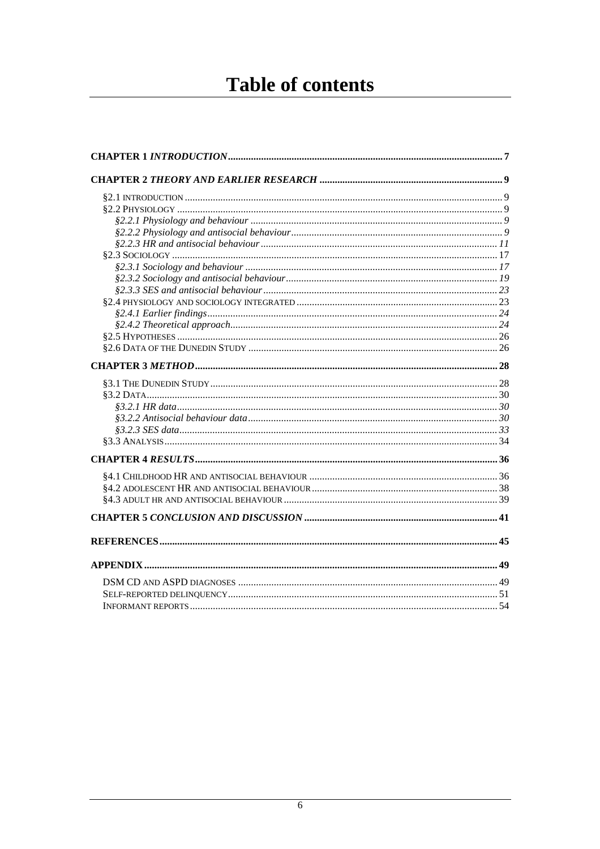# **Table of contents**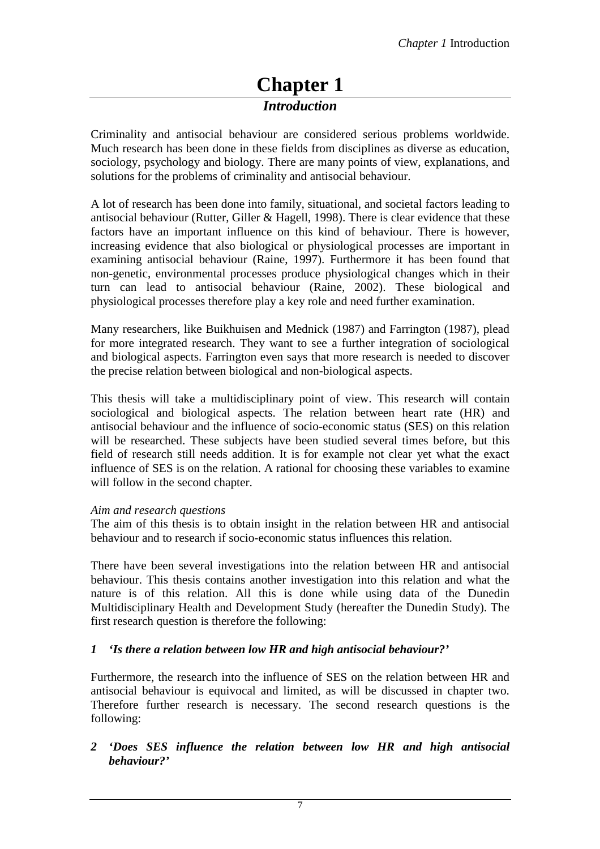### **Chapter 1**  *Introduction*

Criminality and antisocial behaviour are considered serious problems worldwide. Much research has been done in these fields from disciplines as diverse as education, sociology, psychology and biology. There are many points of view, explanations, and solutions for the problems of criminality and antisocial behaviour.

A lot of research has been done into family, situational, and societal factors leading to antisocial behaviour (Rutter, Giller & Hagell, 1998). There is clear evidence that these factors have an important influence on this kind of behaviour. There is however, increasing evidence that also biological or physiological processes are important in examining antisocial behaviour (Raine, 1997). Furthermore it has been found that non-genetic, environmental processes produce physiological changes which in their turn can lead to antisocial behaviour (Raine, 2002). These biological and physiological processes therefore play a key role and need further examination.

Many researchers, like Buikhuisen and Mednick (1987) and Farrington (1987), plead for more integrated research. They want to see a further integration of sociological and biological aspects. Farrington even says that more research is needed to discover the precise relation between biological and non-biological aspects.

This thesis will take a multidisciplinary point of view. This research will contain sociological and biological aspects. The relation between heart rate (HR) and antisocial behaviour and the influence of socio-economic status (SES) on this relation will be researched. These subjects have been studied several times before, but this field of research still needs addition. It is for example not clear yet what the exact influence of SES is on the relation. A rational for choosing these variables to examine will follow in the second chapter.

#### *Aim and research questions*

The aim of this thesis is to obtain insight in the relation between HR and antisocial behaviour and to research if socio-economic status influences this relation.

There have been several investigations into the relation between HR and antisocial behaviour. This thesis contains another investigation into this relation and what the nature is of this relation. All this is done while using data of the Dunedin Multidisciplinary Health and Development Study (hereafter the Dunedin Study). The first research question is therefore the following:

#### *1 'Is there a relation between low HR and high antisocial behaviour?'*

Furthermore, the research into the influence of SES on the relation between HR and antisocial behaviour is equivocal and limited, as will be discussed in chapter two. Therefore further research is necessary. The second research questions is the following:

*2 'Does SES influence the relation between low HR and high antisocial behaviour?'*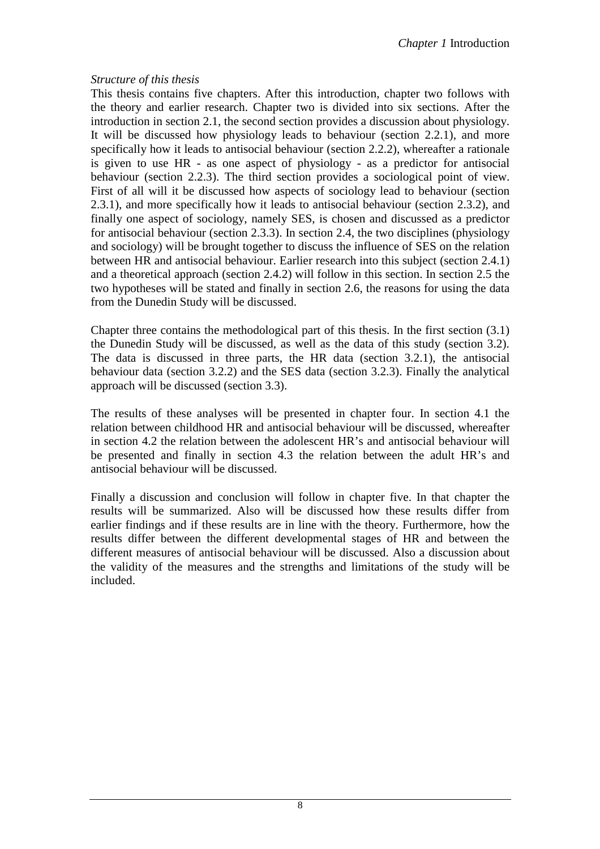#### *Structure of this thesis*

This thesis contains five chapters. After this introduction, chapter two follows with the theory and earlier research. Chapter two is divided into six sections. After the introduction in section 2.1, the second section provides a discussion about physiology. It will be discussed how physiology leads to behaviour (section 2.2.1), and more specifically how it leads to antisocial behaviour (section 2.2.2), whereafter a rationale is given to use HR - as one aspect of physiology - as a predictor for antisocial behaviour (section 2.2.3). The third section provides a sociological point of view. First of all will it be discussed how aspects of sociology lead to behaviour (section 2.3.1), and more specifically how it leads to antisocial behaviour (section 2.3.2), and finally one aspect of sociology, namely SES, is chosen and discussed as a predictor for antisocial behaviour (section 2.3.3). In section 2.4, the two disciplines (physiology and sociology) will be brought together to discuss the influence of SES on the relation between HR and antisocial behaviour. Earlier research into this subject (section 2.4.1) and a theoretical approach (section 2.4.2) will follow in this section. In section 2.5 the two hypotheses will be stated and finally in section 2.6, the reasons for using the data from the Dunedin Study will be discussed.

Chapter three contains the methodological part of this thesis. In the first section (3.1) the Dunedin Study will be discussed, as well as the data of this study (section 3.2). The data is discussed in three parts, the HR data (section 3.2.1), the antisocial behaviour data (section 3.2.2) and the SES data (section 3.2.3). Finally the analytical approach will be discussed (section 3.3).

The results of these analyses will be presented in chapter four. In section 4.1 the relation between childhood HR and antisocial behaviour will be discussed, whereafter in section 4.2 the relation between the adolescent HR's and antisocial behaviour will be presented and finally in section 4.3 the relation between the adult HR's and antisocial behaviour will be discussed.

Finally a discussion and conclusion will follow in chapter five. In that chapter the results will be summarized. Also will be discussed how these results differ from earlier findings and if these results are in line with the theory. Furthermore, how the results differ between the different developmental stages of HR and between the different measures of antisocial behaviour will be discussed. Also a discussion about the validity of the measures and the strengths and limitations of the study will be included.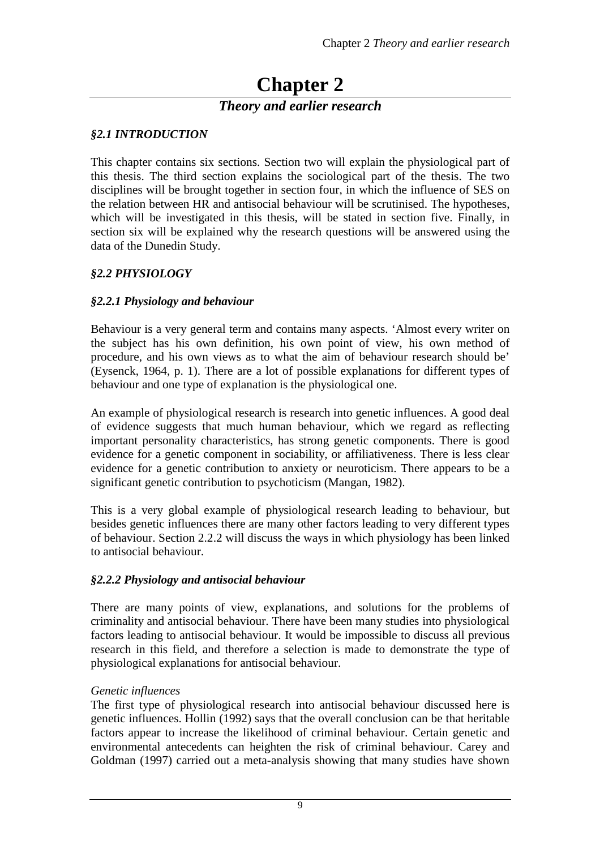# **Chapter 2**

#### *Theory and earlier research*

#### *§2.1 INTRODUCTION*

This chapter contains six sections. Section two will explain the physiological part of this thesis. The third section explains the sociological part of the thesis. The two disciplines will be brought together in section four, in which the influence of SES on the relation between HR and antisocial behaviour will be scrutinised. The hypotheses, which will be investigated in this thesis, will be stated in section five. Finally, in section six will be explained why the research questions will be answered using the data of the Dunedin Study.

#### *§2.2 PHYSIOLOGY*

#### *§2.2.1 Physiology and behaviour*

Behaviour is a very general term and contains many aspects. 'Almost every writer on the subject has his own definition, his own point of view, his own method of procedure, and his own views as to what the aim of behaviour research should be' (Eysenck, 1964, p. 1). There are a lot of possible explanations for different types of behaviour and one type of explanation is the physiological one.

An example of physiological research is research into genetic influences. A good deal of evidence suggests that much human behaviour, which we regard as reflecting important personality characteristics, has strong genetic components. There is good evidence for a genetic component in sociability, or affiliativeness. There is less clear evidence for a genetic contribution to anxiety or neuroticism. There appears to be a significant genetic contribution to psychoticism (Mangan, 1982).

This is a very global example of physiological research leading to behaviour, but besides genetic influences there are many other factors leading to very different types of behaviour. Section 2.2.2 will discuss the ways in which physiology has been linked to antisocial behaviour.

#### *§2.2.2 Physiology and antisocial behaviour*

There are many points of view, explanations, and solutions for the problems of criminality and antisocial behaviour. There have been many studies into physiological factors leading to antisocial behaviour. It would be impossible to discuss all previous research in this field, and therefore a selection is made to demonstrate the type of physiological explanations for antisocial behaviour.

#### *Genetic influences*

The first type of physiological research into antisocial behaviour discussed here is genetic influences. Hollin (1992) says that the overall conclusion can be that heritable factors appear to increase the likelihood of criminal behaviour. Certain genetic and environmental antecedents can heighten the risk of criminal behaviour. Carey and Goldman (1997) carried out a meta-analysis showing that many studies have shown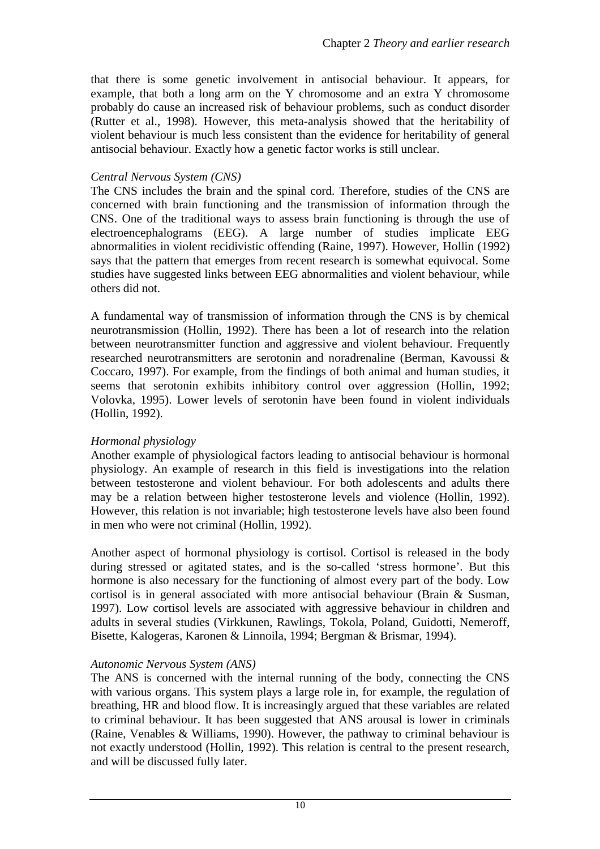that there is some genetic involvement in antisocial behaviour. It appears, for example, that both a long arm on the Y chromosome and an extra Y chromosome probably do cause an increased risk of behaviour problems, such as conduct disorder (Rutter et al., 1998). However, this meta-analysis showed that the heritability of violent behaviour is much less consistent than the evidence for heritability of general antisocial behaviour. Exactly how a genetic factor works is still unclear.

#### *Central Nervous System (CNS)*

The CNS includes the brain and the spinal cord. Therefore, studies of the CNS are concerned with brain functioning and the transmission of information through the CNS. One of the traditional ways to assess brain functioning is through the use of electroencephalograms (EEG). A large number of studies implicate EEG abnormalities in violent recidivistic offending (Raine, 1997). However, Hollin (1992) says that the pattern that emerges from recent research is somewhat equivocal. Some studies have suggested links between EEG abnormalities and violent behaviour, while others did not.

A fundamental way of transmission of information through the CNS is by chemical neurotransmission (Hollin, 1992). There has been a lot of research into the relation between neurotransmitter function and aggressive and violent behaviour. Frequently researched neurotransmitters are serotonin and noradrenaline (Berman, Kavoussi & Coccaro, 1997). For example, from the findings of both animal and human studies, it seems that serotonin exhibits inhibitory control over aggression (Hollin, 1992; Volovka, 1995). Lower levels of serotonin have been found in violent individuals (Hollin, 1992).

#### *Hormonal physiology*

Another example of physiological factors leading to antisocial behaviour is hormonal physiology. An example of research in this field is investigations into the relation between testosterone and violent behaviour. For both adolescents and adults there may be a relation between higher testosterone levels and violence (Hollin, 1992). However, this relation is not invariable; high testosterone levels have also been found in men who were not criminal (Hollin, 1992).

Another aspect of hormonal physiology is cortisol. Cortisol is released in the body during stressed or agitated states, and is the so-called 'stress hormone'. But this hormone is also necessary for the functioning of almost every part of the body. Low cortisol is in general associated with more antisocial behaviour (Brain & Susman, 1997). Low cortisol levels are associated with aggressive behaviour in children and adults in several studies (Virkkunen, Rawlings, Tokola, Poland, Guidotti, Nemeroff, Bisette, Kalogeras, Karonen & Linnoila, 1994; Bergman & Brismar, 1994).

#### *Autonomic Nervous System (ANS)*

The ANS is concerned with the internal running of the body, connecting the CNS with various organs. This system plays a large role in, for example, the regulation of breathing, HR and blood flow. It is increasingly argued that these variables are related to criminal behaviour. It has been suggested that ANS arousal is lower in criminals (Raine, Venables & Williams, 1990). However, the pathway to criminal behaviour is not exactly understood (Hollin, 1992). This relation is central to the present research, and will be discussed fully later.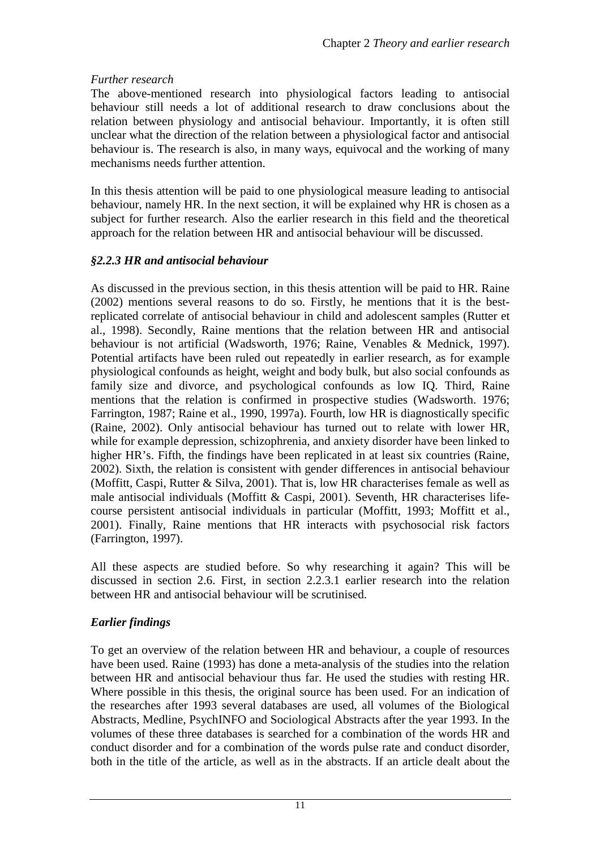#### *Further research*

The above-mentioned research into physiological factors leading to antisocial behaviour still needs a lot of additional research to draw conclusions about the relation between physiology and antisocial behaviour. Importantly, it is often still unclear what the direction of the relation between a physiological factor and antisocial behaviour is. The research is also, in many ways, equivocal and the working of many mechanisms needs further attention.

In this thesis attention will be paid to one physiological measure leading to antisocial behaviour, namely HR. In the next section, it will be explained why HR is chosen as a subject for further research. Also the earlier research in this field and the theoretical approach for the relation between HR and antisocial behaviour will be discussed.

#### *§2.2.3 HR and antisocial behaviour*

As discussed in the previous section, in this thesis attention will be paid to HR. Raine (2002) mentions several reasons to do so. Firstly, he mentions that it is the bestreplicated correlate of antisocial behaviour in child and adolescent samples (Rutter et al., 1998). Secondly, Raine mentions that the relation between HR and antisocial behaviour is not artificial (Wadsworth, 1976; Raine, Venables & Mednick, 1997). Potential artifacts have been ruled out repeatedly in earlier research, as for example physiological confounds as height, weight and body bulk, but also social confounds as family size and divorce, and psychological confounds as low IQ. Third, Raine mentions that the relation is confirmed in prospective studies (Wadsworth. 1976; Farrington, 1987; Raine et al., 1990, 1997a). Fourth, low HR is diagnostically specific (Raine, 2002). Only antisocial behaviour has turned out to relate with lower HR, while for example depression, schizophrenia, and anxiety disorder have been linked to higher HR's. Fifth, the findings have been replicated in at least six countries (Raine, 2002). Sixth, the relation is consistent with gender differences in antisocial behaviour (Moffitt, Caspi, Rutter & Silva, 2001). That is, low HR characterises female as well as male antisocial individuals (Moffitt & Caspi, 2001). Seventh, HR characterises lifecourse persistent antisocial individuals in particular (Moffitt, 1993; Moffitt et al., 2001). Finally, Raine mentions that HR interacts with psychosocial risk factors (Farrington, 1997).

All these aspects are studied before. So why researching it again? This will be discussed in section 2.6. First, in section 2.2.3.1 earlier research into the relation between HR and antisocial behaviour will be scrutinised.

#### *Earlier findings*

To get an overview of the relation between HR and behaviour, a couple of resources have been used. Raine (1993) has done a meta-analysis of the studies into the relation between HR and antisocial behaviour thus far. He used the studies with resting HR. Where possible in this thesis, the original source has been used. For an indication of the researches after 1993 several databases are used, all volumes of the Biological Abstracts, Medline, PsychINFO and Sociological Abstracts after the year 1993. In the volumes of these three databases is searched for a combination of the words HR and conduct disorder and for a combination of the words pulse rate and conduct disorder, both in the title of the article, as well as in the abstracts. If an article dealt about the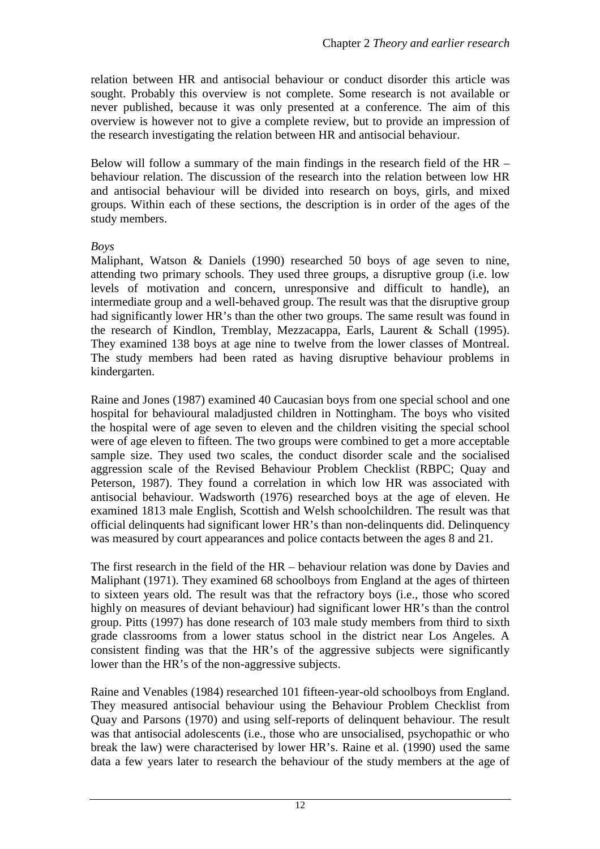relation between HR and antisocial behaviour or conduct disorder this article was sought. Probably this overview is not complete. Some research is not available or never published, because it was only presented at a conference. The aim of this overview is however not to give a complete review, but to provide an impression of the research investigating the relation between HR and antisocial behaviour.

Below will follow a summary of the main findings in the research field of the HR – behaviour relation. The discussion of the research into the relation between low HR and antisocial behaviour will be divided into research on boys, girls, and mixed groups. Within each of these sections, the description is in order of the ages of the study members.

#### *Boys*

Maliphant, Watson & Daniels (1990) researched 50 boys of age seven to nine, attending two primary schools. They used three groups, a disruptive group (i.e. low levels of motivation and concern, unresponsive and difficult to handle), an intermediate group and a well-behaved group. The result was that the disruptive group had significantly lower HR's than the other two groups. The same result was found in the research of Kindlon, Tremblay, Mezzacappa, Earls, Laurent & Schall (1995). They examined 138 boys at age nine to twelve from the lower classes of Montreal. The study members had been rated as having disruptive behaviour problems in kindergarten.

Raine and Jones (1987) examined 40 Caucasian boys from one special school and one hospital for behavioural maladjusted children in Nottingham. The boys who visited the hospital were of age seven to eleven and the children visiting the special school were of age eleven to fifteen. The two groups were combined to get a more acceptable sample size. They used two scales, the conduct disorder scale and the socialised aggression scale of the Revised Behaviour Problem Checklist (RBPC; Quay and Peterson, 1987). They found a correlation in which low HR was associated with antisocial behaviour. Wadsworth (1976) researched boys at the age of eleven. He examined 1813 male English, Scottish and Welsh schoolchildren. The result was that official delinquents had significant lower HR's than non-delinquents did. Delinquency was measured by court appearances and police contacts between the ages 8 and 21.

The first research in the field of the HR – behaviour relation was done by Davies and Maliphant (1971). They examined 68 schoolboys from England at the ages of thirteen to sixteen years old. The result was that the refractory boys (i.e., those who scored highly on measures of deviant behaviour) had significant lower HR's than the control group. Pitts (1997) has done research of 103 male study members from third to sixth grade classrooms from a lower status school in the district near Los Angeles. A consistent finding was that the HR's of the aggressive subjects were significantly lower than the HR's of the non-aggressive subjects.

Raine and Venables (1984) researched 101 fifteen-year-old schoolboys from England. They measured antisocial behaviour using the Behaviour Problem Checklist from Quay and Parsons (1970) and using self-reports of delinquent behaviour. The result was that antisocial adolescents (i.e., those who are unsocialised, psychopathic or who break the law) were characterised by lower HR's. Raine et al. (1990) used the same data a few years later to research the behaviour of the study members at the age of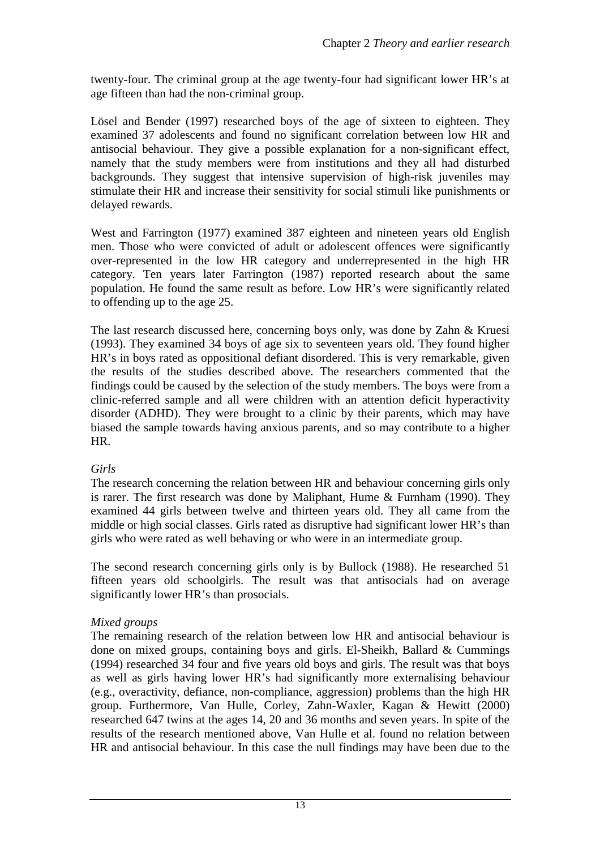twenty-four. The criminal group at the age twenty-four had significant lower HR's at age fifteen than had the non-criminal group.

Lösel and Bender (1997) researched boys of the age of sixteen to eighteen. They examined 37 adolescents and found no significant correlation between low HR and antisocial behaviour. They give a possible explanation for a non-significant effect, namely that the study members were from institutions and they all had disturbed backgrounds. They suggest that intensive supervision of high-risk juveniles may stimulate their HR and increase their sensitivity for social stimuli like punishments or delayed rewards.

West and Farrington (1977) examined 387 eighteen and nineteen years old English men. Those who were convicted of adult or adolescent offences were significantly over-represented in the low HR category and underrepresented in the high HR category. Ten years later Farrington (1987) reported research about the same population. He found the same result as before. Low HR's were significantly related to offending up to the age 25.

The last research discussed here, concerning boys only, was done by Zahn & Kruesi (1993). They examined 34 boys of age six to seventeen years old. They found higher HR's in boys rated as oppositional defiant disordered. This is very remarkable, given the results of the studies described above. The researchers commented that the findings could be caused by the selection of the study members. The boys were from a clinic-referred sample and all were children with an attention deficit hyperactivity disorder (ADHD). They were brought to a clinic by their parents, which may have biased the sample towards having anxious parents, and so may contribute to a higher HR.

#### *Girls*

The research concerning the relation between HR and behaviour concerning girls only is rarer. The first research was done by Maliphant, Hume & Furnham (1990). They examined 44 girls between twelve and thirteen years old. They all came from the middle or high social classes. Girls rated as disruptive had significant lower HR's than girls who were rated as well behaving or who were in an intermediate group.

The second research concerning girls only is by Bullock (1988). He researched 51 fifteen years old schoolgirls. The result was that antisocials had on average significantly lower HR's than prosocials.

#### *Mixed groups*

The remaining research of the relation between low HR and antisocial behaviour is done on mixed groups, containing boys and girls. El-Sheikh, Ballard & Cummings (1994) researched 34 four and five years old boys and girls. The result was that boys as well as girls having lower HR's had significantly more externalising behaviour (e.g., overactivity, defiance, non-compliance, aggression) problems than the high HR group. Furthermore, Van Hulle, Corley, Zahn-Waxler, Kagan & Hewitt (2000) researched 647 twins at the ages 14, 20 and 36 months and seven years. In spite of the results of the research mentioned above, Van Hulle et al. found no relation between HR and antisocial behaviour. In this case the null findings may have been due to the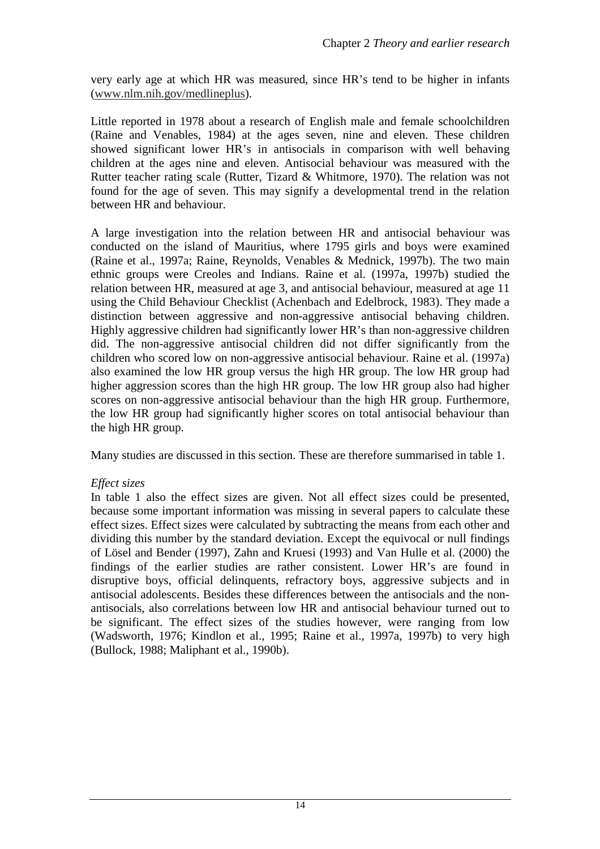very early age at which HR was measured, since HR's tend to be higher in infants (www.nlm.nih.gov/medlineplus).

Little reported in 1978 about a research of English male and female schoolchildren (Raine and Venables, 1984) at the ages seven, nine and eleven. These children showed significant lower HR's in antisocials in comparison with well behaving children at the ages nine and eleven. Antisocial behaviour was measured with the Rutter teacher rating scale (Rutter, Tizard & Whitmore, 1970). The relation was not found for the age of seven. This may signify a developmental trend in the relation between HR and behaviour.

A large investigation into the relation between HR and antisocial behaviour was conducted on the island of Mauritius, where 1795 girls and boys were examined (Raine et al., 1997a; Raine, Reynolds, Venables & Mednick, 1997b). The two main ethnic groups were Creoles and Indians. Raine et al. (1997a, 1997b) studied the relation between HR, measured at age 3, and antisocial behaviour, measured at age 11 using the Child Behaviour Checklist (Achenbach and Edelbrock, 1983). They made a distinction between aggressive and non-aggressive antisocial behaving children. Highly aggressive children had significantly lower HR's than non-aggressive children did. The non-aggressive antisocial children did not differ significantly from the children who scored low on non-aggressive antisocial behaviour. Raine et al. (1997a) also examined the low HR group versus the high HR group. The low HR group had higher aggression scores than the high HR group. The low HR group also had higher scores on non-aggressive antisocial behaviour than the high HR group. Furthermore, the low HR group had significantly higher scores on total antisocial behaviour than the high HR group.

Many studies are discussed in this section. These are therefore summarised in table 1.

#### *Effect sizes*

In table 1 also the effect sizes are given. Not all effect sizes could be presented, because some important information was missing in several papers to calculate these effect sizes. Effect sizes were calculated by subtracting the means from each other and dividing this number by the standard deviation. Except the equivocal or null findings of Lösel and Bender (1997), Zahn and Kruesi (1993) and Van Hulle et al. (2000) the findings of the earlier studies are rather consistent. Lower HR's are found in disruptive boys, official delinquents, refractory boys, aggressive subjects and in antisocial adolescents. Besides these differences between the antisocials and the nonantisocials, also correlations between low HR and antisocial behaviour turned out to be significant. The effect sizes of the studies however, were ranging from low (Wadsworth, 1976; Kindlon et al., 1995; Raine et al., 1997a, 1997b) to very high (Bullock, 1988; Maliphant et al., 1990b).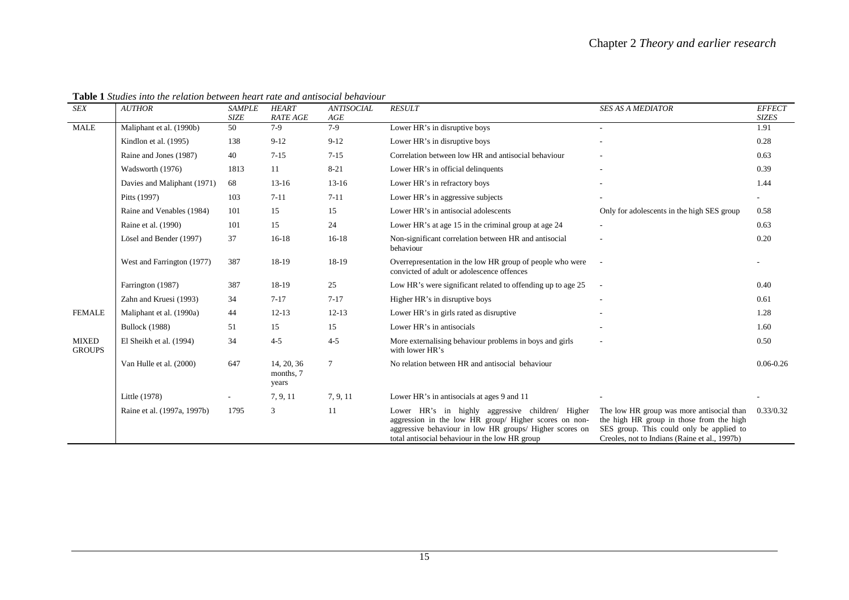| <b>SEX</b>                    | <b>AUTHOR</b>               | <b>SAMPLE</b><br><b>SIZE</b> | <b>HEART</b><br><b>RATE AGE</b>  | <b>ANTISOCIAL</b><br>$\mathcal{A}GE$ | <b>RESULT</b>                                                                                                                                                                                                          | <b>SES AS A MEDIATOR</b>                                                                                                                                                           | <b>EFFECT</b><br><b>SIZES</b> |
|-------------------------------|-----------------------------|------------------------------|----------------------------------|--------------------------------------|------------------------------------------------------------------------------------------------------------------------------------------------------------------------------------------------------------------------|------------------------------------------------------------------------------------------------------------------------------------------------------------------------------------|-------------------------------|
| <b>MALE</b>                   | Maliphant et al. (1990b)    | 50                           | $7-9$                            | $7-9$                                | Lower HR's in disruptive boys                                                                                                                                                                                          | $\sim$                                                                                                                                                                             | 1.91                          |
|                               | Kindlon et al. (1995)       | 138                          | $9 - 12$                         | $9 - 12$                             | Lower HR's in disruptive boys                                                                                                                                                                                          |                                                                                                                                                                                    | 0.28                          |
|                               | Raine and Jones (1987)      | 40                           | $7 - 15$                         | $7 - 15$                             | Correlation between low HR and antisocial behaviour                                                                                                                                                                    |                                                                                                                                                                                    | 0.63                          |
|                               | Wadsworth (1976)            | 1813                         | 11                               | $8 - 21$                             | Lower HR's in official delinquents                                                                                                                                                                                     |                                                                                                                                                                                    | 0.39                          |
|                               | Davies and Maliphant (1971) | 68                           | $13-16$                          | $13-16$                              | Lower HR's in refractory boys                                                                                                                                                                                          |                                                                                                                                                                                    | 1.44                          |
|                               | Pitts (1997)                | 103                          | $7 - 11$                         | $7 - 11$                             | Lower HR's in aggressive subjects                                                                                                                                                                                      |                                                                                                                                                                                    |                               |
|                               | Raine and Venables (1984)   | 101                          | 15                               | 15                                   | Lower HR's in antisocial adolescents                                                                                                                                                                                   | Only for adolescents in the high SES group                                                                                                                                         | 0.58                          |
|                               | Raine et al. (1990)         | 101                          | 15                               | 24                                   | Lower HR's at age 15 in the criminal group at age 24                                                                                                                                                                   |                                                                                                                                                                                    | 0.63                          |
|                               | Lösel and Bender (1997)     | 37                           | $16-18$                          | $16-18$                              | Non-significant correlation between HR and antisocial<br>behaviour                                                                                                                                                     |                                                                                                                                                                                    | 0.20                          |
|                               | West and Farrington (1977)  | 387                          | 18-19                            | 18-19                                | Overrepresentation in the low HR group of people who were<br>convicted of adult or adolescence offences                                                                                                                |                                                                                                                                                                                    |                               |
|                               | Farrington (1987)           | 387                          | 18-19                            | 25                                   | Low HR's were significant related to offending up to age 25                                                                                                                                                            |                                                                                                                                                                                    | 0.40                          |
|                               | Zahn and Kruesi (1993)      | 34                           | $7 - 17$                         | $7 - 17$                             | Higher HR's in disruptive boys                                                                                                                                                                                         |                                                                                                                                                                                    | 0.61                          |
| <b>FEMALE</b>                 | Maliphant et al. (1990a)    | 44                           | $12 - 13$                        | $12 - 13$                            | Lower HR's in girls rated as disruptive                                                                                                                                                                                |                                                                                                                                                                                    | 1.28                          |
|                               | <b>Bullock</b> (1988)       | 51                           | 15                               | 15                                   | Lower HR's in antisocials                                                                                                                                                                                              |                                                                                                                                                                                    | 1.60                          |
| <b>MIXED</b><br><b>GROUPS</b> | El Sheikh et al. (1994)     | 34                           | $4 - 5$                          | $4 - 5$                              | More externalising behaviour problems in boys and girls<br>with lower HR's                                                                                                                                             |                                                                                                                                                                                    | 0.50                          |
|                               | Van Hulle et al. (2000)     | 647                          | 14, 20, 36<br>months, 7<br>years | $\tau$                               | No relation between HR and antisocial behaviour                                                                                                                                                                        |                                                                                                                                                                                    | $0.06 - 0.26$                 |
|                               | Little (1978)               |                              | 7, 9, 11                         | 7, 9, 11                             | Lower HR's in antisocials at ages 9 and 11                                                                                                                                                                             |                                                                                                                                                                                    |                               |
|                               | Raine et al. (1997a, 1997b) | 1795                         | 3                                | 11                                   | Lower HR's in highly aggressive children/ Higher<br>aggression in the low HR group/ Higher scores on non-<br>aggressive behaviour in low HR groups/ Higher scores on<br>total antisocial behaviour in the low HR group | The low HR group was more antisocial than<br>the high HR group in those from the high<br>SES group. This could only be applied to<br>Creoles, not to Indians (Raine et al., 1997b) | 0.33/0.32                     |

**Table 1** *Studies into the relation between heart rate and antisocial behaviour*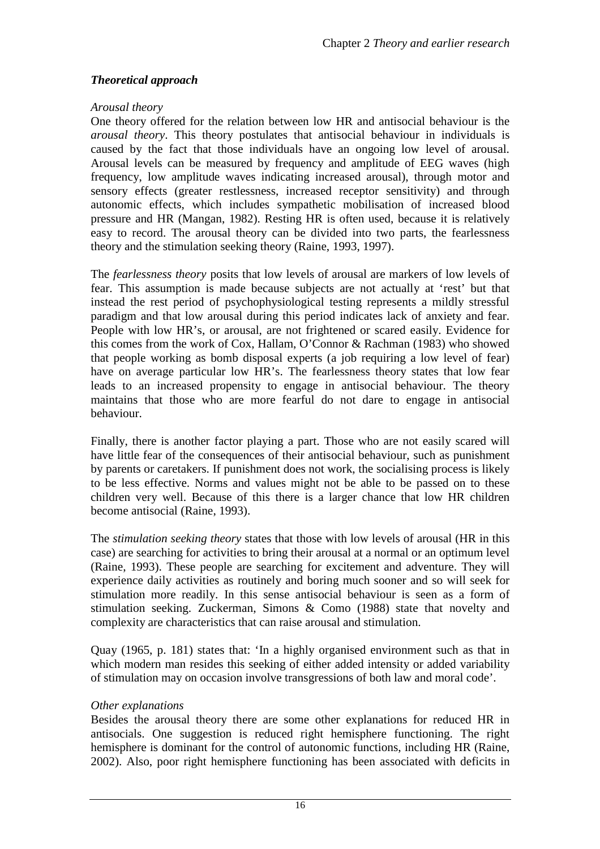#### *Theoretical approach*

#### *Arousal theory*

One theory offered for the relation between low HR and antisocial behaviour is the *arousal theory*. This theory postulates that antisocial behaviour in individuals is caused by the fact that those individuals have an ongoing low level of arousal. Arousal levels can be measured by frequency and amplitude of EEG waves (high frequency, low amplitude waves indicating increased arousal), through motor and sensory effects (greater restlessness, increased receptor sensitivity) and through autonomic effects, which includes sympathetic mobilisation of increased blood pressure and HR (Mangan, 1982). Resting HR is often used, because it is relatively easy to record. The arousal theory can be divided into two parts, the fearlessness theory and the stimulation seeking theory (Raine, 1993, 1997).

The *fearlessness theory* posits that low levels of arousal are markers of low levels of fear. This assumption is made because subjects are not actually at 'rest' but that instead the rest period of psychophysiological testing represents a mildly stressful paradigm and that low arousal during this period indicates lack of anxiety and fear. People with low HR's, or arousal, are not frightened or scared easily. Evidence for this comes from the work of Cox, Hallam, O'Connor & Rachman (1983) who showed that people working as bomb disposal experts (a job requiring a low level of fear) have on average particular low HR's. The fearlessness theory states that low fear leads to an increased propensity to engage in antisocial behaviour. The theory maintains that those who are more fearful do not dare to engage in antisocial behaviour.

Finally, there is another factor playing a part. Those who are not easily scared will have little fear of the consequences of their antisocial behaviour, such as punishment by parents or caretakers. If punishment does not work, the socialising process is likely to be less effective. Norms and values might not be able to be passed on to these children very well. Because of this there is a larger chance that low HR children become antisocial (Raine, 1993).

The *stimulation seeking theory* states that those with low levels of arousal (HR in this case) are searching for activities to bring their arousal at a normal or an optimum level (Raine, 1993). These people are searching for excitement and adventure. They will experience daily activities as routinely and boring much sooner and so will seek for stimulation more readily. In this sense antisocial behaviour is seen as a form of stimulation seeking. Zuckerman, Simons & Como (1988) state that novelty and complexity are characteristics that can raise arousal and stimulation.

Quay (1965, p. 181) states that: 'In a highly organised environment such as that in which modern man resides this seeking of either added intensity or added variability of stimulation may on occasion involve transgressions of both law and moral code'.

#### *Other explanations*

Besides the arousal theory there are some other explanations for reduced HR in antisocials. One suggestion is reduced right hemisphere functioning. The right hemisphere is dominant for the control of autonomic functions, including HR (Raine, 2002). Also, poor right hemisphere functioning has been associated with deficits in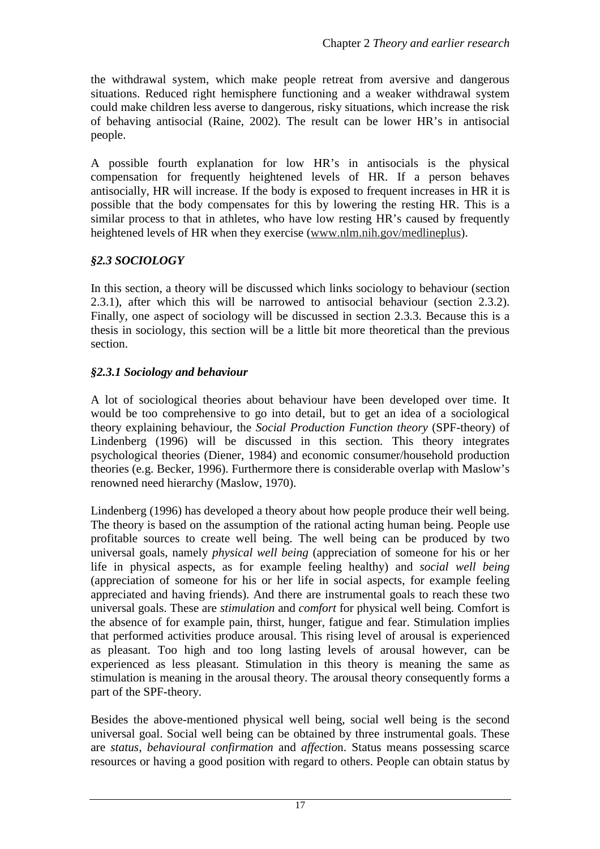the withdrawal system, which make people retreat from aversive and dangerous situations. Reduced right hemisphere functioning and a weaker withdrawal system could make children less averse to dangerous, risky situations, which increase the risk of behaving antisocial (Raine, 2002). The result can be lower HR's in antisocial people.

A possible fourth explanation for low HR's in antisocials is the physical compensation for frequently heightened levels of HR. If a person behaves antisocially, HR will increase. If the body is exposed to frequent increases in HR it is possible that the body compensates for this by lowering the resting HR. This is a similar process to that in athletes, who have low resting HR's caused by frequently heightened levels of HR when they exercise (www.nlm.nih.gov/medlineplus).

#### *§2.3 SOCIOLOGY*

In this section, a theory will be discussed which links sociology to behaviour (section 2.3.1), after which this will be narrowed to antisocial behaviour (section 2.3.2). Finally, one aspect of sociology will be discussed in section 2.3.3. Because this is a thesis in sociology, this section will be a little bit more theoretical than the previous section.

#### *§2.3.1 Sociology and behaviour*

A lot of sociological theories about behaviour have been developed over time. It would be too comprehensive to go into detail, but to get an idea of a sociological theory explaining behaviour, the *Social Production Function theory* (SPF-theory) of Lindenberg (1996) will be discussed in this section. This theory integrates psychological theories (Diener, 1984) and economic consumer/household production theories (e.g. Becker, 1996). Furthermore there is considerable overlap with Maslow's renowned need hierarchy (Maslow, 1970).

Lindenberg (1996) has developed a theory about how people produce their well being. The theory is based on the assumption of the rational acting human being. People use profitable sources to create well being. The well being can be produced by two universal goals, namely *physical well being* (appreciation of someone for his or her life in physical aspects, as for example feeling healthy) and *social well being*  (appreciation of someone for his or her life in social aspects, for example feeling appreciated and having friends). And there are instrumental goals to reach these two universal goals. These are *stimulation* and *comfort* for physical well being. Comfort is the absence of for example pain, thirst, hunger, fatigue and fear. Stimulation implies that performed activities produce arousal. This rising level of arousal is experienced as pleasant. Too high and too long lasting levels of arousal however, can be experienced as less pleasant. Stimulation in this theory is meaning the same as stimulation is meaning in the arousal theory. The arousal theory consequently forms a part of the SPF-theory.

Besides the above-mentioned physical well being, social well being is the second universal goal. Social well being can be obtained by three instrumental goals. These are *status, behavioural confirmation* and *affectio*n. Status means possessing scarce resources or having a good position with regard to others. People can obtain status by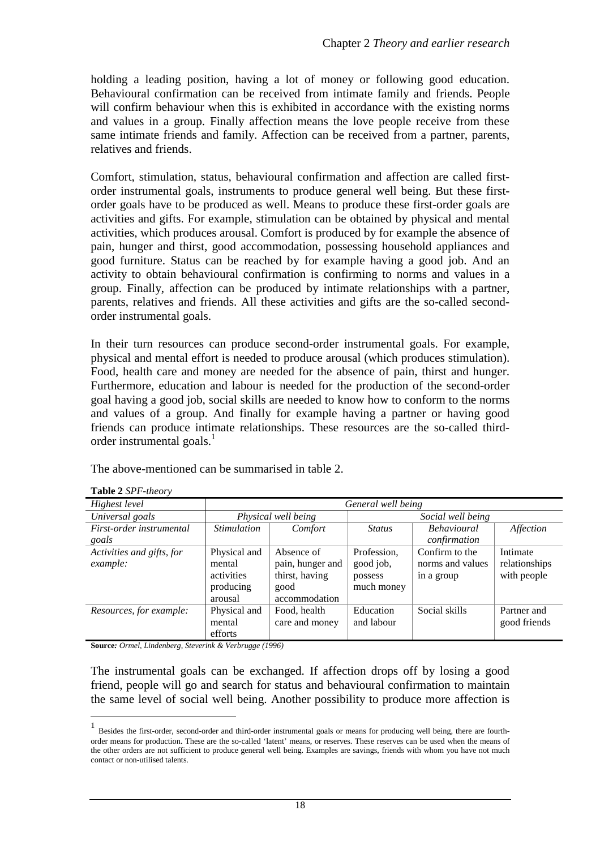holding a leading position, having a lot of money or following good education. Behavioural confirmation can be received from intimate family and friends. People will confirm behaviour when this is exhibited in accordance with the existing norms and values in a group. Finally affection means the love people receive from these same intimate friends and family. Affection can be received from a partner, parents, relatives and friends.

Comfort, stimulation, status, behavioural confirmation and affection are called firstorder instrumental goals, instruments to produce general well being. But these firstorder goals have to be produced as well. Means to produce these first-order goals are activities and gifts. For example, stimulation can be obtained by physical and mental activities, which produces arousal. Comfort is produced by for example the absence of pain, hunger and thirst, good accommodation, possessing household appliances and good furniture. Status can be reached by for example having a good job. And an activity to obtain behavioural confirmation is confirming to norms and values in a group. Finally, affection can be produced by intimate relationships with a partner, parents, relatives and friends. All these activities and gifts are the so-called secondorder instrumental goals.

In their turn resources can produce second-order instrumental goals. For example, physical and mental effort is needed to produce arousal (which produces stimulation). Food, health care and money are needed for the absence of pain, thirst and hunger. Furthermore, education and labour is needed for the production of the second-order goal having a good job, social skills are needed to know how to conform to the norms and values of a group. And finally for example having a partner or having good friends can produce intimate relationships. These resources are the so-called thirdorder instrumental goals.<sup>1</sup>

The above-mentioned can be summarised in table 2.

| Highest level             | General well being               |                     |                   |                    |               |  |  |
|---------------------------|----------------------------------|---------------------|-------------------|--------------------|---------------|--|--|
| Universal goals           |                                  | Physical well being | Social well being |                    |               |  |  |
| First-order instrumental  | <i><u><b>Stimulation</b></u></i> | Comfort             | <b>Status</b>     | <b>Behavioural</b> | Affection     |  |  |
| goals                     |                                  |                     |                   | confirmation       |               |  |  |
| Activities and gifts, for | Physical and                     | Absence of          | Profession,       | Confirm to the     | Intimate      |  |  |
| example:                  | mental                           | pain, hunger and    | good job,         | norms and values   | relationships |  |  |
|                           | activities                       | thirst, having      | possess           | in a group         | with people   |  |  |
|                           | producing                        | good                | much money        |                    |               |  |  |
|                           | arousal                          | accommodation       |                   |                    |               |  |  |
| Resources, for example:   | Physical and                     | Food, health        | Education         | Social skills      | Partner and   |  |  |
|                           | mental                           | care and money      | and labour        |                    | good friends  |  |  |
|                           | efforts                          |                     |                   |                    |               |  |  |

**Table 2** *SPF-theory* 

 $\overline{a}$ 

**Source***: Ormel, Lindenberg, Steverink & Verbrugge (1996)* 

The instrumental goals can be exchanged. If affection drops off by losing a good friend, people will go and search for status and behavioural confirmation to maintain the same level of social well being. Another possibility to produce more affection is

<sup>1</sup> Besides the first-order, second-order and third-order instrumental goals or means for producing well being, there are fourthorder means for production. These are the so-called 'latent' means, or reserves. These reserves can be used when the means of the other orders are not sufficient to produce general well being. Examples are savings, friends with whom you have not much contact or non-utilised talents.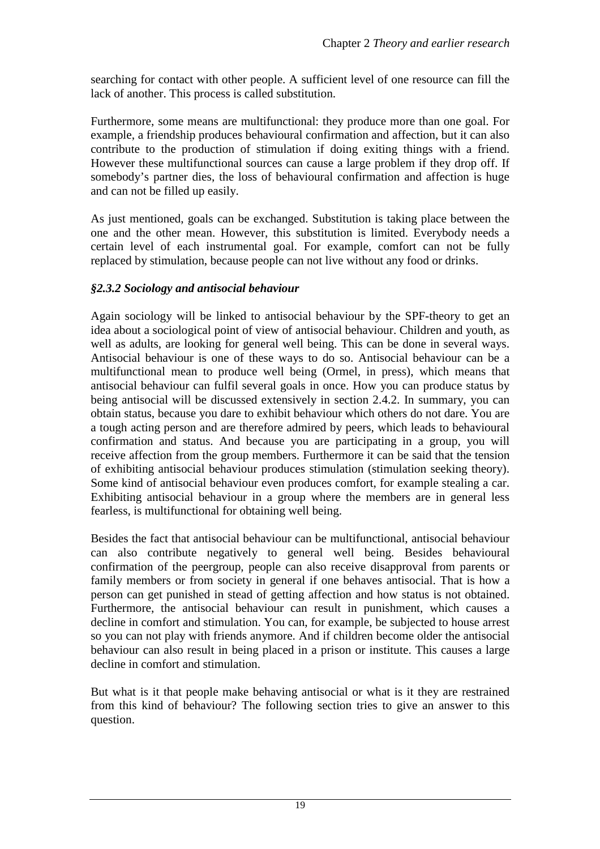searching for contact with other people. A sufficient level of one resource can fill the lack of another. This process is called substitution.

Furthermore, some means are multifunctional: they produce more than one goal. For example, a friendship produces behavioural confirmation and affection, but it can also contribute to the production of stimulation if doing exiting things with a friend. However these multifunctional sources can cause a large problem if they drop off. If somebody's partner dies, the loss of behavioural confirmation and affection is huge and can not be filled up easily.

As just mentioned, goals can be exchanged. Substitution is taking place between the one and the other mean. However, this substitution is limited. Everybody needs a certain level of each instrumental goal. For example, comfort can not be fully replaced by stimulation, because people can not live without any food or drinks.

#### *§2.3.2 Sociology and antisocial behaviour*

Again sociology will be linked to antisocial behaviour by the SPF-theory to get an idea about a sociological point of view of antisocial behaviour. Children and youth, as well as adults, are looking for general well being. This can be done in several ways. Antisocial behaviour is one of these ways to do so. Antisocial behaviour can be a multifunctional mean to produce well being (Ormel, in press), which means that antisocial behaviour can fulfil several goals in once. How you can produce status by being antisocial will be discussed extensively in section 2.4.2. In summary, you can obtain status, because you dare to exhibit behaviour which others do not dare. You are a tough acting person and are therefore admired by peers, which leads to behavioural confirmation and status. And because you are participating in a group, you will receive affection from the group members. Furthermore it can be said that the tension of exhibiting antisocial behaviour produces stimulation (stimulation seeking theory). Some kind of antisocial behaviour even produces comfort, for example stealing a car. Exhibiting antisocial behaviour in a group where the members are in general less fearless, is multifunctional for obtaining well being.

Besides the fact that antisocial behaviour can be multifunctional, antisocial behaviour can also contribute negatively to general well being. Besides behavioural confirmation of the peergroup, people can also receive disapproval from parents or family members or from society in general if one behaves antisocial. That is how a person can get punished in stead of getting affection and how status is not obtained. Furthermore, the antisocial behaviour can result in punishment, which causes a decline in comfort and stimulation. You can, for example, be subjected to house arrest so you can not play with friends anymore. And if children become older the antisocial behaviour can also result in being placed in a prison or institute. This causes a large decline in comfort and stimulation.

But what is it that people make behaving antisocial or what is it they are restrained from this kind of behaviour? The following section tries to give an answer to this question.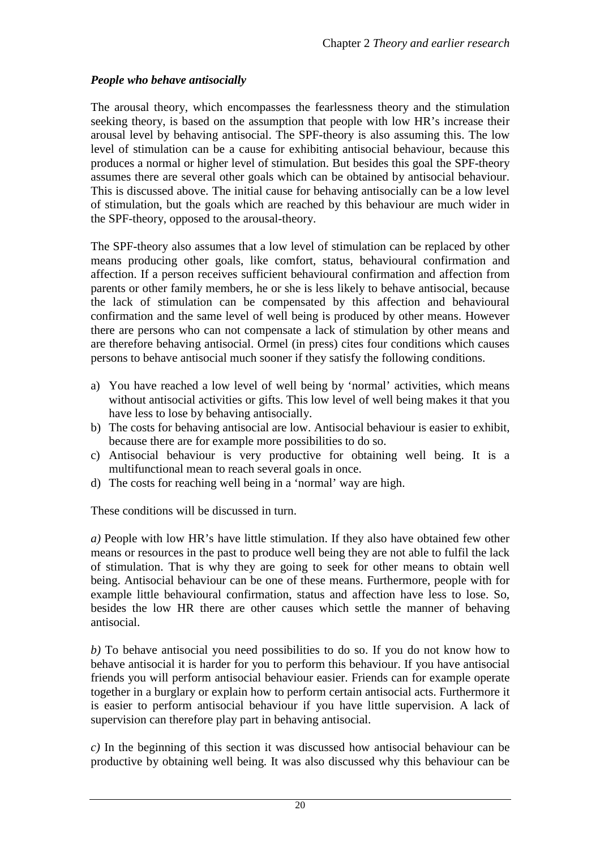#### *People who behave antisocially*

The arousal theory, which encompasses the fearlessness theory and the stimulation seeking theory, is based on the assumption that people with low HR's increase their arousal level by behaving antisocial. The SPF-theory is also assuming this. The low level of stimulation can be a cause for exhibiting antisocial behaviour, because this produces a normal or higher level of stimulation. But besides this goal the SPF-theory assumes there are several other goals which can be obtained by antisocial behaviour. This is discussed above. The initial cause for behaving antisocially can be a low level of stimulation, but the goals which are reached by this behaviour are much wider in the SPF-theory, opposed to the arousal-theory.

The SPF-theory also assumes that a low level of stimulation can be replaced by other means producing other goals, like comfort, status, behavioural confirmation and affection. If a person receives sufficient behavioural confirmation and affection from parents or other family members, he or she is less likely to behave antisocial, because the lack of stimulation can be compensated by this affection and behavioural confirmation and the same level of well being is produced by other means. However there are persons who can not compensate a lack of stimulation by other means and are therefore behaving antisocial. Ormel (in press) cites four conditions which causes persons to behave antisocial much sooner if they satisfy the following conditions.

- a) You have reached a low level of well being by 'normal' activities, which means without antisocial activities or gifts. This low level of well being makes it that you have less to lose by behaving antisocially.
- b) The costs for behaving antisocial are low. Antisocial behaviour is easier to exhibit, because there are for example more possibilities to do so.
- c) Antisocial behaviour is very productive for obtaining well being. It is a multifunctional mean to reach several goals in once.
- d) The costs for reaching well being in a 'normal' way are high.

These conditions will be discussed in turn.

*a)* People with low HR's have little stimulation. If they also have obtained few other means or resources in the past to produce well being they are not able to fulfil the lack of stimulation. That is why they are going to seek for other means to obtain well being. Antisocial behaviour can be one of these means. Furthermore, people with for example little behavioural confirmation, status and affection have less to lose. So, besides the low HR there are other causes which settle the manner of behaving antisocial.

*b)* To behave antisocial you need possibilities to do so. If you do not know how to behave antisocial it is harder for you to perform this behaviour. If you have antisocial friends you will perform antisocial behaviour easier. Friends can for example operate together in a burglary or explain how to perform certain antisocial acts. Furthermore it is easier to perform antisocial behaviour if you have little supervision. A lack of supervision can therefore play part in behaving antisocial.

*c)* In the beginning of this section it was discussed how antisocial behaviour can be productive by obtaining well being. It was also discussed why this behaviour can be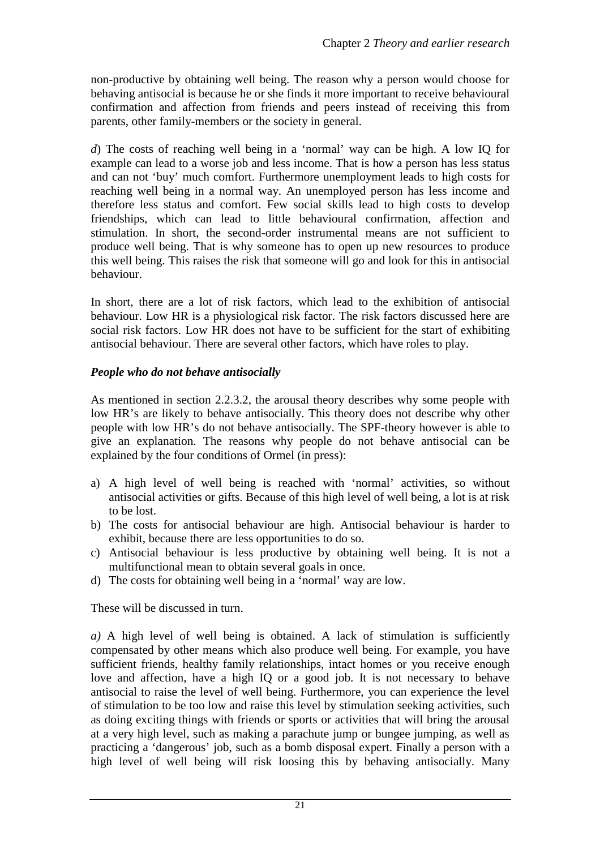non-productive by obtaining well being. The reason why a person would choose for behaving antisocial is because he or she finds it more important to receive behavioural confirmation and affection from friends and peers instead of receiving this from parents, other family-members or the society in general.

*d*) The costs of reaching well being in a 'normal' way can be high. A low IQ for example can lead to a worse job and less income. That is how a person has less status and can not 'buy' much comfort. Furthermore unemployment leads to high costs for reaching well being in a normal way. An unemployed person has less income and therefore less status and comfort. Few social skills lead to high costs to develop friendships, which can lead to little behavioural confirmation, affection and stimulation. In short, the second-order instrumental means are not sufficient to produce well being. That is why someone has to open up new resources to produce this well being. This raises the risk that someone will go and look for this in antisocial behaviour.

In short, there are a lot of risk factors, which lead to the exhibition of antisocial behaviour. Low HR is a physiological risk factor. The risk factors discussed here are social risk factors. Low HR does not have to be sufficient for the start of exhibiting antisocial behaviour. There are several other factors, which have roles to play.

#### *People who do not behave antisocially*

As mentioned in section 2.2.3.2, the arousal theory describes why some people with low HR's are likely to behave antisocially. This theory does not describe why other people with low HR's do not behave antisocially. The SPF-theory however is able to give an explanation. The reasons why people do not behave antisocial can be explained by the four conditions of Ormel (in press):

- a) A high level of well being is reached with 'normal' activities, so without antisocial activities or gifts. Because of this high level of well being, a lot is at risk to be lost.
- b) The costs for antisocial behaviour are high. Antisocial behaviour is harder to exhibit, because there are less opportunities to do so.
- c) Antisocial behaviour is less productive by obtaining well being. It is not a multifunctional mean to obtain several goals in once.
- d) The costs for obtaining well being in a 'normal' way are low.

These will be discussed in turn.

*a)* A high level of well being is obtained. A lack of stimulation is sufficiently compensated by other means which also produce well being. For example, you have sufficient friends, healthy family relationships, intact homes or you receive enough love and affection, have a high IQ or a good job. It is not necessary to behave antisocial to raise the level of well being. Furthermore, you can experience the level of stimulation to be too low and raise this level by stimulation seeking activities, such as doing exciting things with friends or sports or activities that will bring the arousal at a very high level, such as making a parachute jump or bungee jumping, as well as practicing a 'dangerous' job, such as a bomb disposal expert. Finally a person with a high level of well being will risk loosing this by behaving antisocially. Many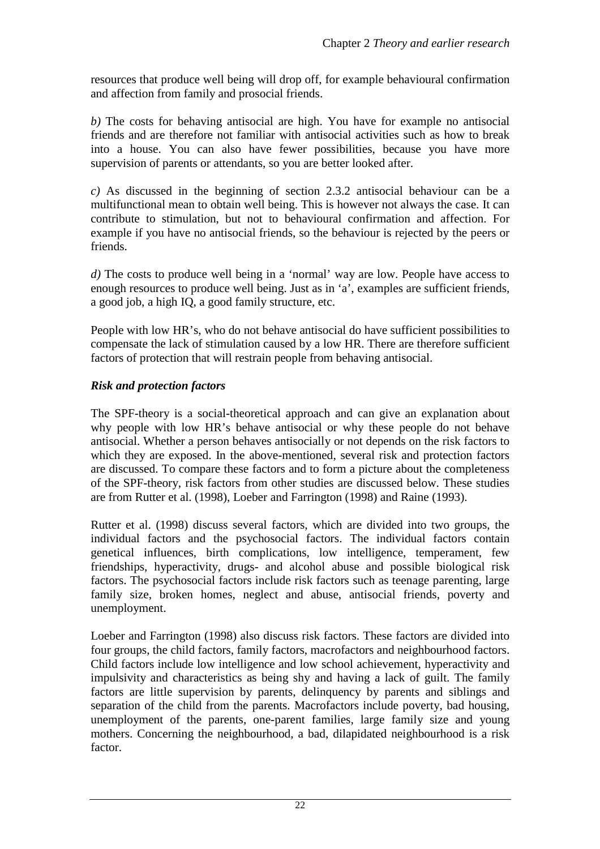resources that produce well being will drop off, for example behavioural confirmation and affection from family and prosocial friends.

*b)* The costs for behaving antisocial are high. You have for example no antisocial friends and are therefore not familiar with antisocial activities such as how to break into a house. You can also have fewer possibilities, because you have more supervision of parents or attendants, so you are better looked after.

*c)* As discussed in the beginning of section 2.3.2 antisocial behaviour can be a multifunctional mean to obtain well being. This is however not always the case. It can contribute to stimulation, but not to behavioural confirmation and affection. For example if you have no antisocial friends, so the behaviour is rejected by the peers or friends.

*d)* The costs to produce well being in a 'normal' way are low. People have access to enough resources to produce well being. Just as in 'a', examples are sufficient friends, a good job, a high IQ, a good family structure, etc.

People with low HR's, who do not behave antisocial do have sufficient possibilities to compensate the lack of stimulation caused by a low HR. There are therefore sufficient factors of protection that will restrain people from behaving antisocial.

#### *Risk and protection factors*

The SPF-theory is a social-theoretical approach and can give an explanation about why people with low HR's behave antisocial or why these people do not behave antisocial. Whether a person behaves antisocially or not depends on the risk factors to which they are exposed. In the above-mentioned, several risk and protection factors are discussed. To compare these factors and to form a picture about the completeness of the SPF-theory, risk factors from other studies are discussed below. These studies are from Rutter et al. (1998), Loeber and Farrington (1998) and Raine (1993).

Rutter et al. (1998) discuss several factors, which are divided into two groups, the individual factors and the psychosocial factors. The individual factors contain genetical influences, birth complications, low intelligence, temperament, few friendships, hyperactivity, drugs- and alcohol abuse and possible biological risk factors. The psychosocial factors include risk factors such as teenage parenting, large family size, broken homes, neglect and abuse, antisocial friends, poverty and unemployment.

Loeber and Farrington (1998) also discuss risk factors. These factors are divided into four groups, the child factors, family factors, macrofactors and neighbourhood factors. Child factors include low intelligence and low school achievement, hyperactivity and impulsivity and characteristics as being shy and having a lack of guilt. The family factors are little supervision by parents, delinquency by parents and siblings and separation of the child from the parents. Macrofactors include poverty, bad housing, unemployment of the parents, one-parent families, large family size and young mothers. Concerning the neighbourhood, a bad, dilapidated neighbourhood is a risk factor.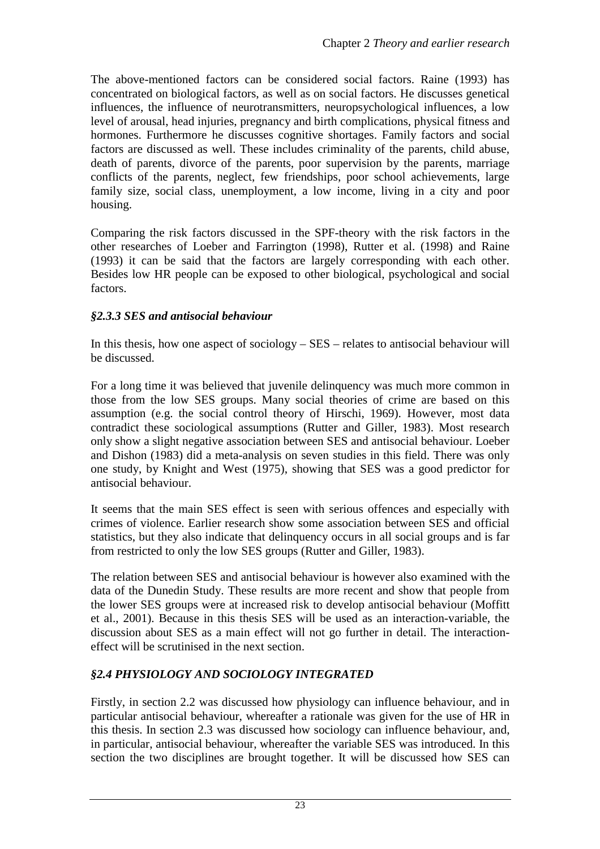The above-mentioned factors can be considered social factors. Raine (1993) has concentrated on biological factors, as well as on social factors. He discusses genetical influences, the influence of neurotransmitters, neuropsychological influences, a low level of arousal, head injuries, pregnancy and birth complications, physical fitness and hormones. Furthermore he discusses cognitive shortages. Family factors and social factors are discussed as well. These includes criminality of the parents, child abuse, death of parents, divorce of the parents, poor supervision by the parents, marriage conflicts of the parents, neglect, few friendships, poor school achievements, large family size, social class, unemployment, a low income, living in a city and poor housing.

Comparing the risk factors discussed in the SPF-theory with the risk factors in the other researches of Loeber and Farrington (1998), Rutter et al. (1998) and Raine (1993) it can be said that the factors are largely corresponding with each other. Besides low HR people can be exposed to other biological, psychological and social factors.

#### *§2.3.3 SES and antisocial behaviour*

In this thesis, how one aspect of sociology – SES – relates to antisocial behaviour will be discussed.

For a long time it was believed that juvenile delinquency was much more common in those from the low SES groups. Many social theories of crime are based on this assumption (e.g. the social control theory of Hirschi, 1969). However, most data contradict these sociological assumptions (Rutter and Giller, 1983). Most research only show a slight negative association between SES and antisocial behaviour. Loeber and Dishon (1983) did a meta-analysis on seven studies in this field. There was only one study, by Knight and West (1975), showing that SES was a good predictor for antisocial behaviour.

It seems that the main SES effect is seen with serious offences and especially with crimes of violence. Earlier research show some association between SES and official statistics, but they also indicate that delinquency occurs in all social groups and is far from restricted to only the low SES groups (Rutter and Giller, 1983).

The relation between SES and antisocial behaviour is however also examined with the data of the Dunedin Study. These results are more recent and show that people from the lower SES groups were at increased risk to develop antisocial behaviour (Moffitt et al., 2001). Because in this thesis SES will be used as an interaction-variable, the discussion about SES as a main effect will not go further in detail. The interactioneffect will be scrutinised in the next section.

#### *§2.4 PHYSIOLOGY AND SOCIOLOGY INTEGRATED*

Firstly, in section 2.2 was discussed how physiology can influence behaviour, and in particular antisocial behaviour, whereafter a rationale was given for the use of HR in this thesis. In section 2.3 was discussed how sociology can influence behaviour, and, in particular, antisocial behaviour, whereafter the variable SES was introduced. In this section the two disciplines are brought together. It will be discussed how SES can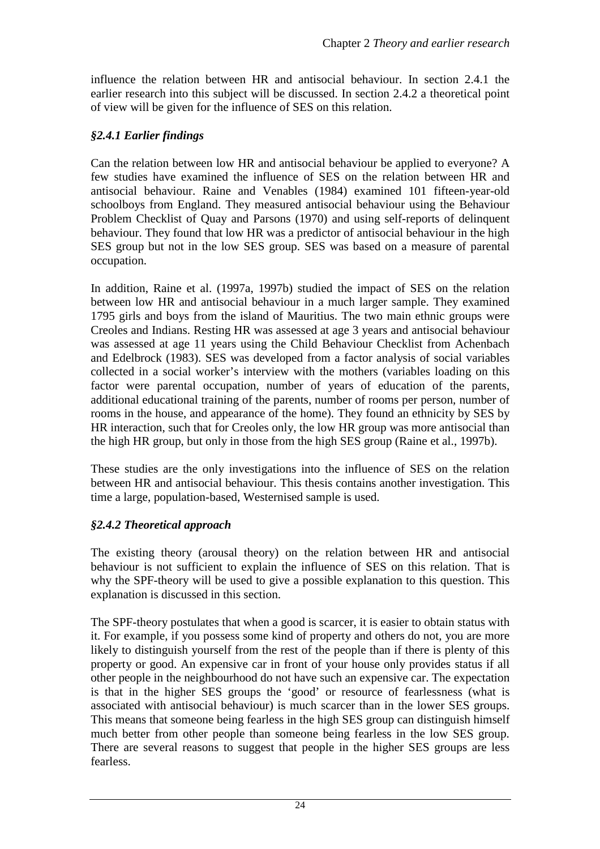influence the relation between HR and antisocial behaviour. In section 2.4.1 the earlier research into this subject will be discussed. In section 2.4.2 a theoretical point of view will be given for the influence of SES on this relation.

#### *§2.4.1 Earlier findings*

Can the relation between low HR and antisocial behaviour be applied to everyone? A few studies have examined the influence of SES on the relation between HR and antisocial behaviour. Raine and Venables (1984) examined 101 fifteen-year-old schoolboys from England. They measured antisocial behaviour using the Behaviour Problem Checklist of Quay and Parsons (1970) and using self-reports of delinquent behaviour. They found that low HR was a predictor of antisocial behaviour in the high SES group but not in the low SES group. SES was based on a measure of parental occupation.

In addition, Raine et al. (1997a, 1997b) studied the impact of SES on the relation between low HR and antisocial behaviour in a much larger sample. They examined 1795 girls and boys from the island of Mauritius. The two main ethnic groups were Creoles and Indians. Resting HR was assessed at age 3 years and antisocial behaviour was assessed at age 11 years using the Child Behaviour Checklist from Achenbach and Edelbrock (1983). SES was developed from a factor analysis of social variables collected in a social worker's interview with the mothers (variables loading on this factor were parental occupation, number of years of education of the parents, additional educational training of the parents, number of rooms per person, number of rooms in the house, and appearance of the home). They found an ethnicity by SES by HR interaction, such that for Creoles only, the low HR group was more antisocial than the high HR group, but only in those from the high SES group (Raine et al., 1997b).

These studies are the only investigations into the influence of SES on the relation between HR and antisocial behaviour. This thesis contains another investigation. This time a large, population-based, Westernised sample is used.

#### *§2.4.2 Theoretical approach*

The existing theory (arousal theory) on the relation between HR and antisocial behaviour is not sufficient to explain the influence of SES on this relation. That is why the SPF-theory will be used to give a possible explanation to this question. This explanation is discussed in this section.

The SPF-theory postulates that when a good is scarcer, it is easier to obtain status with it. For example, if you possess some kind of property and others do not, you are more likely to distinguish yourself from the rest of the people than if there is plenty of this property or good. An expensive car in front of your house only provides status if all other people in the neighbourhood do not have such an expensive car. The expectation is that in the higher SES groups the 'good' or resource of fearlessness (what is associated with antisocial behaviour) is much scarcer than in the lower SES groups. This means that someone being fearless in the high SES group can distinguish himself much better from other people than someone being fearless in the low SES group. There are several reasons to suggest that people in the higher SES groups are less fearless.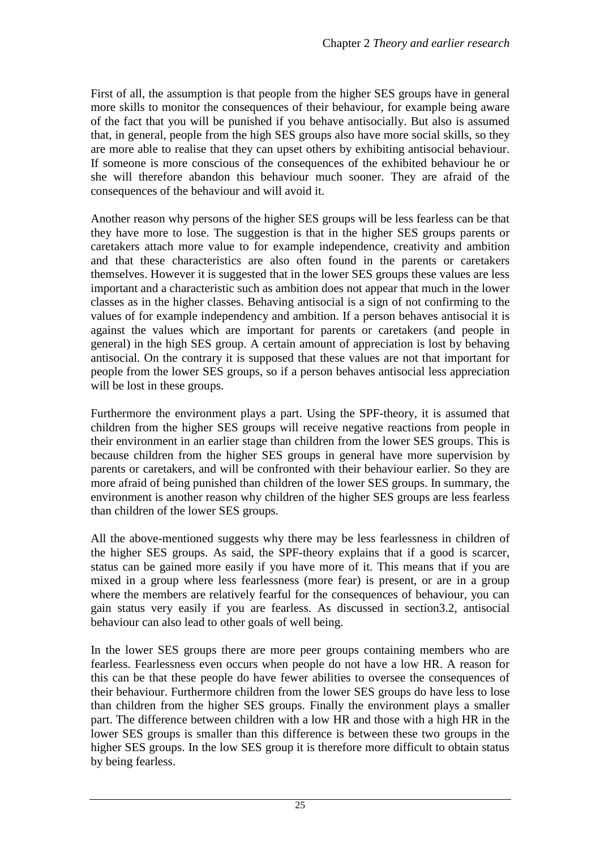First of all, the assumption is that people from the higher SES groups have in general more skills to monitor the consequences of their behaviour, for example being aware of the fact that you will be punished if you behave antisocially. But also is assumed that, in general, people from the high SES groups also have more social skills, so they are more able to realise that they can upset others by exhibiting antisocial behaviour. If someone is more conscious of the consequences of the exhibited behaviour he or she will therefore abandon this behaviour much sooner. They are afraid of the consequences of the behaviour and will avoid it.

Another reason why persons of the higher SES groups will be less fearless can be that they have more to lose. The suggestion is that in the higher SES groups parents or caretakers attach more value to for example independence, creativity and ambition and that these characteristics are also often found in the parents or caretakers themselves. However it is suggested that in the lower SES groups these values are less important and a characteristic such as ambition does not appear that much in the lower classes as in the higher classes. Behaving antisocial is a sign of not confirming to the values of for example independency and ambition. If a person behaves antisocial it is against the values which are important for parents or caretakers (and people in general) in the high SES group. A certain amount of appreciation is lost by behaving antisocial. On the contrary it is supposed that these values are not that important for people from the lower SES groups, so if a person behaves antisocial less appreciation will be lost in these groups.

Furthermore the environment plays a part. Using the SPF-theory, it is assumed that children from the higher SES groups will receive negative reactions from people in their environment in an earlier stage than children from the lower SES groups. This is because children from the higher SES groups in general have more supervision by parents or caretakers, and will be confronted with their behaviour earlier. So they are more afraid of being punished than children of the lower SES groups. In summary, the environment is another reason why children of the higher SES groups are less fearless than children of the lower SES groups.

All the above-mentioned suggests why there may be less fearlessness in children of the higher SES groups. As said, the SPF-theory explains that if a good is scarcer, status can be gained more easily if you have more of it. This means that if you are mixed in a group where less fearlessness (more fear) is present, or are in a group where the members are relatively fearful for the consequences of behaviour, you can gain status very easily if you are fearless. As discussed in section3.2, antisocial behaviour can also lead to other goals of well being.

In the lower SES groups there are more peer groups containing members who are fearless. Fearlessness even occurs when people do not have a low HR. A reason for this can be that these people do have fewer abilities to oversee the consequences of their behaviour. Furthermore children from the lower SES groups do have less to lose than children from the higher SES groups. Finally the environment plays a smaller part. The difference between children with a low HR and those with a high HR in the lower SES groups is smaller than this difference is between these two groups in the higher SES groups. In the low SES group it is therefore more difficult to obtain status by being fearless.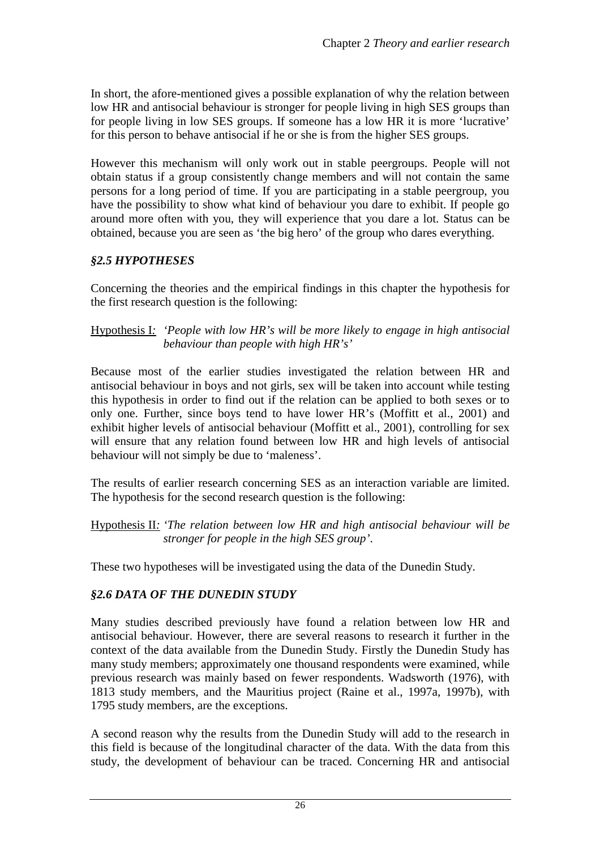In short, the afore-mentioned gives a possible explanation of why the relation between low HR and antisocial behaviour is stronger for people living in high SES groups than for people living in low SES groups. If someone has a low HR it is more 'lucrative' for this person to behave antisocial if he or she is from the higher SES groups.

However this mechanism will only work out in stable peergroups. People will not obtain status if a group consistently change members and will not contain the same persons for a long period of time. If you are participating in a stable peergroup, you have the possibility to show what kind of behaviour you dare to exhibit. If people go around more often with you, they will experience that you dare a lot. Status can be obtained, because you are seen as 'the big hero' of the group who dares everything.

#### *§2.5 HYPOTHESES*

Concerning the theories and the empirical findings in this chapter the hypothesis for the first research question is the following:

#### Hypothesis I*: 'People with low HR's will be more likely to engage in high antisocial behaviour than people with high HR's'*

Because most of the earlier studies investigated the relation between HR and antisocial behaviour in boys and not girls, sex will be taken into account while testing this hypothesis in order to find out if the relation can be applied to both sexes or to only one. Further, since boys tend to have lower HR's (Moffitt et al., 2001) and exhibit higher levels of antisocial behaviour (Moffitt et al., 2001), controlling for sex will ensure that any relation found between low HR and high levels of antisocial behaviour will not simply be due to 'maleness'.

The results of earlier research concerning SES as an interaction variable are limited. The hypothesis for the second research question is the following:

Hypothesis II*: 'The relation between low HR and high antisocial behaviour will be stronger for people in the high SES group'*.

These two hypotheses will be investigated using the data of the Dunedin Study.

#### *§2.6 DATA OF THE DUNEDIN STUDY*

Many studies described previously have found a relation between low HR and antisocial behaviour. However, there are several reasons to research it further in the context of the data available from the Dunedin Study. Firstly the Dunedin Study has many study members; approximately one thousand respondents were examined, while previous research was mainly based on fewer respondents. Wadsworth (1976), with 1813 study members, and the Mauritius project (Raine et al., 1997a, 1997b), with 1795 study members, are the exceptions.

A second reason why the results from the Dunedin Study will add to the research in this field is because of the longitudinal character of the data. With the data from this study, the development of behaviour can be traced. Concerning HR and antisocial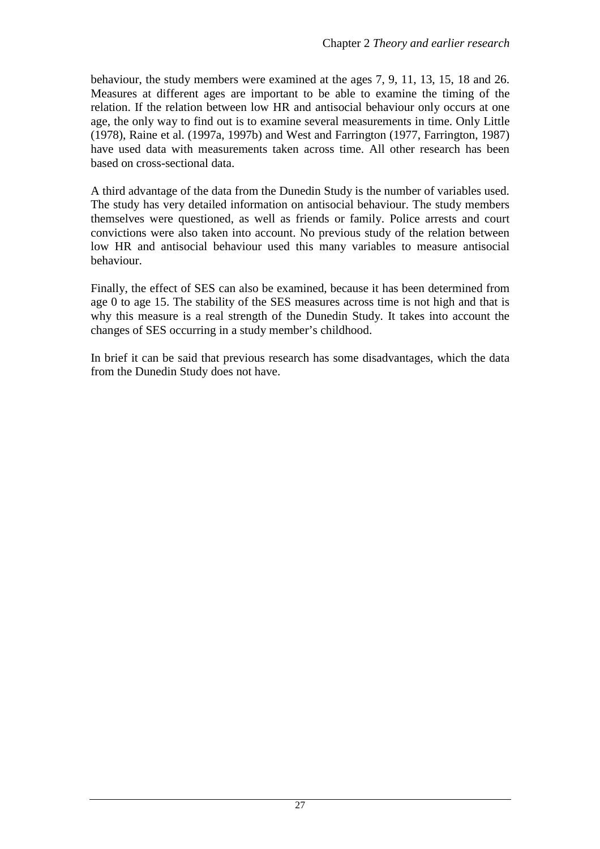behaviour, the study members were examined at the ages 7, 9, 11, 13, 15, 18 and 26. Measures at different ages are important to be able to examine the timing of the relation. If the relation between low HR and antisocial behaviour only occurs at one age, the only way to find out is to examine several measurements in time. Only Little (1978), Raine et al. (1997a, 1997b) and West and Farrington (1977, Farrington, 1987) have used data with measurements taken across time. All other research has been based on cross-sectional data.

A third advantage of the data from the Dunedin Study is the number of variables used. The study has very detailed information on antisocial behaviour. The study members themselves were questioned, as well as friends or family. Police arrests and court convictions were also taken into account. No previous study of the relation between low HR and antisocial behaviour used this many variables to measure antisocial behaviour.

Finally, the effect of SES can also be examined, because it has been determined from age 0 to age 15. The stability of the SES measures across time is not high and that is why this measure is a real strength of the Dunedin Study. It takes into account the changes of SES occurring in a study member's childhood.

In brief it can be said that previous research has some disadvantages, which the data from the Dunedin Study does not have.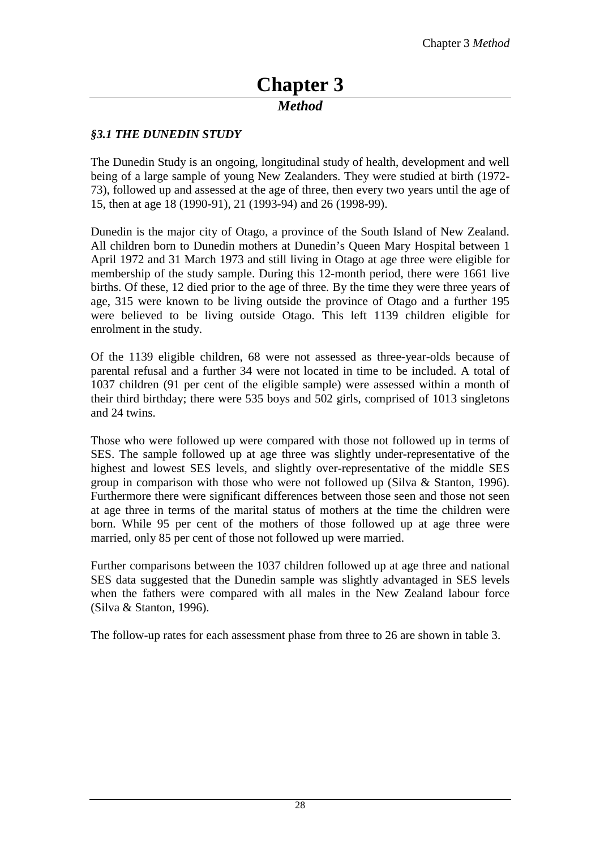# **Chapter 3**

#### *Method*

#### *§3.1 THE DUNEDIN STUDY*

The Dunedin Study is an ongoing, longitudinal study of health, development and well being of a large sample of young New Zealanders. They were studied at birth (1972- 73), followed up and assessed at the age of three, then every two years until the age of 15, then at age 18 (1990-91), 21 (1993-94) and 26 (1998-99).

Dunedin is the major city of Otago, a province of the South Island of New Zealand. All children born to Dunedin mothers at Dunedin's Queen Mary Hospital between 1 April 1972 and 31 March 1973 and still living in Otago at age three were eligible for membership of the study sample. During this 12-month period, there were 1661 live births. Of these, 12 died prior to the age of three. By the time they were three years of age, 315 were known to be living outside the province of Otago and a further 195 were believed to be living outside Otago. This left 1139 children eligible for enrolment in the study.

Of the 1139 eligible children, 68 were not assessed as three-year-olds because of parental refusal and a further 34 were not located in time to be included. A total of 1037 children (91 per cent of the eligible sample) were assessed within a month of their third birthday; there were 535 boys and 502 girls, comprised of 1013 singletons and 24 twins.

Those who were followed up were compared with those not followed up in terms of SES. The sample followed up at age three was slightly under-representative of the highest and lowest SES levels, and slightly over-representative of the middle SES group in comparison with those who were not followed up (Silva & Stanton, 1996). Furthermore there were significant differences between those seen and those not seen at age three in terms of the marital status of mothers at the time the children were born. While 95 per cent of the mothers of those followed up at age three were married, only 85 per cent of those not followed up were married.

Further comparisons between the 1037 children followed up at age three and national SES data suggested that the Dunedin sample was slightly advantaged in SES levels when the fathers were compared with all males in the New Zealand labour force (Silva & Stanton, 1996).

The follow-up rates for each assessment phase from three to 26 are shown in table 3.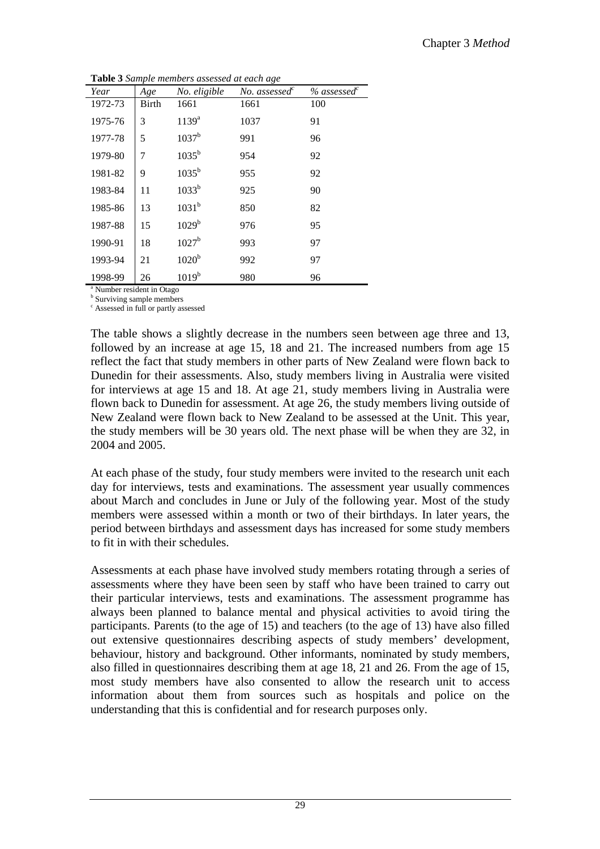**Table 3** *Sample members assessed at each age* 

|                               | $\overline{ }$ |                   |                           |            |
|-------------------------------|----------------|-------------------|---------------------------|------------|
| Year                          | Age            | No. eligible      | No. assessed <sup>c</sup> | % assessed |
| 1972-73                       | <b>Birth</b>   | 1661              | 1661                      | 100        |
| 1975-76                       | 3              | $1139^{a}$        | 1037                      | 91         |
| 1977-78                       | 5              | 1037 <sup>b</sup> | 991                       | 96         |
| 1979-80                       | 7              | $1035^{b}$        | 954                       | 92         |
| 1981-82                       | 9              | $1035^{\rm b}$    | 955                       | 92         |
| 1983-84                       | 11             | 1033 <sup>b</sup> | 925                       | 90         |
| 1985-86                       | 13             | $1031^{b}$        | 850                       | 82         |
| 1987-88                       | 15             | 1029 <sup>b</sup> | 976                       | 95         |
| 1990-91                       | 18             | $1027^{\rm b}$    | 993                       | 97         |
| 1993-94                       | 21             | 1020 <sup>b</sup> | 992                       | 97         |
| 1998-99                       | 26             | 1019 <sup>b</sup> | 980                       | 96         |
| $^a$ Number resident in Otego |                |                   |                           |            |

Number resident in Otago

**b** Surviving sample members

c Assessed in full or partly assessed

The table shows a slightly decrease in the numbers seen between age three and 13, followed by an increase at age 15, 18 and 21. The increased numbers from age 15 reflect the fact that study members in other parts of New Zealand were flown back to Dunedin for their assessments. Also, study members living in Australia were visited for interviews at age 15 and 18. At age 21, study members living in Australia were flown back to Dunedin for assessment. At age 26, the study members living outside of New Zealand were flown back to New Zealand to be assessed at the Unit. This year, the study members will be 30 years old. The next phase will be when they are 32, in 2004 and 2005.

At each phase of the study, four study members were invited to the research unit each day for interviews, tests and examinations. The assessment year usually commences about March and concludes in June or July of the following year. Most of the study members were assessed within a month or two of their birthdays. In later years, the period between birthdays and assessment days has increased for some study members to fit in with their schedules.

Assessments at each phase have involved study members rotating through a series of assessments where they have been seen by staff who have been trained to carry out their particular interviews, tests and examinations. The assessment programme has always been planned to balance mental and physical activities to avoid tiring the participants. Parents (to the age of 15) and teachers (to the age of 13) have also filled out extensive questionnaires describing aspects of study members' development, behaviour, history and background. Other informants, nominated by study members, also filled in questionnaires describing them at age 18, 21 and 26. From the age of 15, most study members have also consented to allow the research unit to access information about them from sources such as hospitals and police on the understanding that this is confidential and for research purposes only.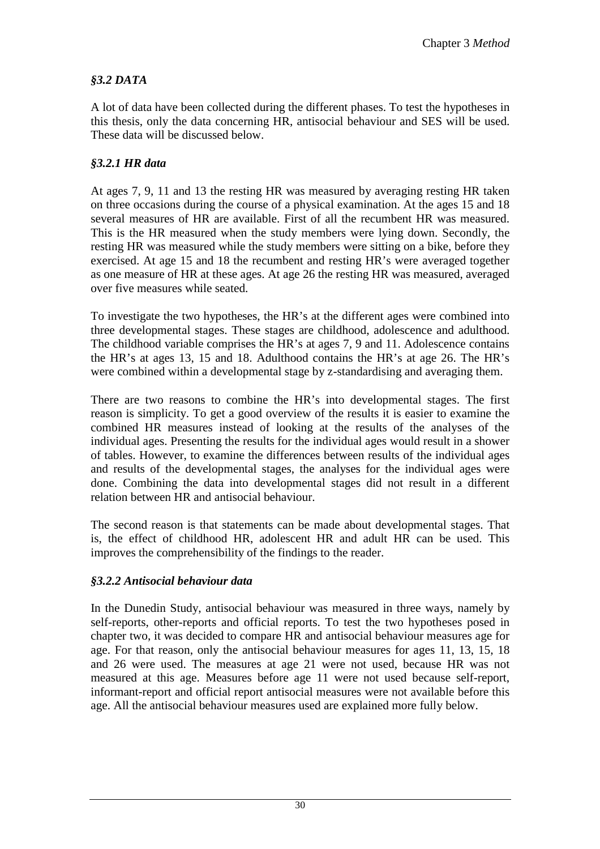#### *§3.2 DATA*

A lot of data have been collected during the different phases. To test the hypotheses in this thesis, only the data concerning HR, antisocial behaviour and SES will be used. These data will be discussed below.

#### *§3.2.1 HR data*

At ages 7, 9, 11 and 13 the resting HR was measured by averaging resting HR taken on three occasions during the course of a physical examination. At the ages 15 and 18 several measures of HR are available. First of all the recumbent HR was measured. This is the HR measured when the study members were lying down. Secondly, the resting HR was measured while the study members were sitting on a bike, before they exercised. At age 15 and 18 the recumbent and resting HR's were averaged together as one measure of HR at these ages. At age 26 the resting HR was measured, averaged over five measures while seated.

To investigate the two hypotheses, the HR's at the different ages were combined into three developmental stages. These stages are childhood, adolescence and adulthood. The childhood variable comprises the HR's at ages 7, 9 and 11. Adolescence contains the HR's at ages 13, 15 and 18. Adulthood contains the HR's at age 26. The HR's were combined within a developmental stage by z-standardising and averaging them.

There are two reasons to combine the HR's into developmental stages. The first reason is simplicity. To get a good overview of the results it is easier to examine the combined HR measures instead of looking at the results of the analyses of the individual ages. Presenting the results for the individual ages would result in a shower of tables. However, to examine the differences between results of the individual ages and results of the developmental stages, the analyses for the individual ages were done. Combining the data into developmental stages did not result in a different relation between HR and antisocial behaviour.

The second reason is that statements can be made about developmental stages. That is, the effect of childhood HR, adolescent HR and adult HR can be used. This improves the comprehensibility of the findings to the reader.

#### *§3.2.2 Antisocial behaviour data*

In the Dunedin Study, antisocial behaviour was measured in three ways, namely by self-reports, other-reports and official reports. To test the two hypotheses posed in chapter two, it was decided to compare HR and antisocial behaviour measures age for age. For that reason, only the antisocial behaviour measures for ages 11, 13, 15, 18 and 26 were used. The measures at age 21 were not used, because HR was not measured at this age. Measures before age 11 were not used because self-report, informant-report and official report antisocial measures were not available before this age. All the antisocial behaviour measures used are explained more fully below.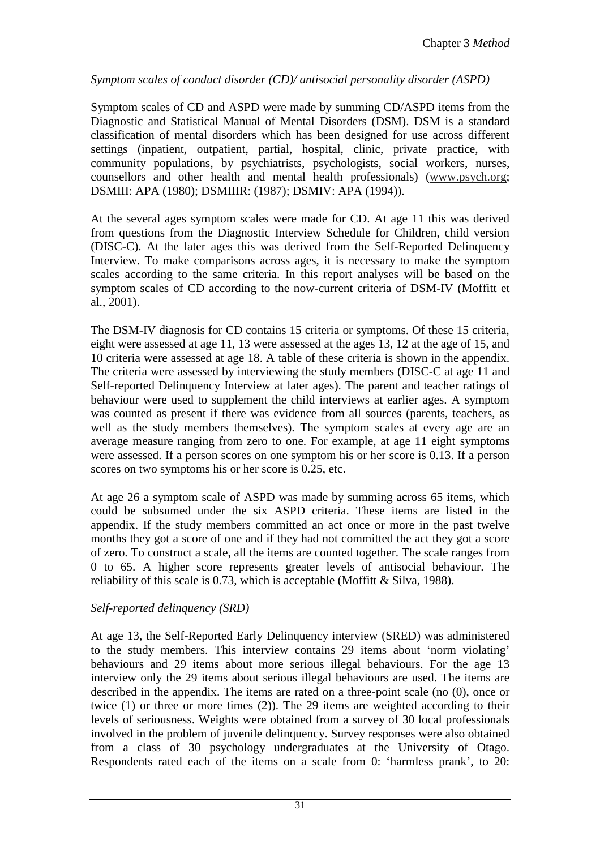#### *Symptom scales of conduct disorder (CD)/ antisocial personality disorder (ASPD)*

Symptom scales of CD and ASPD were made by summing CD/ASPD items from the Diagnostic and Statistical Manual of Mental Disorders (DSM). DSM is a standard classification of mental disorders which has been designed for use across different settings (inpatient, outpatient, partial, hospital, clinic, private practice, with community populations, by psychiatrists, psychologists, social workers, nurses, counsellors and other health and mental health professionals) (www.psych.org; DSMIII: APA (1980); DSMIIIR: (1987); DSMIV: APA (1994)).

At the several ages symptom scales were made for CD. At age 11 this was derived from questions from the Diagnostic Interview Schedule for Children, child version (DISC-C). At the later ages this was derived from the Self-Reported Delinquency Interview. To make comparisons across ages, it is necessary to make the symptom scales according to the same criteria. In this report analyses will be based on the symptom scales of CD according to the now-current criteria of DSM-IV (Moffitt et al., 2001).

The DSM-IV diagnosis for CD contains 15 criteria or symptoms. Of these 15 criteria, eight were assessed at age 11, 13 were assessed at the ages 13, 12 at the age of 15, and 10 criteria were assessed at age 18. A table of these criteria is shown in the appendix. The criteria were assessed by interviewing the study members (DISC-C at age 11 and Self-reported Delinquency Interview at later ages). The parent and teacher ratings of behaviour were used to supplement the child interviews at earlier ages. A symptom was counted as present if there was evidence from all sources (parents, teachers, as well as the study members themselves). The symptom scales at every age are an average measure ranging from zero to one. For example, at age 11 eight symptoms were assessed. If a person scores on one symptom his or her score is 0.13. If a person scores on two symptoms his or her score is 0.25, etc.

At age 26 a symptom scale of ASPD was made by summing across 65 items, which could be subsumed under the six ASPD criteria. These items are listed in the appendix. If the study members committed an act once or more in the past twelve months they got a score of one and if they had not committed the act they got a score of zero. To construct a scale, all the items are counted together. The scale ranges from 0 to 65. A higher score represents greater levels of antisocial behaviour. The reliability of this scale is 0.73, which is acceptable (Moffitt & Silva, 1988).

#### *Self-reported delinquency (SRD)*

At age 13, the Self-Reported Early Delinquency interview (SRED) was administered to the study members. This interview contains 29 items about 'norm violating' behaviours and 29 items about more serious illegal behaviours. For the age 13 interview only the 29 items about serious illegal behaviours are used. The items are described in the appendix. The items are rated on a three-point scale (no (0), once or twice (1) or three or more times (2)). The 29 items are weighted according to their levels of seriousness. Weights were obtained from a survey of 30 local professionals involved in the problem of juvenile delinquency. Survey responses were also obtained from a class of 30 psychology undergraduates at the University of Otago. Respondents rated each of the items on a scale from 0: 'harmless prank', to 20: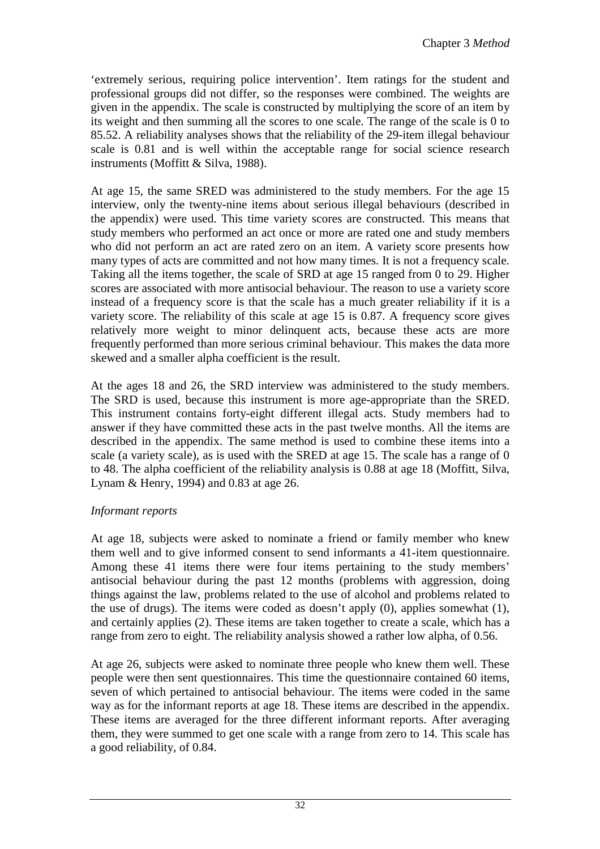'extremely serious, requiring police intervention'. Item ratings for the student and professional groups did not differ, so the responses were combined. The weights are given in the appendix. The scale is constructed by multiplying the score of an item by its weight and then summing all the scores to one scale. The range of the scale is 0 to 85.52. A reliability analyses shows that the reliability of the 29-item illegal behaviour scale is 0.81 and is well within the acceptable range for social science research instruments (Moffitt & Silva, 1988).

At age 15, the same SRED was administered to the study members. For the age 15 interview, only the twenty-nine items about serious illegal behaviours (described in the appendix) were used. This time variety scores are constructed. This means that study members who performed an act once or more are rated one and study members who did not perform an act are rated zero on an item. A variety score presents how many types of acts are committed and not how many times. It is not a frequency scale. Taking all the items together, the scale of SRD at age 15 ranged from 0 to 29. Higher scores are associated with more antisocial behaviour. The reason to use a variety score instead of a frequency score is that the scale has a much greater reliability if it is a variety score. The reliability of this scale at age 15 is 0.87. A frequency score gives relatively more weight to minor delinquent acts, because these acts are more frequently performed than more serious criminal behaviour. This makes the data more skewed and a smaller alpha coefficient is the result.

At the ages 18 and 26, the SRD interview was administered to the study members. The SRD is used, because this instrument is more age-appropriate than the SRED. This instrument contains forty-eight different illegal acts. Study members had to answer if they have committed these acts in the past twelve months. All the items are described in the appendix. The same method is used to combine these items into a scale (a variety scale), as is used with the SRED at age 15. The scale has a range of 0 to 48. The alpha coefficient of the reliability analysis is 0.88 at age 18 (Moffitt, Silva, Lynam & Henry, 1994) and 0.83 at age 26.

#### *Informant reports*

At age 18, subjects were asked to nominate a friend or family member who knew them well and to give informed consent to send informants a 41-item questionnaire. Among these 41 items there were four items pertaining to the study members' antisocial behaviour during the past 12 months (problems with aggression, doing things against the law, problems related to the use of alcohol and problems related to the use of drugs). The items were coded as doesn't apply (0), applies somewhat (1), and certainly applies (2). These items are taken together to create a scale, which has a range from zero to eight. The reliability analysis showed a rather low alpha, of 0.56.

At age 26, subjects were asked to nominate three people who knew them well. These people were then sent questionnaires. This time the questionnaire contained 60 items, seven of which pertained to antisocial behaviour. The items were coded in the same way as for the informant reports at age 18. These items are described in the appendix. These items are averaged for the three different informant reports. After averaging them, they were summed to get one scale with a range from zero to 14. This scale has a good reliability, of 0.84.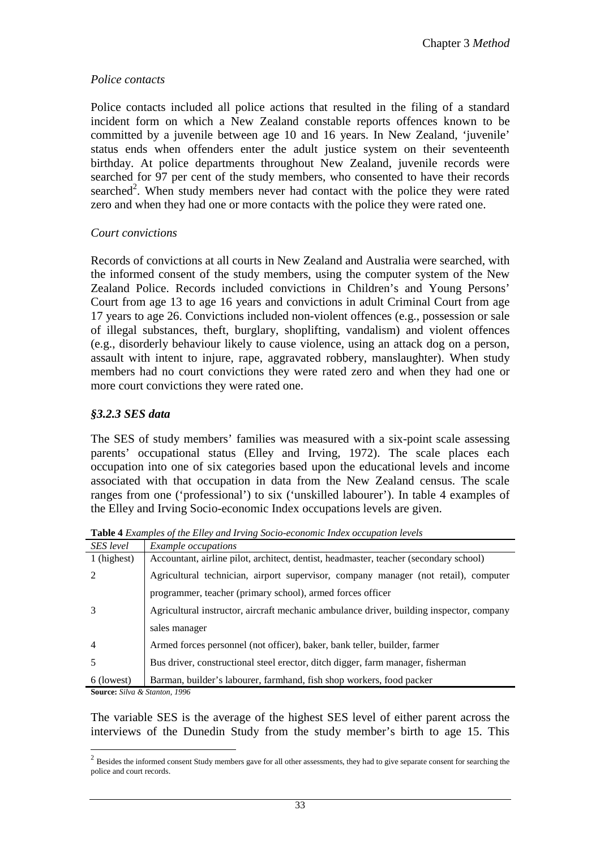#### *Police contacts*

Police contacts included all police actions that resulted in the filing of a standard incident form on which a New Zealand constable reports offences known to be committed by a juvenile between age 10 and 16 years. In New Zealand, 'juvenile' status ends when offenders enter the adult justice system on their seventeenth birthday. At police departments throughout New Zealand, juvenile records were searched for 97 per cent of the study members, who consented to have their records searched<sup>2</sup>. When study members never had contact with the police they were rated zero and when they had one or more contacts with the police they were rated one.

#### *Court convictions*

Records of convictions at all courts in New Zealand and Australia were searched, with the informed consent of the study members, using the computer system of the New Zealand Police. Records included convictions in Children's and Young Persons' Court from age 13 to age 16 years and convictions in adult Criminal Court from age 17 years to age 26. Convictions included non-violent offences (e.g., possession or sale of illegal substances, theft, burglary, shoplifting, vandalism) and violent offences (e.g., disorderly behaviour likely to cause violence, using an attack dog on a person, assault with intent to injure, rape, aggravated robbery, manslaughter). When study members had no court convictions they were rated zero and when they had one or more court convictions they were rated one.

#### *§3.2.3 SES data*

The SES of study members' families was measured with a six-point scale assessing parents' occupational status (Elley and Irving, 1972). The scale places each occupation into one of six categories based upon the educational levels and income associated with that occupation in data from the New Zealand census. The scale ranges from one ('professional') to six ('unskilled labourer'). In table 4 examples of the Elley and Irving Socio-economic Index occupations levels are given.

| <b>SES</b> level | <i>Example occupations</i>                                                               |
|------------------|------------------------------------------------------------------------------------------|
| 1 (highest)      | Accountant, airline pilot, architect, dentist, headmaster, teacher (secondary school)    |
|                  | Agricultural technician, airport supervisor, company manager (not retail), computer      |
|                  | programmer, teacher (primary school), armed forces officer                               |
|                  | Agricultural instructor, aircraft mechanic ambulance driver, building inspector, company |
|                  | sales manager                                                                            |
| 4                | Armed forces personnel (not officer), baker, bank teller, builder, farmer                |
|                  | Bus driver, constructional steel erector, ditch digger, farm manager, fisherman          |
| 6 (lowest)       | Barman, builder's labourer, farmhand, fish shop workers, food packer                     |
|                  | 100<                                                                                     |

**Table 4** *Examples of the Elley and Irving Socio-economic Index occupation levels* 

**Source:** *Silva & Stanton, 1996* 

 $\overline{a}$ 

The variable SES is the average of the highest SES level of either parent across the interviews of the Dunedin Study from the study member's birth to age 15. This

<sup>&</sup>lt;sup>2</sup> Besides the informed consent Study members gave for all other assessments, they had to give separate consent for searching the police and court records.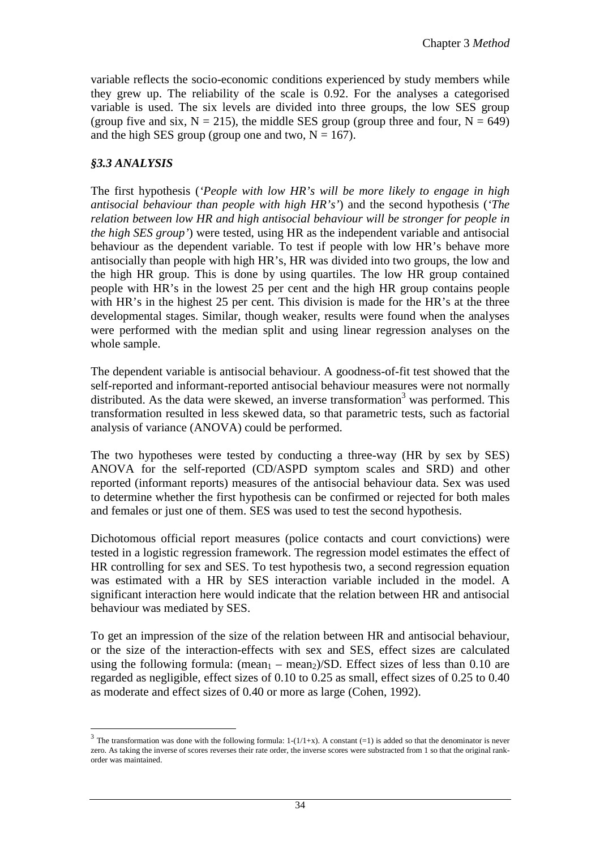variable reflects the socio-economic conditions experienced by study members while they grew up. The reliability of the scale is 0.92. For the analyses a categorised variable is used. The six levels are divided into three groups, the low SES group (group five and six,  $N = 215$ ), the middle SES group (group three and four,  $N = 649$ ) and the high SES group (group one and two,  $N = 167$ ).

#### *§3.3 ANALYSIS*

 $\overline{a}$ 

The first hypothesis (*'People with low HR's will be more likely to engage in high antisocial behaviour than people with high HR's'*) and the second hypothesis (*'The relation between low HR and high antisocial behaviour will be stronger for people in the high SES group'*) were tested, using HR as the independent variable and antisocial behaviour as the dependent variable. To test if people with low HR's behave more antisocially than people with high HR's, HR was divided into two groups, the low and the high HR group. This is done by using quartiles. The low HR group contained people with HR's in the lowest 25 per cent and the high HR group contains people with HR's in the highest 25 per cent. This division is made for the HR's at the three developmental stages. Similar, though weaker, results were found when the analyses were performed with the median split and using linear regression analyses on the whole sample.

The dependent variable is antisocial behaviour. A goodness-of-fit test showed that the self-reported and informant-reported antisocial behaviour measures were not normally distributed. As the data were skewed, an inverse transformation<sup>3</sup> was performed. This transformation resulted in less skewed data, so that parametric tests, such as factorial analysis of variance (ANOVA) could be performed.

The two hypotheses were tested by conducting a three-way (HR by sex by SES) ANOVA for the self-reported (CD/ASPD symptom scales and SRD) and other reported (informant reports) measures of the antisocial behaviour data. Sex was used to determine whether the first hypothesis can be confirmed or rejected for both males and females or just one of them. SES was used to test the second hypothesis.

Dichotomous official report measures (police contacts and court convictions) were tested in a logistic regression framework. The regression model estimates the effect of HR controlling for sex and SES. To test hypothesis two, a second regression equation was estimated with a HR by SES interaction variable included in the model. A significant interaction here would indicate that the relation between HR and antisocial behaviour was mediated by SES.

To get an impression of the size of the relation between HR and antisocial behaviour, or the size of the interaction-effects with sex and SES, effect sizes are calculated using the following formula:  $(\text{mean}_1 - \text{mean}_2)/SD$ . Effect sizes of less than 0.10 are regarded as negligible, effect sizes of 0.10 to 0.25 as small, effect sizes of 0.25 to 0.40 as moderate and effect sizes of 0.40 or more as large (Cohen, 1992).

<sup>&</sup>lt;sup>3</sup> The transformation was done with the following formula:  $1-(1/1+x)$ . A constant (=1) is added so that the denominator is never zero. As taking the inverse of scores reverses their rate order, the inverse scores were substracted from 1 so that the original rankorder was maintained.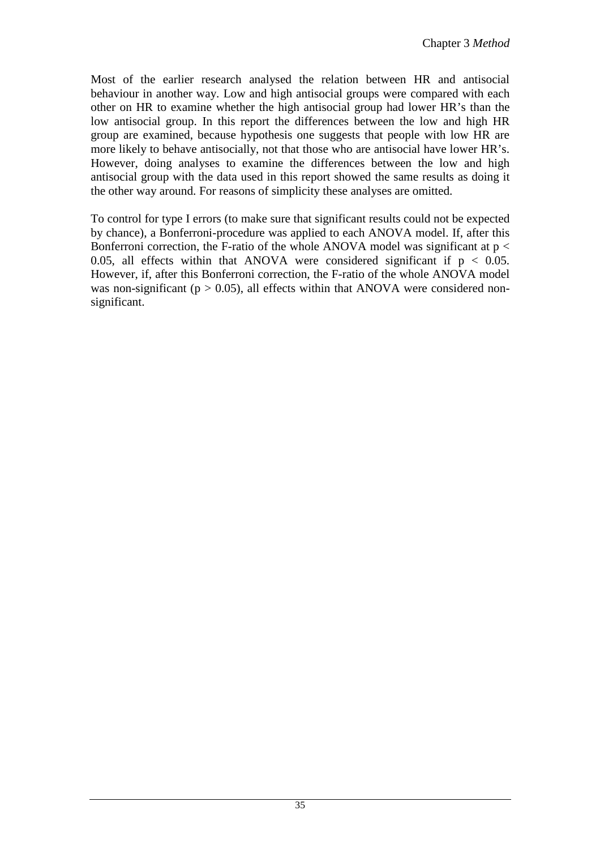Most of the earlier research analysed the relation between HR and antisocial behaviour in another way. Low and high antisocial groups were compared with each other on HR to examine whether the high antisocial group had lower HR's than the low antisocial group. In this report the differences between the low and high HR group are examined, because hypothesis one suggests that people with low HR are more likely to behave antisocially, not that those who are antisocial have lower HR's. However, doing analyses to examine the differences between the low and high antisocial group with the data used in this report showed the same results as doing it the other way around. For reasons of simplicity these analyses are omitted.

To control for type I errors (to make sure that significant results could not be expected by chance), a Bonferroni-procedure was applied to each ANOVA model. If, after this Bonferroni correction, the F-ratio of the whole ANOVA model was significant at  $p <$ 0.05, all effects within that ANOVA were considered significant if  $p < 0.05$ . However, if, after this Bonferroni correction, the F-ratio of the whole ANOVA model was non-significant ( $p > 0.05$ ), all effects within that ANOVA were considered nonsignificant.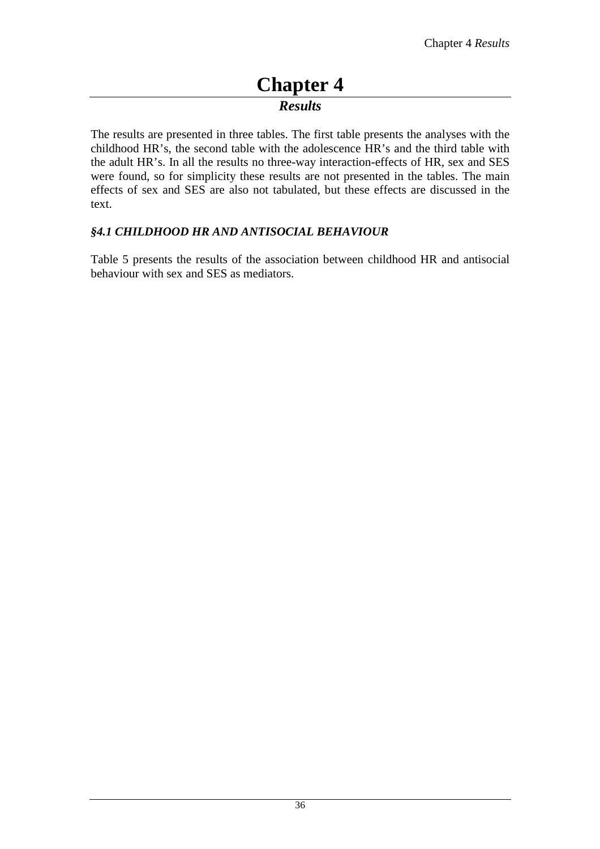## **Chapter 4**  *Results*

The results are presented in three tables. The first table presents the analyses with the childhood HR's, the second table with the adolescence HR's and the third table with the adult HR's. In all the results no three-way interaction-effects of HR, sex and SES were found, so for simplicity these results are not presented in the tables. The main effects of sex and SES are also not tabulated, but these effects are discussed in the text.

#### *§4.1 CHILDHOOD HR AND ANTISOCIAL BEHAVIOUR*

Table 5 presents the results of the association between childhood HR and antisocial behaviour with sex and SES as mediators.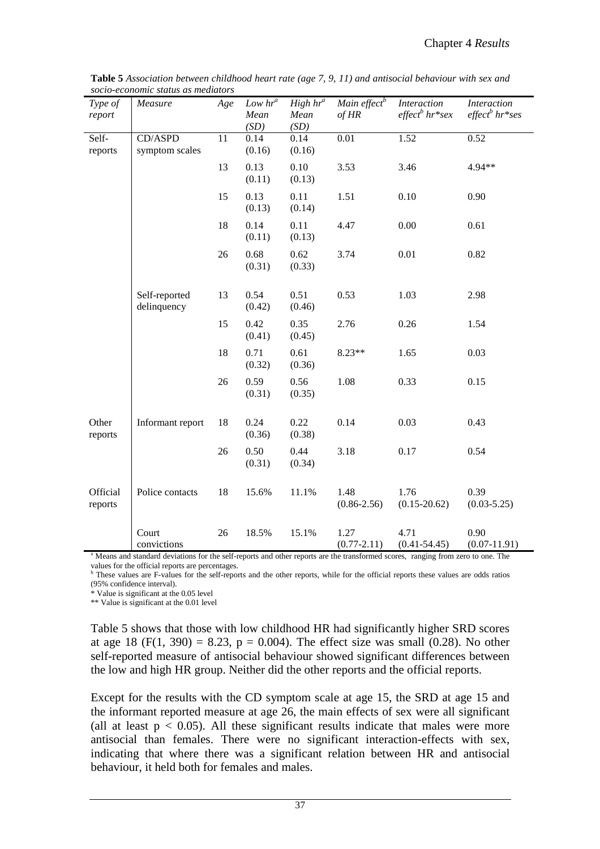| Type of<br>report   | Measure                                                                                                                                                    | Age | Low hr <sup>a</sup><br>Mean<br>(SD) | High $hr^a$<br>Mean<br>(SD) | Main effect <sup>b</sup><br>$of$ HR | <b>Interaction</b><br>$effect^bhr*sex$ | <b>Interaction</b><br>$effect^bhr*ses$ |
|---------------------|------------------------------------------------------------------------------------------------------------------------------------------------------------|-----|-------------------------------------|-----------------------------|-------------------------------------|----------------------------------------|----------------------------------------|
| Self-<br>reports    | CD/ASPD<br>symptom scales                                                                                                                                  | 11  | 0.14<br>(0.16)                      | 0.14<br>(0.16)              | 0.01                                | 1.52                                   | 0.52                                   |
|                     |                                                                                                                                                            | 13  | 0.13<br>(0.11)                      | 0.10<br>(0.13)              | 3.53                                | 3.46                                   | 4.94**                                 |
|                     |                                                                                                                                                            | 15  | 0.13<br>(0.13)                      | 0.11<br>(0.14)              | 1.51                                | 0.10                                   | 0.90                                   |
|                     |                                                                                                                                                            | 18  | 0.14<br>(0.11)                      | 0.11<br>(0.13)              | 4.47                                | 0.00                                   | 0.61                                   |
|                     |                                                                                                                                                            | 26  | 0.68<br>(0.31)                      | 0.62<br>(0.33)              | 3.74                                | 0.01                                   | 0.82                                   |
|                     | Self-reported<br>delinquency                                                                                                                               | 13  | 0.54<br>(0.42)                      | 0.51<br>(0.46)              | 0.53                                | 1.03                                   | 2.98                                   |
|                     |                                                                                                                                                            | 15  | 0.42<br>(0.41)                      | 0.35<br>(0.45)              | 2.76                                | 0.26                                   | 1.54                                   |
|                     |                                                                                                                                                            | 18  | 0.71<br>(0.32)                      | 0.61<br>(0.36)              | 8.23**                              | 1.65                                   | 0.03                                   |
|                     |                                                                                                                                                            | 26  | 0.59<br>(0.31)                      | 0.56<br>(0.35)              | 1.08                                | 0.33                                   | 0.15                                   |
| Other<br>reports    | Informant report                                                                                                                                           | 18  | 0.24<br>(0.36)                      | 0.22<br>(0.38)              | 0.14                                | 0.03                                   | 0.43                                   |
|                     |                                                                                                                                                            | 26  | 0.50<br>(0.31)                      | 0.44<br>(0.34)              | 3.18                                | 0.17                                   | 0.54                                   |
| Official<br>reports | Police contacts                                                                                                                                            | 18  | 15.6%                               | 11.1%                       | 1.48<br>$(0.86 - 2.56)$             | 1.76<br>$(0.15 - 20.62)$               | 0.39<br>$(0.03 - 5.25)$                |
|                     | Court                                                                                                                                                      | 26  | 18.5%                               | 15.1%                       | 1.27                                | 4.71                                   | 0.90                                   |
|                     | convictions<br><sup>a</sup> Means and standard deviations for the self-reports and other reports are the transformed scores, ranging from zero to one. The |     |                                     |                             | $(0.77 - 2.11)$                     | $(0.41 - 54.45)$                       | $(0.07-11.91)$                         |

**Table 5** *Association between childhood heart rate (age 7, 9, 11) and antisocial behaviour with sex and socio-economic status as mediators* 

values for the official reports are percentages.<br><sup>b</sup> These values are F-values for the self-reports and the other reports, while for the official reports these values are odds ratios (95% confidence interval).

\* Value is significant at the 0.05 level

\*\* Value is significant at the 0.01 level

Table 5 shows that those with low childhood HR had significantly higher SRD scores at age 18 (F(1, 390) = 8.23, p = 0.004). The effect size was small (0.28). No other self-reported measure of antisocial behaviour showed significant differences between the low and high HR group. Neither did the other reports and the official reports.

Except for the results with the CD symptom scale at age 15, the SRD at age 15 and the informant reported measure at age 26, the main effects of sex were all significant (all at least  $p < 0.05$ ). All these significant results indicate that males were more antisocial than females. There were no significant interaction-effects with sex, indicating that where there was a significant relation between HR and antisocial behaviour, it held both for females and males.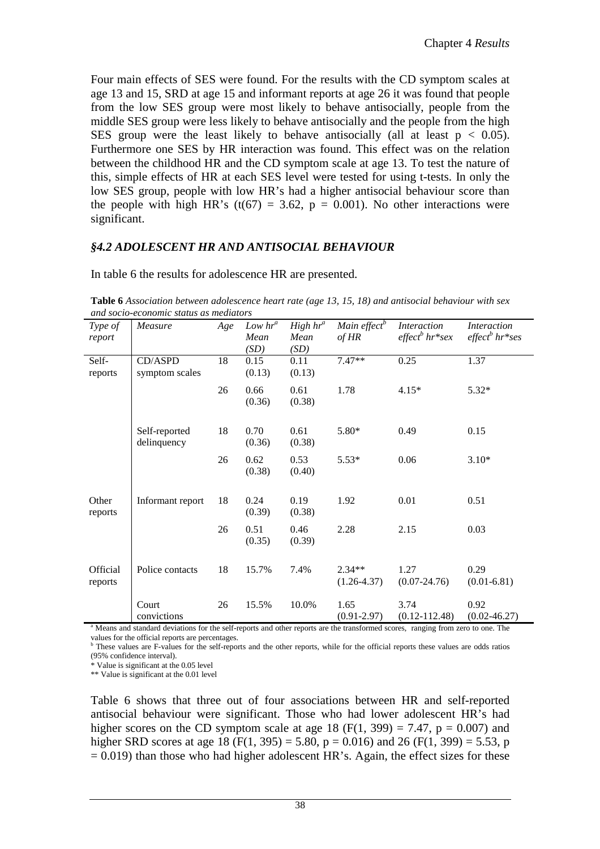Four main effects of SES were found. For the results with the CD symptom scales at age 13 and 15, SRD at age 15 and informant reports at age 26 it was found that people from the low SES group were most likely to behave antisocially, people from the middle SES group were less likely to behave antisocially and the people from the high SES group were the least likely to behave antisocially (all at least  $p < 0.05$ ). Furthermore one SES by HR interaction was found. This effect was on the relation between the childhood HR and the CD symptom scale at age 13. To test the nature of this, simple effects of HR at each SES level were tested for using t-tests. In only the low SES group, people with low HR's had a higher antisocial behaviour score than the people with high HR's (t(67) = 3.62,  $p = 0.001$ ). No other interactions were significant.

#### *§4.2 ADOLESCENT HR AND ANTISOCIAL BEHAVIOUR*

| ana socio-economic siguis as mediators                                                                                                      |                              |     |                |                |                          |                   |                    |
|---------------------------------------------------------------------------------------------------------------------------------------------|------------------------------|-----|----------------|----------------|--------------------------|-------------------|--------------------|
| Type of                                                                                                                                     | Measure                      | Age | $Low\ hr^a$    | $High hr^a$    | Main effect <sup>b</sup> | Interaction       | <i>Interaction</i> |
| report                                                                                                                                      |                              |     | Mean           | Mean           | $of$ HR                  | $effect^bhr^*sex$ | $effect^b$ hr*ses  |
|                                                                                                                                             |                              |     | (SD)           | (SD)           |                          |                   |                    |
| Self-                                                                                                                                       | CD/ASPD                      | 18  | 0.15           | 0.11           | $7.47**$                 | 0.25              | 1.37               |
| reports                                                                                                                                     | symptom scales               |     | (0.13)         | (0.13)         |                          |                   |                    |
|                                                                                                                                             |                              | 26  | 0.66           | 0.61           | 1.78                     | $4.15*$           | $5.32*$            |
|                                                                                                                                             |                              |     | (0.36)         | (0.38)         |                          |                   |                    |
|                                                                                                                                             |                              |     |                |                |                          |                   |                    |
|                                                                                                                                             | Self-reported<br>delinquency | 18  | 0.70<br>(0.36) | 0.61<br>(0.38) | 5.80*                    | 0.49              | 0.15               |
|                                                                                                                                             |                              |     |                |                |                          |                   |                    |
|                                                                                                                                             |                              | 26  | 0.62           | 0.53           | $5.53*$                  | 0.06              | $3.10*$            |
|                                                                                                                                             |                              |     | (0.38)         | (0.40)         |                          |                   |                    |
| Other                                                                                                                                       | Informant report             | 18  | 0.24           | 0.19           | 1.92                     | 0.01              | 0.51               |
| reports                                                                                                                                     |                              |     | (0.39)         | (0.38)         |                          |                   |                    |
|                                                                                                                                             |                              | 26  | 0.51           | 0.46           | 2.28                     | 2.15              | 0.03               |
|                                                                                                                                             |                              |     | (0.35)         | (0.39)         |                          |                   |                    |
|                                                                                                                                             |                              |     |                |                |                          |                   |                    |
| Official                                                                                                                                    | Police contacts              | 18  | 15.7%          | 7.4%           | $2.34**$                 | 1.27              | 0.29               |
| reports                                                                                                                                     |                              |     |                |                | $(1.26 - 4.37)$          | $(0.07 - 24.76)$  | $(0.01 - 6.81)$    |
|                                                                                                                                             | Court                        | 26  | 15.5%          | 10.0%          | 1.65                     | 3.74              | 0.92               |
|                                                                                                                                             | convictions                  |     |                |                | $(0.91 - 2.97)$          | $(0.12 - 112.48)$ | $(0.02 - 46.27)$   |
|                                                                                                                                             |                              |     |                |                |                          |                   |                    |
| <sup>a</sup> Means and standard deviations for the self-reports and other reports are the transformed scores, ranging from zero to one. The |                              |     |                |                |                          |                   |                    |

In table 6 the results for adolescence HR are presented.

**Table 6** *Association between adolescence heart rate (age 13, 15, 18) and antisocial behaviour with sex and socio-economic status as mediators* 

values for the official reports are percentages.

<sup>b</sup> These values are F-values for the self-reports and the other reports, while for the official reports these values are odds ratios (95% confidence interval).

\* Value is significant at the 0.05 level

\*\* Value is significant at the 0.01 level

Table 6 shows that three out of four associations between HR and self-reported antisocial behaviour were significant. Those who had lower adolescent HR's had higher scores on the CD symptom scale at age 18 (F(1, 399) = 7.47,  $p = 0.007$ ) and higher SRD scores at age 18 (F(1, 395) = 5.80, p = 0.016) and 26 (F(1, 399) = 5.53, p  $= 0.019$ ) than those who had higher adolescent HR's. Again, the effect sizes for these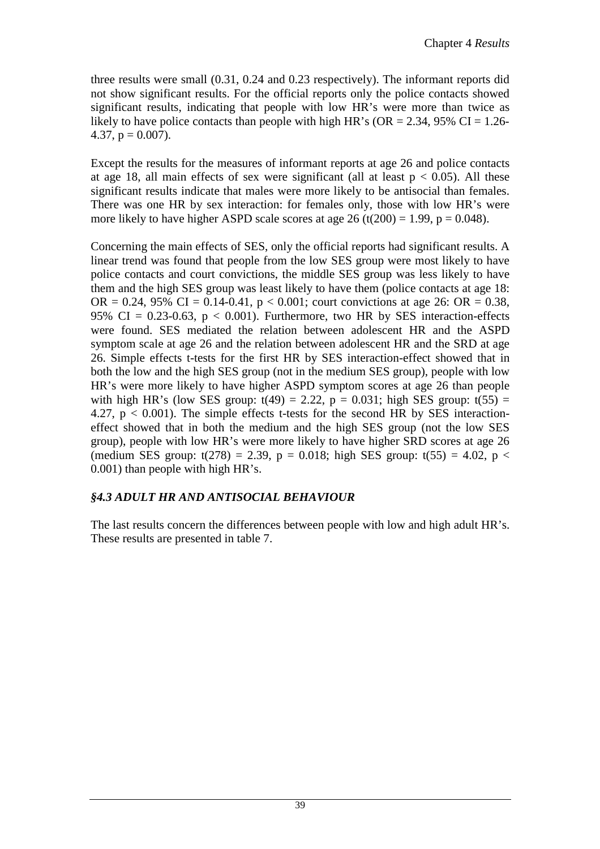three results were small (0.31, 0.24 and 0.23 respectively). The informant reports did not show significant results. For the official reports only the police contacts showed significant results, indicating that people with low HR's were more than twice as likely to have police contacts than people with high HR's ( $OR = 2.34$ , 95% CI = 1.26-4.37,  $p = 0.007$ ).

Except the results for the measures of informant reports at age 26 and police contacts at age 18, all main effects of sex were significant (all at least  $p < 0.05$ ). All these significant results indicate that males were more likely to be antisocial than females. There was one HR by sex interaction: for females only, those with low HR's were more likely to have higher ASPD scale scores at age 26 (t(200) = 1.99,  $p = 0.048$ ).

Concerning the main effects of SES, only the official reports had significant results. A linear trend was found that people from the low SES group were most likely to have police contacts and court convictions, the middle SES group was less likely to have them and the high SES group was least likely to have them (police contacts at age 18: OR = 0.24, 95% CI = 0.14-0.41,  $p < 0.001$ ; court convictions at age 26: OR = 0.38, 95% CI = 0.23-0.63,  $p < 0.001$ ). Furthermore, two HR by SES interaction-effects were found. SES mediated the relation between adolescent HR and the ASPD symptom scale at age 26 and the relation between adolescent HR and the SRD at age 26. Simple effects t-tests for the first HR by SES interaction-effect showed that in both the low and the high SES group (not in the medium SES group), people with low HR's were more likely to have higher ASPD symptom scores at age 26 than people with high HR's (low SES group:  $t(49) = 2.22$ ,  $p = 0.031$ ; high SES group:  $t(55) =$ 4.27,  $p < 0.001$ ). The simple effects t-tests for the second HR by SES interactioneffect showed that in both the medium and the high SES group (not the low SES group), people with low HR's were more likely to have higher SRD scores at age 26 (medium SES group:  $t(278) = 2.39$ ,  $p = 0.018$ ; high SES group:  $t(55) = 4.02$ ,  $p <$ 0.001) than people with high HR's.

#### *§4.3 ADULT HR AND ANTISOCIAL BEHAVIOUR*

The last results concern the differences between people with low and high adult HR's. These results are presented in table 7.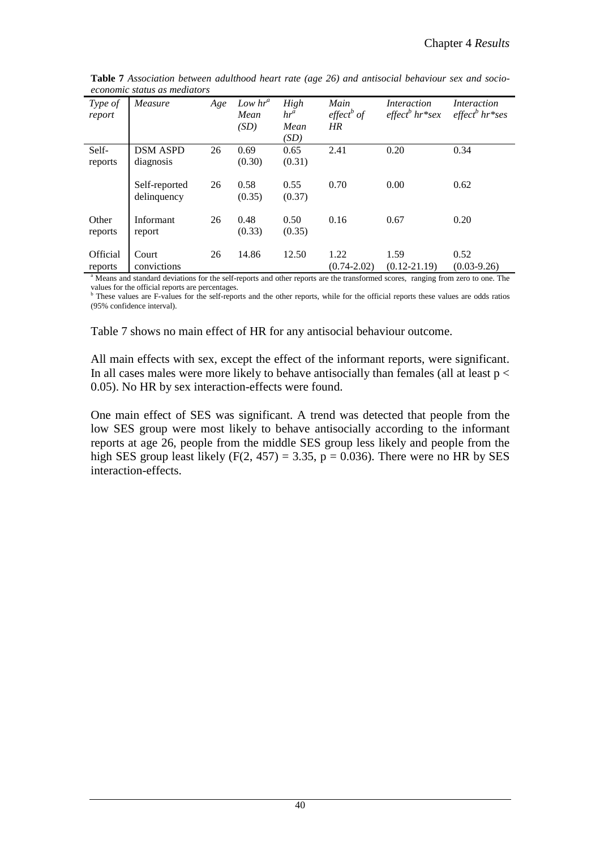| Type of<br>report   | Measure                                                                                                                                                             | Age | Low $hr^a$<br>Mean<br>(SD) | High<br>$hr^a$<br>Mean<br>(SD) | Main<br>$effect^b$ of<br>HR | Interaction<br>$effect^bhr*sex$ | Interaction<br>$effect^bhr*ses$ |
|---------------------|---------------------------------------------------------------------------------------------------------------------------------------------------------------------|-----|----------------------------|--------------------------------|-----------------------------|---------------------------------|---------------------------------|
| Self-<br>reports    | <b>DSM ASPD</b><br>diagnosis                                                                                                                                        | 26  | 0.69<br>(0.30)             | 0.65<br>(0.31)                 | 2.41                        | 0.20                            | 0.34                            |
|                     | Self-reported<br>delinquency                                                                                                                                        | 26  | 0.58<br>(0.35)             | 0.55<br>(0.37)                 | 0.70                        | 0.00                            | 0.62                            |
| Other<br>reports    | Informant<br>report                                                                                                                                                 | 26  | 0.48<br>(0.33)             | 0.50<br>(0.35)                 | 0.16                        | 0.67                            | 0.20                            |
| Official<br>reports | Court<br>convictions<br><sup>a</sup> Means and standard deviations for the self-reports and other reports are the transformed scores, ranging from zero to one. The | 26  | 14.86                      | 12.50                          | 1.22<br>$(0.74 - 2.02)$     | 1.59<br>$(0.12 - 21.19)$        | 0.52<br>$(0.03-9.26)$           |

**Table 7** *Association between adulthood heart rate (age 26) and antisocial behaviour sex and socioeconomic status as mediators* 

values for the official reports are percentages.<br><sup>b</sup> These values are F-values for the self-reports and the other reports, while for the official reports these values are odds ratios (95% confidence interval).

Table 7 shows no main effect of HR for any antisocial behaviour outcome.

All main effects with sex, except the effect of the informant reports, were significant. In all cases males were more likely to behave antisocially than females (all at least  $p <$ 0.05). No HR by sex interaction-effects were found.

One main effect of SES was significant. A trend was detected that people from the low SES group were most likely to behave antisocially according to the informant reports at age 26, people from the middle SES group less likely and people from the high SES group least likely (F(2, 457) = 3.35, p = 0.036). There were no HR by SES interaction-effects.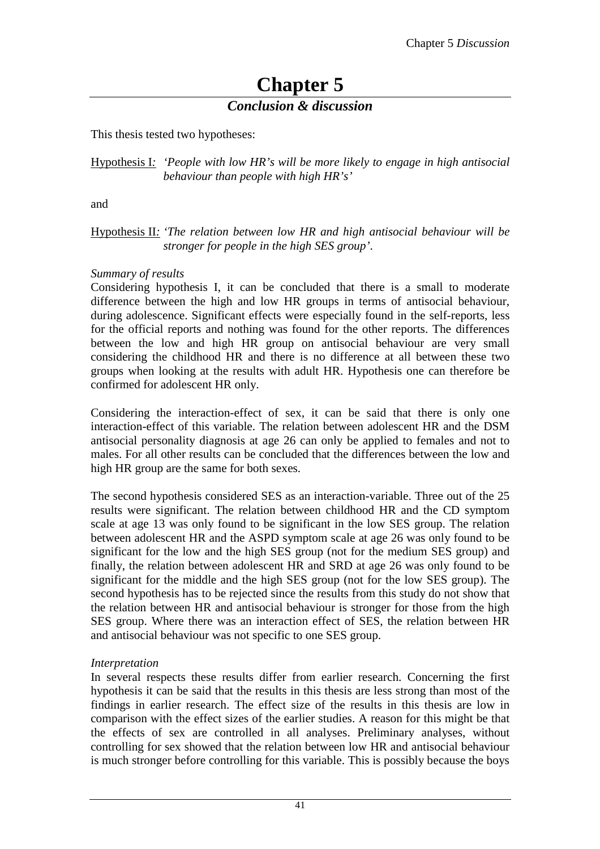## **Chapter 5**

#### *Conclusion & discussion*

This thesis tested two hypotheses:

#### Hypothesis I*: 'People with low HR's will be more likely to engage in high antisocial behaviour than people with high HR's'*

and

#### Hypothesis II*: 'The relation between low HR and high antisocial behaviour will be stronger for people in the high SES group'*.

#### *Summary of results*

Considering hypothesis I, it can be concluded that there is a small to moderate difference between the high and low HR groups in terms of antisocial behaviour, during adolescence. Significant effects were especially found in the self-reports, less for the official reports and nothing was found for the other reports. The differences between the low and high HR group on antisocial behaviour are very small considering the childhood HR and there is no difference at all between these two groups when looking at the results with adult HR. Hypothesis one can therefore be confirmed for adolescent HR only.

Considering the interaction-effect of sex, it can be said that there is only one interaction-effect of this variable. The relation between adolescent HR and the DSM antisocial personality diagnosis at age 26 can only be applied to females and not to males. For all other results can be concluded that the differences between the low and high HR group are the same for both sexes.

The second hypothesis considered SES as an interaction-variable. Three out of the 25 results were significant. The relation between childhood HR and the CD symptom scale at age 13 was only found to be significant in the low SES group. The relation between adolescent HR and the ASPD symptom scale at age 26 was only found to be significant for the low and the high SES group (not for the medium SES group) and finally, the relation between adolescent HR and SRD at age 26 was only found to be significant for the middle and the high SES group (not for the low SES group). The second hypothesis has to be rejected since the results from this study do not show that the relation between HR and antisocial behaviour is stronger for those from the high SES group. Where there was an interaction effect of SES, the relation between HR and antisocial behaviour was not specific to one SES group.

#### *Interpretation*

In several respects these results differ from earlier research. Concerning the first hypothesis it can be said that the results in this thesis are less strong than most of the findings in earlier research. The effect size of the results in this thesis are low in comparison with the effect sizes of the earlier studies. A reason for this might be that the effects of sex are controlled in all analyses. Preliminary analyses, without controlling for sex showed that the relation between low HR and antisocial behaviour is much stronger before controlling for this variable. This is possibly because the boys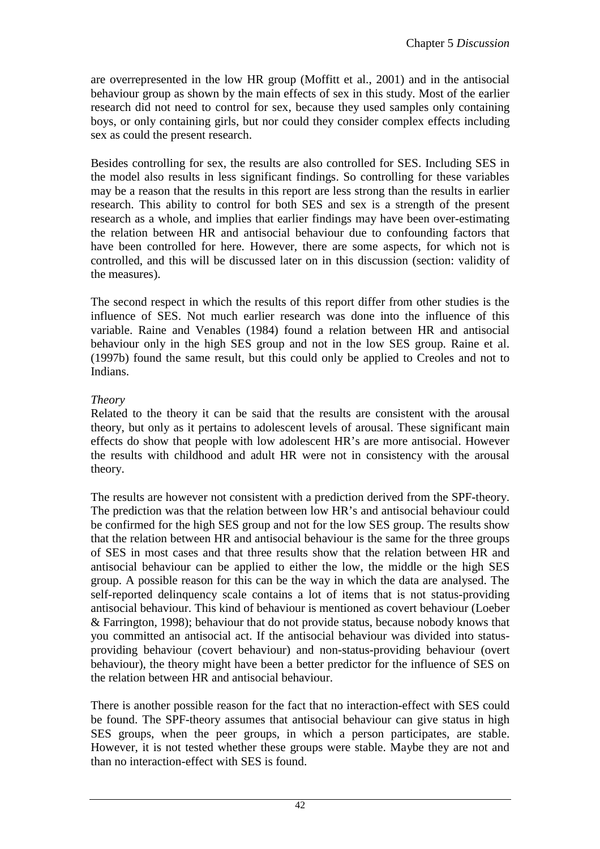are overrepresented in the low HR group (Moffitt et al., 2001) and in the antisocial behaviour group as shown by the main effects of sex in this study. Most of the earlier research did not need to control for sex, because they used samples only containing boys, or only containing girls, but nor could they consider complex effects including sex as could the present research.

Besides controlling for sex, the results are also controlled for SES. Including SES in the model also results in less significant findings. So controlling for these variables may be a reason that the results in this report are less strong than the results in earlier research. This ability to control for both SES and sex is a strength of the present research as a whole, and implies that earlier findings may have been over-estimating the relation between HR and antisocial behaviour due to confounding factors that have been controlled for here. However, there are some aspects, for which not is controlled, and this will be discussed later on in this discussion (section: validity of the measures).

The second respect in which the results of this report differ from other studies is the influence of SES. Not much earlier research was done into the influence of this variable. Raine and Venables (1984) found a relation between HR and antisocial behaviour only in the high SES group and not in the low SES group. Raine et al. (1997b) found the same result, but this could only be applied to Creoles and not to Indians.

#### *Theory*

Related to the theory it can be said that the results are consistent with the arousal theory, but only as it pertains to adolescent levels of arousal. These significant main effects do show that people with low adolescent HR's are more antisocial. However the results with childhood and adult HR were not in consistency with the arousal theory.

The results are however not consistent with a prediction derived from the SPF-theory. The prediction was that the relation between low HR's and antisocial behaviour could be confirmed for the high SES group and not for the low SES group. The results show that the relation between HR and antisocial behaviour is the same for the three groups of SES in most cases and that three results show that the relation between HR and antisocial behaviour can be applied to either the low, the middle or the high SES group. A possible reason for this can be the way in which the data are analysed. The self-reported delinquency scale contains a lot of items that is not status-providing antisocial behaviour. This kind of behaviour is mentioned as covert behaviour (Loeber & Farrington, 1998); behaviour that do not provide status, because nobody knows that you committed an antisocial act. If the antisocial behaviour was divided into statusproviding behaviour (covert behaviour) and non-status-providing behaviour (overt behaviour), the theory might have been a better predictor for the influence of SES on the relation between HR and antisocial behaviour.

There is another possible reason for the fact that no interaction-effect with SES could be found. The SPF-theory assumes that antisocial behaviour can give status in high SES groups, when the peer groups, in which a person participates, are stable. However, it is not tested whether these groups were stable. Maybe they are not and than no interaction-effect with SES is found.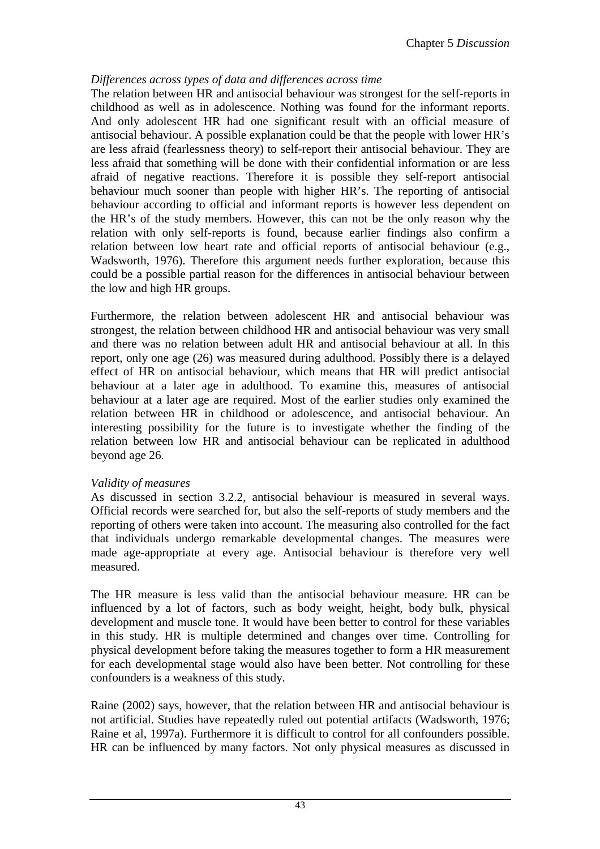#### *Differences across types of data and differences across time*

The relation between HR and antisocial behaviour was strongest for the self-reports in childhood as well as in adolescence. Nothing was found for the informant reports. And only adolescent HR had one significant result with an official measure of antisocial behaviour. A possible explanation could be that the people with lower HR's are less afraid (fearlessness theory) to self-report their antisocial behaviour. They are less afraid that something will be done with their confidential information or are less afraid of negative reactions. Therefore it is possible they self-report antisocial behaviour much sooner than people with higher HR's. The reporting of antisocial behaviour according to official and informant reports is however less dependent on the HR's of the study members. However, this can not be the only reason why the relation with only self-reports is found, because earlier findings also confirm a relation between low heart rate and official reports of antisocial behaviour (e.g., Wadsworth, 1976). Therefore this argument needs further exploration, because this could be a possible partial reason for the differences in antisocial behaviour between the low and high HR groups.

Furthermore, the relation between adolescent HR and antisocial behaviour was strongest, the relation between childhood HR and antisocial behaviour was very small and there was no relation between adult HR and antisocial behaviour at all. In this report, only one age (26) was measured during adulthood. Possibly there is a delayed effect of HR on antisocial behaviour, which means that HR will predict antisocial behaviour at a later age in adulthood. To examine this, measures of antisocial behaviour at a later age are required. Most of the earlier studies only examined the relation between HR in childhood or adolescence, and antisocial behaviour. An interesting possibility for the future is to investigate whether the finding of the relation between low HR and antisocial behaviour can be replicated in adulthood beyond age 26.

#### *Validity of measures*

As discussed in section 3.2.2, antisocial behaviour is measured in several ways. Official records were searched for, but also the self-reports of study members and the reporting of others were taken into account. The measuring also controlled for the fact that individuals undergo remarkable developmental changes. The measures were made age-appropriate at every age. Antisocial behaviour is therefore very well measured.

The HR measure is less valid than the antisocial behaviour measure. HR can be influenced by a lot of factors, such as body weight, height, body bulk, physical development and muscle tone. It would have been better to control for these variables in this study. HR is multiple determined and changes over time. Controlling for physical development before taking the measures together to form a HR measurement for each developmental stage would also have been better. Not controlling for these confounders is a weakness of this study.

Raine (2002) says, however, that the relation between HR and antisocial behaviour is not artificial. Studies have repeatedly ruled out potential artifacts (Wadsworth, 1976; Raine et al, 1997a). Furthermore it is difficult to control for all confounders possible. HR can be influenced by many factors. Not only physical measures as discussed in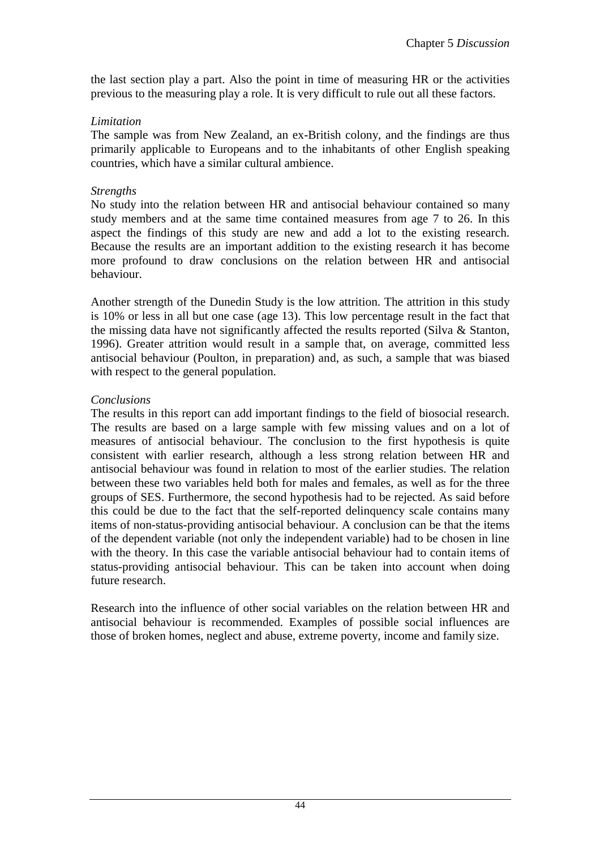the last section play a part. Also the point in time of measuring HR or the activities previous to the measuring play a role. It is very difficult to rule out all these factors.

#### *Limitation*

The sample was from New Zealand, an ex-British colony, and the findings are thus primarily applicable to Europeans and to the inhabitants of other English speaking countries, which have a similar cultural ambience.

#### *Strengths*

No study into the relation between HR and antisocial behaviour contained so many study members and at the same time contained measures from age 7 to 26. In this aspect the findings of this study are new and add a lot to the existing research. Because the results are an important addition to the existing research it has become more profound to draw conclusions on the relation between HR and antisocial behaviour.

Another strength of the Dunedin Study is the low attrition. The attrition in this study is 10% or less in all but one case (age 13). This low percentage result in the fact that the missing data have not significantly affected the results reported (Silva & Stanton, 1996). Greater attrition would result in a sample that, on average, committed less antisocial behaviour (Poulton, in preparation) and, as such, a sample that was biased with respect to the general population.

#### *Conclusions*

The results in this report can add important findings to the field of biosocial research. The results are based on a large sample with few missing values and on a lot of measures of antisocial behaviour. The conclusion to the first hypothesis is quite consistent with earlier research, although a less strong relation between HR and antisocial behaviour was found in relation to most of the earlier studies. The relation between these two variables held both for males and females, as well as for the three groups of SES. Furthermore, the second hypothesis had to be rejected. As said before this could be due to the fact that the self-reported delinquency scale contains many items of non-status-providing antisocial behaviour. A conclusion can be that the items of the dependent variable (not only the independent variable) had to be chosen in line with the theory. In this case the variable antisocial behaviour had to contain items of status-providing antisocial behaviour. This can be taken into account when doing future research.

Research into the influence of other social variables on the relation between HR and antisocial behaviour is recommended. Examples of possible social influences are those of broken homes, neglect and abuse, extreme poverty, income and family size.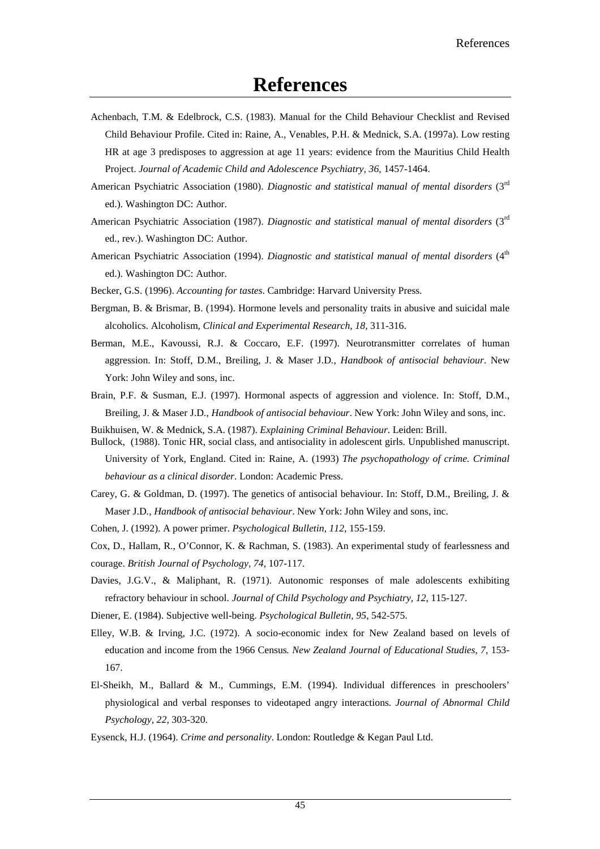- Achenbach, T.M. & Edelbrock, C.S. (1983). Manual for the Child Behaviour Checklist and Revised Child Behaviour Profile. Cited in: Raine, A., Venables, P.H. & Mednick, S.A. (1997a). Low resting HR at age 3 predisposes to aggression at age 11 years: evidence from the Mauritius Child Health Project. *Journal of Academic Child and Adolescence Psychiatry, 36, 1457-1464.*
- American Psychiatric Association (1980). *Diagnostic and statistical manual of mental disorders* (3rd ed.). Washington DC: Author.
- American Psychiatric Association (1987). *Diagnostic and statistical manual of mental disorders* (3rd ed., rev.). Washington DC: Author.
- American Psychiatric Association (1994). *Diagnostic and statistical manual of mental disorders* (4<sup>th</sup> ed.). Washington DC: Author.
- Becker, G.S. (1996). *Accounting for tastes*. Cambridge: Harvard University Press.
- Bergman, B. & Brismar, B. (1994). Hormone levels and personality traits in abusive and suicidal male alcoholics. Alcoholism, *Clinical and Experimental Research, 18*, 311-316.
- Berman, M.E., Kavoussi, R.J. & Coccaro, E.F. (1997). Neurotransmitter correlates of human aggression. In: Stoff, D.M., Breiling, J. & Maser J.D*., Handbook of antisocial behaviour*. New York: John Wiley and sons, inc.
- Brain, P.F. & Susman, E.J. (1997). Hormonal aspects of aggression and violence. In: Stoff, D.M., Breiling, J. & Maser J.D*., Handbook of antisocial behaviour*. New York: John Wiley and sons, inc.

Buikhuisen, W. & Mednick, S.A. (1987). *Explaining Criminal Behaviour*. Leiden: Brill.

- Bullock, (1988). Tonic HR, social class, and antisociality in adolescent girls. Unpublished manuscript. University of York, England. Cited in: Raine, A. (1993) *The psychopathology of crime. Criminal behaviour as a clinical disorder*. London: Academic Press.
- Carey, G. & Goldman, D. (1997). The genetics of antisocial behaviour. In: Stoff, D.M., Breiling, J. & Maser J.D*., Handbook of antisocial behaviour*. New York: John Wiley and sons, inc.
- Cohen, J. (1992). A power primer. *Psychological Bulletin, 112*, 155-159.
- Cox, D., Hallam, R., O'Connor, K. & Rachman, S. (1983). An experimental study of fearlessness and courage. *British Journal of Psychology, 74*, 107-117.
- Davies, J.G.V., & Maliphant, R. (1971). Autonomic responses of male adolescents exhibiting refractory behaviour in school. *Journal of Child Psychology and Psychiatry, 12*, 115-127.
- Diener, E. (1984). Subjective well-being. *Psychological Bulletin, 95*, 542-575.
- Elley, W.B. & Irving, J.C. (1972). A socio-economic index for New Zealand based on levels of education and income from the 1966 Census*. New Zealand Journal of Educational Studies, 7*, 153- 167.
- El-Sheikh, M., Ballard & M., Cummings, E.M. (1994). Individual differences in preschoolers' physiological and verbal responses to videotaped angry interactions. *Journal of Abnormal Child Psychology, 22,* 303-320.
- Eysenck, H.J. (1964). *Crime and personality*. London: Routledge & Kegan Paul Ltd.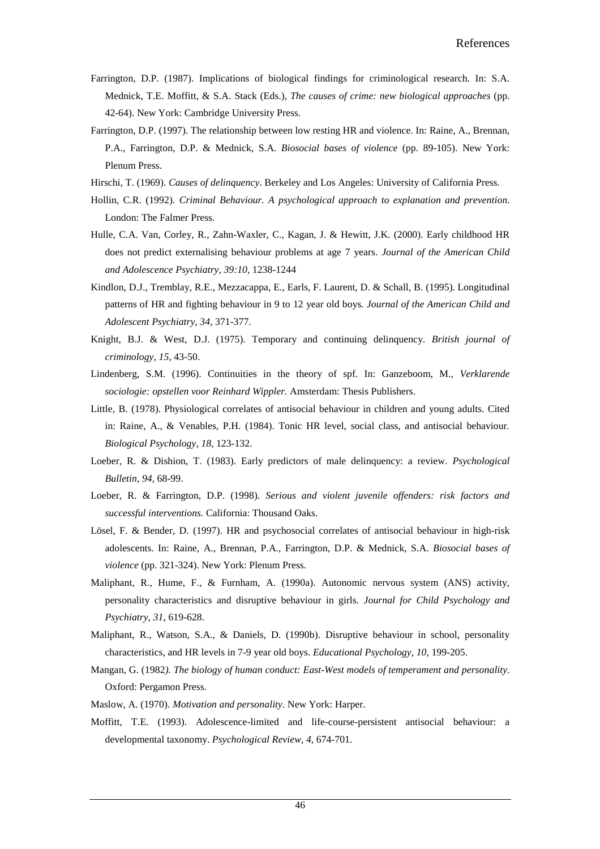- Farrington, D.P. (1987). Implications of biological findings for criminological research. In: S.A. Mednick, T.E. Moffitt, & S.A. Stack (Eds.), *The causes of crime: new biological approaches* (pp. 42-64). New York: Cambridge University Press.
- Farrington, D.P. (1997). The relationship between low resting HR and violence. In: Raine, A., Brennan, P.A., Farrington, D.P. & Mednick, S.A. *Biosocial bases of violence* (pp. 89-105). New York: Plenum Press.
- Hirschi, T. (1969). *Causes of delinquency*. Berkeley and Los Angeles: University of California Press.
- Hollin, C.R. (1992). *Criminal Behaviour. A psychological approach to explanation and prevention*. London: The Falmer Press.
- Hulle, C.A. Van, Corley, R., Zahn-Waxler, C., Kagan, J. & Hewitt, J.K. (2000). Early childhood HR does not predict externalising behaviour problems at age 7 years. *Journal of the American Child and Adolescence Psychiatry, 39:10,* 1238-1244
- Kindlon, D.J., Tremblay, R.E., Mezzacappa, E., Earls, F. Laurent, D. & Schall, B. (1995). Longitudinal patterns of HR and fighting behaviour in 9 to 12 year old boys*. Journal of the American Child and Adolescent Psychiatry, 34,* 371-377.
- Knight, B.J. & West, D.J. (1975). Temporary and continuing delinquency. *British journal of criminology, 15*, 43-50.
- Lindenberg, S.M. (1996). Continuities in the theory of spf. In: Ganzeboom, M*., Verklarende sociologie: opstellen voor Reinhard Wippler.* Amsterdam: Thesis Publishers.
- Little, B. (1978). Physiological correlates of antisocial behaviour in children and young adults. Cited in: Raine, A., & Venables, P.H. (1984). Tonic HR level, social class, and antisocial behaviour*. Biological Psychology, 18,* 123-132.
- Loeber, R. & Dishion, T. (1983). Early predictors of male delinquency: a review. *Psychological Bulletin, 94,* 68-99.
- Loeber, R. & Farrington, D.P. (1998). *Serious and violent juvenile offenders: risk factors and successful interventions.* California: Thousand Oaks.
- Lösel, F. & Bender, D. (1997). HR and psychosocial correlates of antisocial behaviour in high-risk adolescents. In: Raine, A., Brennan, P.A., Farrington, D.P. & Mednick, S.A. *Biosocial bases of violence* (pp. 321-324). New York: Plenum Press.
- Maliphant, R., Hume, F., & Furnham, A. (1990a). Autonomic nervous system (ANS) activity, personality characteristics and disruptive behaviour in girls*. Journal for Child Psychology and Psychiatry, 31*, 619-628.
- Maliphant, R., Watson, S.A., & Daniels, D. (1990b). Disruptive behaviour in school, personality characteristics, and HR levels in 7-9 year old boys. *Educational Psychology, 10*, 199-205.
- Mangan, G. (1982*). The biology of human conduct: East-West models of temperament and personality*. Oxford: Pergamon Press.
- Maslow, A. (1970). *Motivation and personality*. New York: Harper.
- Moffitt, T.E. (1993). Adolescence-limited and life-course-persistent antisocial behaviour: a developmental taxonomy. *Psychological Review, 4*, 674-701.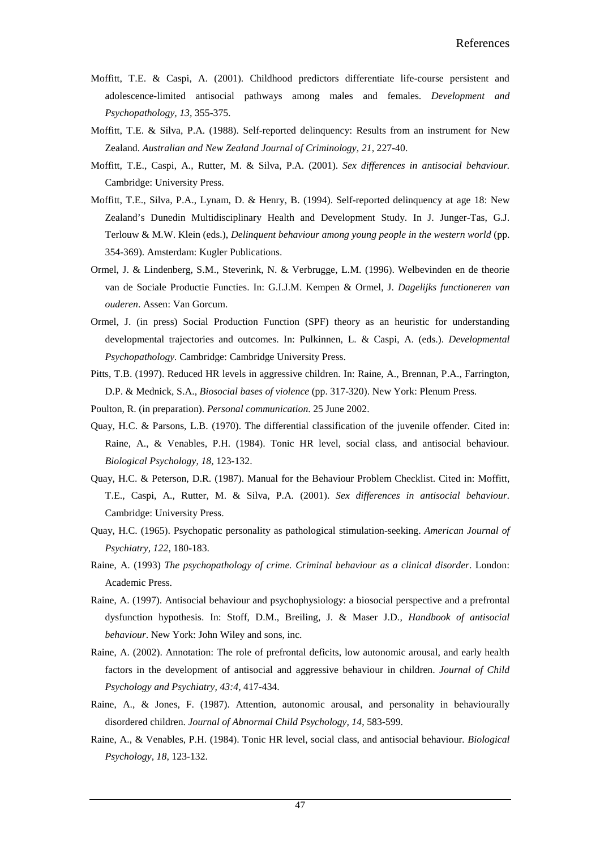- Moffitt, T.E. & Caspi, A. (2001). Childhood predictors differentiate life-course persistent and adolescence-limited antisocial pathways among males and females. *Development and Psychopathology, 13,* 355-375.
- Moffitt, T.E. & Silva, P.A. (1988). Self-reported delinquency: Results from an instrument for New Zealand. *Australian and New Zealand Journal of Criminology, 21,* 227-40.
- Moffitt, T.E., Caspi, A., Rutter, M. & Silva, P.A. (2001). *Sex differences in antisocial behaviour.*  Cambridge: University Press.
- Moffitt, T.E., Silva, P.A., Lynam, D. & Henry, B. (1994). Self-reported delinquency at age 18: New Zealand's Dunedin Multidisciplinary Health and Development Study. In J. Junger-Tas, G.J. Terlouw & M.W. Klein (eds.), *Delinquent behaviour among young people in the western world* (pp. 354-369). Amsterdam: Kugler Publications.
- Ormel, J. & Lindenberg, S.M., Steverink, N. & Verbrugge, L.M. (1996). Welbevinden en de theorie van de Sociale Productie Functies. In: G.I.J.M. Kempen & Ormel, J. *Dagelijks functioneren van ouderen*. Assen: Van Gorcum.
- Ormel, J. (in press) Social Production Function (SPF) theory as an heuristic for understanding developmental trajectories and outcomes. In: Pulkinnen, L. & Caspi, A. (eds.). *Developmental Psychopathology.* Cambridge: Cambridge University Press.
- Pitts, T.B. (1997). Reduced HR levels in aggressive children. In: Raine, A., Brennan, P.A., Farrington, D.P. & Mednick, S.A., *Biosocial bases of violence* (pp. 317-320). New York: Plenum Press.
- Poulton, R. (in preparation). *Personal communication*. 25 June 2002.
- Quay, H.C. & Parsons, L.B. (1970). The differential classification of the juvenile offender. Cited in: Raine, A., & Venables, P.H. (1984). Tonic HR level, social class, and antisocial behaviour*. Biological Psychology, 18,* 123-132.
- Quay, H.C. & Peterson, D.R. (1987). Manual for the Behaviour Problem Checklist. Cited in: Moffitt, T.E., Caspi, A., Rutter, M. & Silva, P.A. (2001). *Sex differences in antisocial behaviour.*  Cambridge: University Press.
- Quay, H.C. (1965). Psychopatic personality as pathological stimulation-seeking. *American Journal of Psychiatry, 122*, 180-183.
- Raine, A. (1993) *The psychopathology of crime. Criminal behaviour as a clinical disorder*. London: Academic Press.
- Raine, A. (1997). Antisocial behaviour and psychophysiology: a biosocial perspective and a prefrontal dysfunction hypothesis. In: Stoff, D.M., Breiling, J. & Maser J.D*., Handbook of antisocial behaviour*. New York: John Wiley and sons, inc.
- Raine, A. (2002). Annotation: The role of prefrontal deficits, low autonomic arousal, and early health factors in the development of antisocial and aggressive behaviour in children. *Journal of Child Psychology and Psychiatry, 43:4,* 417-434.
- Raine, A., & Jones, F. (1987). Attention, autonomic arousal, and personality in behaviourally disordered children. *Journal of Abnormal Child Psychology, 14*, 583-599.
- Raine, A., & Venables, P.H. (1984). Tonic HR level, social class, and antisocial behaviour*. Biological Psychology, 18,* 123-132.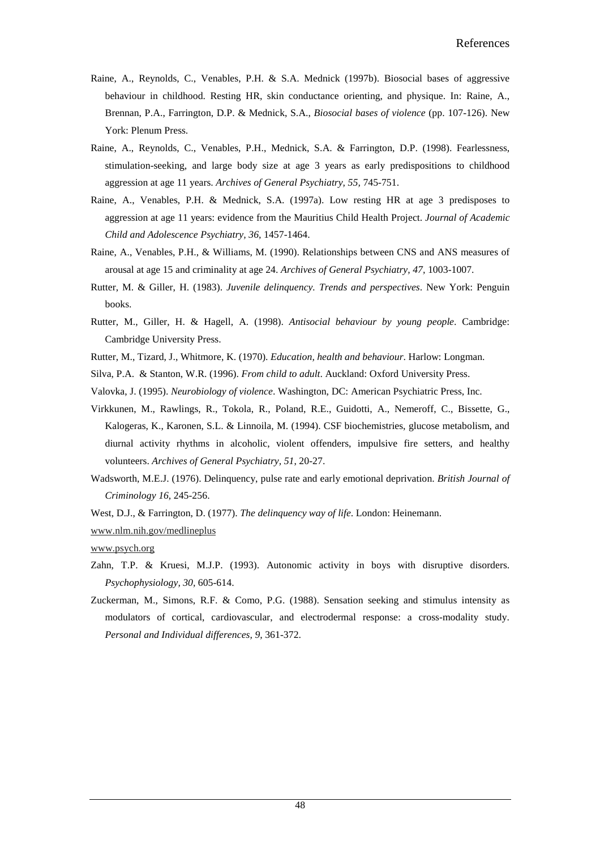- Raine, A., Reynolds, C., Venables, P.H. & S.A. Mednick (1997b). Biosocial bases of aggressive behaviour in childhood. Resting HR, skin conductance orienting, and physique. In: Raine, A., Brennan, P.A., Farrington, D.P. & Mednick, S.A., *Biosocial bases of violence* (pp. 107-126). New York: Plenum Press.
- Raine, A., Reynolds, C., Venables, P.H., Mednick, S.A. & Farrington, D.P. (1998). Fearlessness, stimulation-seeking, and large body size at age 3 years as early predispositions to childhood aggression at age 11 years. *Archives of General Psychiatry, 55,* 745-751.
- Raine, A., Venables, P.H. & Mednick, S.A. (1997a). Low resting HR at age 3 predisposes to aggression at age 11 years: evidence from the Mauritius Child Health Project. *Journal of Academic Child and Adolescence Psychiatry, 36,* 1457-1464.
- Raine, A., Venables, P.H., & Williams, M. (1990). Relationships between CNS and ANS measures of arousal at age 15 and criminality at age 24. *Archives of General Psychiatry, 47,* 1003-1007.
- Rutter, M. & Giller, H. (1983). *Juvenile delinquency. Trends and perspectives*. New York: Penguin books.
- Rutter, M., Giller, H. & Hagell, A. (1998). *Antisocial behaviour by young people*. Cambridge: Cambridge University Press.
- Rutter, M., Tizard, J., Whitmore, K. (1970). *Education, health and behaviour*. Harlow: Longman.
- Silva, P.A. & Stanton, W.R. (1996). *From child to adult*. Auckland: Oxford University Press.
- Valovka, J. (1995). *Neurobiology of violence*. Washington, DC: American Psychiatric Press, Inc.
- Virkkunen, M., Rawlings, R., Tokola, R., Poland, R.E., Guidotti, A., Nemeroff, C., Bissette, G., Kalogeras, K., Karonen, S.L. & Linnoila, M. (1994). CSF biochemistries, glucose metabolism, and diurnal activity rhythms in alcoholic, violent offenders, impulsive fire setters, and healthy volunteers. *Archives of General Psychiatry, 51*, 20-27.
- Wadsworth, M.E.J. (1976). Delinquency, pulse rate and early emotional deprivation. *British Journal of Criminology 16,* 245-256.
- West, D.J., & Farrington, D. (1977). *The delinquency way of life*. London: Heinemann.
- www.nlm.nih.gov/medlineplus

www.psych.org

- Zahn, T.P. & Kruesi, M.J.P. (1993). Autonomic activity in boys with disruptive disorders. *Psychophysiology, 30,* 605-614.
- Zuckerman, M., Simons, R.F. & Como, P.G. (1988). Sensation seeking and stimulus intensity as modulators of cortical, cardiovascular, and electrodermal response: a cross-modality study. *Personal and Individual differences, 9,* 361-372.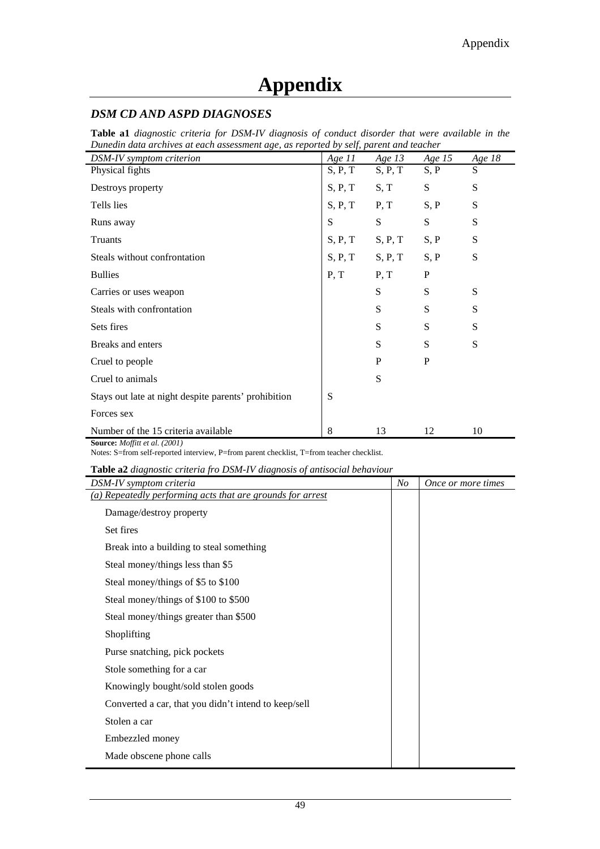#### *DSM CD AND ASPD DIAGNOSES*

**Table a1** *diagnostic criteria for DSM-IV diagnosis of conduct disorder that were available in the Dunedin data archives at each assessment age, as reported by self, parent and teacher*

| DSM-IV symptom criterion                             | Age $11$ | Age $13$ | Age $15$     | Age 18 |
|------------------------------------------------------|----------|----------|--------------|--------|
| Physical fights                                      | S, P, T  | S, P, T  | S, P         | S      |
| Destroys property                                    | S, P, T  | S, T     | S            | S      |
| Tells lies                                           | S, P, T  | P, T     | S, P         | S      |
| Runs away                                            | S        | S        | S            | S      |
| Truants                                              | S, P, T  | S, P, T  | S, P         | S      |
| Steals without confrontation                         | S, P, T  | S, P, T  | S, P         | S      |
| <b>Bullies</b>                                       | P, T     | P, T     | $\mathbf{P}$ |        |
| Carries or uses weapon                               |          | S        | S            | S      |
| Steals with confrontation                            |          | S        | S            | S      |
| Sets fires                                           |          | S        | S            | S      |
| Breaks and enters                                    |          | S        | S            | S      |
| Cruel to people                                      |          | P        | P            |        |
| Cruel to animals                                     |          | S        |              |        |
| Stays out late at night despite parents' prohibition | S        |          |              |        |
| Forces sex                                           |          |          |              |        |
| Number of the 15 criteria available                  | 8        | 13       | 12           | 10     |

**Source:** *Moffitt et al. (2001)* 

Notes: S=from self-reported interview, P=from parent checklist, T=from teacher checklist.

**Table a2** *diagnostic criteria fro DSM-IV diagnosis of antisocial behaviour* 

| DSM-IV symptom criteria                                    | $N_{O}$ | Once or more times |
|------------------------------------------------------------|---------|--------------------|
| (a) Repeatedly performing acts that are grounds for arrest |         |                    |
| Damage/destroy property                                    |         |                    |
| Set fires                                                  |         |                    |
| Break into a building to steal something                   |         |                    |
| Steal money/things less than \$5                           |         |                    |
| Steal money/things of \$5 to \$100                         |         |                    |
| Steal money/things of \$100 to \$500                       |         |                    |
| Steal money/things greater than \$500                      |         |                    |
| Shoplifting                                                |         |                    |
| Purse snatching, pick pockets                              |         |                    |
| Stole something for a car                                  |         |                    |
| Knowingly bought/sold stolen goods                         |         |                    |
| Converted a car, that you didn't intend to keep/sell       |         |                    |
| Stolen a car                                               |         |                    |
| Embezzled money                                            |         |                    |
| Made obscene phone calls                                   |         |                    |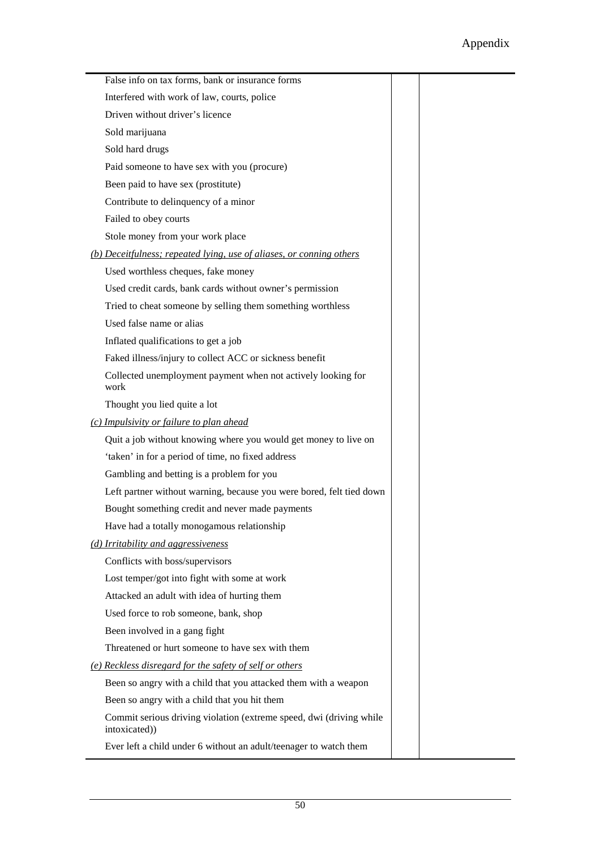| False info on tax forms, bank or insurance forms                                     |  |
|--------------------------------------------------------------------------------------|--|
| Interfered with work of law, courts, police                                          |  |
| Driven without driver's licence                                                      |  |
| Sold marijuana                                                                       |  |
| Sold hard drugs                                                                      |  |
| Paid someone to have sex with you (procure)                                          |  |
| Been paid to have sex (prostitute)                                                   |  |
| Contribute to delinquency of a minor                                                 |  |
| Failed to obey courts                                                                |  |
| Stole money from your work place                                                     |  |
| (b) Deceitfulness; repeated lying, use of aliases, or conning others                 |  |
| Used worthless cheques, fake money                                                   |  |
| Used credit cards, bank cards without owner's permission                             |  |
| Tried to cheat someone by selling them something worthless                           |  |
| Used false name or alias                                                             |  |
| Inflated qualifications to get a job                                                 |  |
| Faked illness/injury to collect ACC or sickness benefit                              |  |
| Collected unemployment payment when not actively looking for<br>work                 |  |
| Thought you lied quite a lot                                                         |  |
| (c) Impulsivity or failure to plan ahead                                             |  |
| Quit a job without knowing where you would get money to live on                      |  |
| 'taken' in for a period of time, no fixed address                                    |  |
| Gambling and betting is a problem for you                                            |  |
| Left partner without warning, because you were bored, felt tied down                 |  |
| Bought something credit and never made payments                                      |  |
| Have had a totally monogamous relationship                                           |  |
| (d) Irritability and aggressiveness                                                  |  |
| Conflicts with boss/supervisors                                                      |  |
| Lost temper/got into fight with some at work                                         |  |
| Attacked an adult with idea of hurting them                                          |  |
| Used force to rob someone, bank, shop                                                |  |
| Been involved in a gang fight                                                        |  |
| Threatened or hurt someone to have sex with them                                     |  |
| (e) Reckless disregard for the safety of self or others                              |  |
| Been so angry with a child that you attacked them with a weapon                      |  |
| Been so angry with a child that you hit them                                         |  |
| Commit serious driving violation (extreme speed, dwi (driving while<br>intoxicated)) |  |
| Ever left a child under 6 without an adult/teenager to watch them                    |  |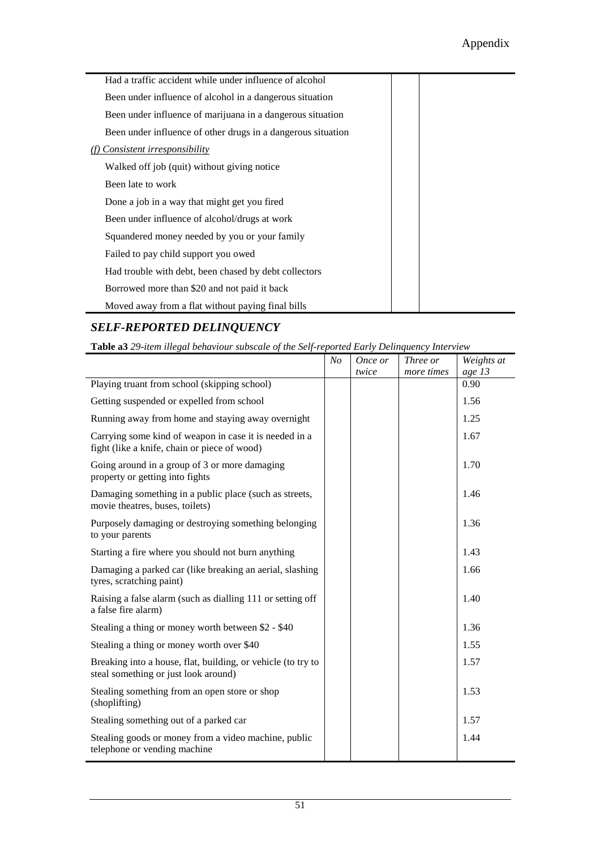| Had a traffic accident while under influence of alcohol      |  |
|--------------------------------------------------------------|--|
| Been under influence of alcohol in a dangerous situation     |  |
| Been under influence of marijuana in a dangerous situation   |  |
| Been under influence of other drugs in a dangerous situation |  |
| Consistent irresponsibility                                  |  |
| Walked off job (quit) without giving notice                  |  |
| Been late to work                                            |  |
| Done a job in a way that might get you fired                 |  |
| Been under influence of alcohol/drugs at work                |  |
| Squandered money needed by you or your family                |  |
| Failed to pay child support you owed                         |  |
| Had trouble with debt, been chased by debt collectors        |  |
| Borrowed more than \$20 and not paid it back                 |  |
| Moved away from a flat without paying final bills            |  |

#### *SELF-REPORTED DELINQUENCY*

**Table a3** *29-item illegal behaviour subscale of the Self-reported Early Delinquency Interview* 

|                                                                                                        | N <sub>O</sub> | Once or | Three or   | Weights at |
|--------------------------------------------------------------------------------------------------------|----------------|---------|------------|------------|
|                                                                                                        |                | twice   | more times | age 13     |
| Playing truant from school (skipping school)                                                           |                |         |            | 0.90       |
| Getting suspended or expelled from school                                                              |                |         |            | 1.56       |
| Running away from home and staying away overnight                                                      |                |         |            | 1.25       |
| Carrying some kind of weapon in case it is needed in a<br>fight (like a knife, chain or piece of wood) |                |         |            | 1.67       |
| Going around in a group of 3 or more damaging<br>property or getting into fights                       |                |         |            | 1.70       |
| Damaging something in a public place (such as streets,<br>movie theatres, buses, toilets)              |                |         |            | 1.46       |
| Purposely damaging or destroying something belonging<br>to your parents                                |                |         |            | 1.36       |
| Starting a fire where you should not burn anything                                                     |                |         |            | 1.43       |
| Damaging a parked car (like breaking an aerial, slashing<br>tyres, scratching paint)                   |                |         |            | 1.66       |
| Raising a false alarm (such as dialling 111 or setting off<br>a false fire alarm)                      |                |         |            | 1.40       |
| Stealing a thing or money worth between \$2 - \$40                                                     |                |         |            | 1.36       |
| Stealing a thing or money worth over \$40                                                              |                |         |            | 1.55       |
| Breaking into a house, flat, building, or vehicle (to try to<br>steal something or just look around)   |                |         |            | 1.57       |
| Stealing something from an open store or shop<br>(shoplifting)                                         |                |         |            | 1.53       |
| Stealing something out of a parked car                                                                 |                |         |            | 1.57       |
| Stealing goods or money from a video machine, public<br>telephone or vending machine                   |                |         |            | 1.44       |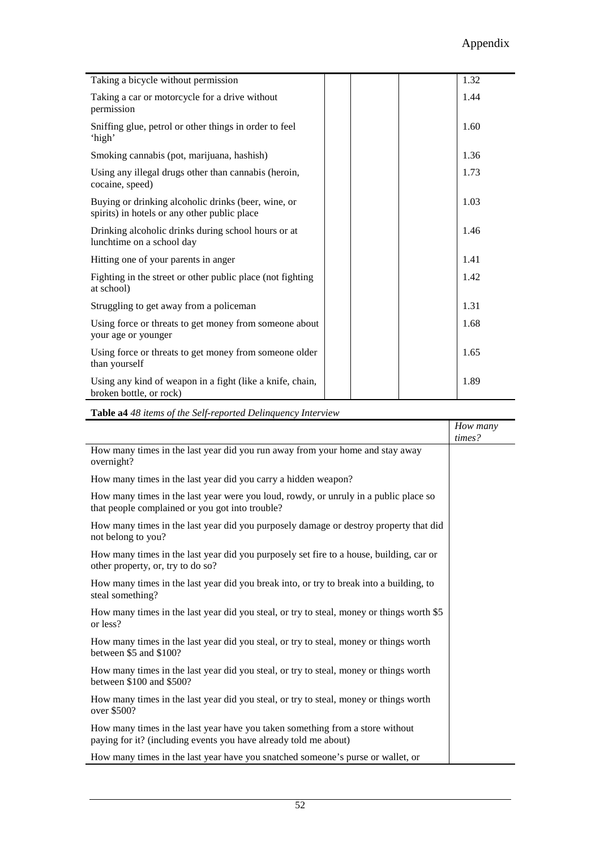| Taking a bicycle without permission                                                                 | 1.32 |
|-----------------------------------------------------------------------------------------------------|------|
| Taking a car or motorcycle for a drive without<br>permission                                        | 1.44 |
| Sniffing glue, petrol or other things in order to feel<br>'high'                                    | 1.60 |
| Smoking cannabis (pot, marijuana, hashish)                                                          | 1.36 |
| Using any illegal drugs other than cannabis (heroin,<br>cocaine, speed)                             | 1.73 |
| Buying or drinking alcoholic drinks (beer, wine, or<br>spirits) in hotels or any other public place | 1.03 |
| Drinking alcoholic drinks during school hours or at<br>lunchtime on a school day                    | 1.46 |
| Hitting one of your parents in anger                                                                | 1.41 |
| Fighting in the street or other public place (not fighting<br>at school)                            | 1.42 |
| Struggling to get away from a policeman                                                             | 1.31 |
| Using force or threats to get money from someone about<br>your age or younger                       | 1.68 |
| Using force or threats to get money from someone older<br>than yourself                             | 1.65 |
| Using any kind of weapon in a fight (like a knife, chain,<br>broken bottle, or rock)                | 1.89 |

**Table a4** *48 items of the Self-reported Delinquency Interview* 

|                                                                                                                                                   | How many |
|---------------------------------------------------------------------------------------------------------------------------------------------------|----------|
|                                                                                                                                                   | times?   |
| How many times in the last year did you run away from your home and stay away<br>overnight?                                                       |          |
| How many times in the last year did you carry a hidden weapon?                                                                                    |          |
| How many times in the last year were you loud, rowdy, or unruly in a public place so<br>that people complained or you got into trouble?           |          |
| How many times in the last year did you purposely damage or destroy property that did<br>not belong to you?                                       |          |
| How many times in the last year did you purposely set fire to a house, building, car or<br>other property, or, try to do so?                      |          |
| How many times in the last year did you break into, or try to break into a building, to<br>steal something?                                       |          |
| How many times in the last year did you steal, or try to steal, money or things worth \$5<br>or less?                                             |          |
| How many times in the last year did you steal, or try to steal, money or things worth<br>between \$5 and \$100?                                   |          |
| How many times in the last year did you steal, or try to steal, money or things worth<br>between \$100 and \$500?                                 |          |
| How many times in the last year did you steal, or try to steal, money or things worth<br>over \$500?                                              |          |
| How many times in the last year have you taken something from a store without<br>paying for it? (including events you have already told me about) |          |
| How many times in the last year have you snatched someone's purse or wallet, or                                                                   |          |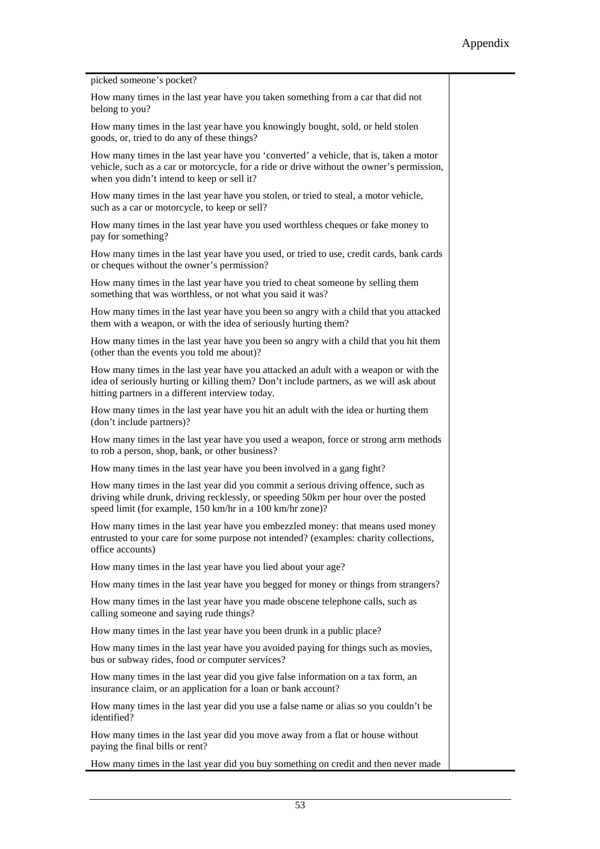picked someone's pocket?

How many times in the last year have you taken something from a car that did not belong to you?

How many times in the last year have you knowingly bought, sold, or held stolen goods, or, tried to do any of these things?

How many times in the last year have you 'converted' a vehicle, that is, taken a motor vehicle, such as a car or motorcycle, for a ride or drive without the owner's permission, when you didn't intend to keep or sell it?

How many times in the last year have you stolen, or tried to steal, a motor vehicle, such as a car or motorcycle, to keep or sell?

How many times in the last year have you used worthless cheques or fake money to pay for something?

How many times in the last year have you used, or tried to use, credit cards, bank cards or cheques without the owner's permission?

How many times in the last year have you tried to cheat someone by selling them something that was worthless, or not what you said it was?

How many times in the last year have you been so angry with a child that you attacked them with a weapon, or with the idea of seriously hurting them?

How many times in the last year have you been so angry with a child that you hit them (other than the events you told me about)?

How many times in the last year have you attacked an adult with a weapon or with the idea of seriously hurting or killing them? Don't include partners, as we will ask about hitting partners in a different interview today.

How many times in the last year have you hit an adult with the idea or hurting them (don't include partners)?

How many times in the last year have you used a weapon, force or strong arm methods to rob a person, shop, bank, or other business?

How many times in the last year have you been involved in a gang fight?

How many times in the last year did you commit a serious driving offence, such as driving while drunk, driving recklessly, or speeding 50km per hour over the posted speed limit (for example, 150 km/hr in a 100 km/hr zone)?

How many times in the last year have you embezzled money: that means used money entrusted to your care for some purpose not intended? (examples: charity collections, office accounts)

How many times in the last year have you lied about your age?

How many times in the last year have you begged for money or things from strangers?

How many times in the last year have you made obscene telephone calls, such as calling someone and saying rude things?

How many times in the last year have you been drunk in a public place?

How many times in the last year have you avoided paying for things such as movies, bus or subway rides, food or computer services?

How many times in the last year did you give false information on a tax form, an insurance claim, or an application for a loan or bank account?

How many times in the last year did you use a false name or alias so you couldn't be identified?

How many times in the last year did you move away from a flat or house without paying the final bills or rent?

How many times in the last year did you buy something on credit and then never made